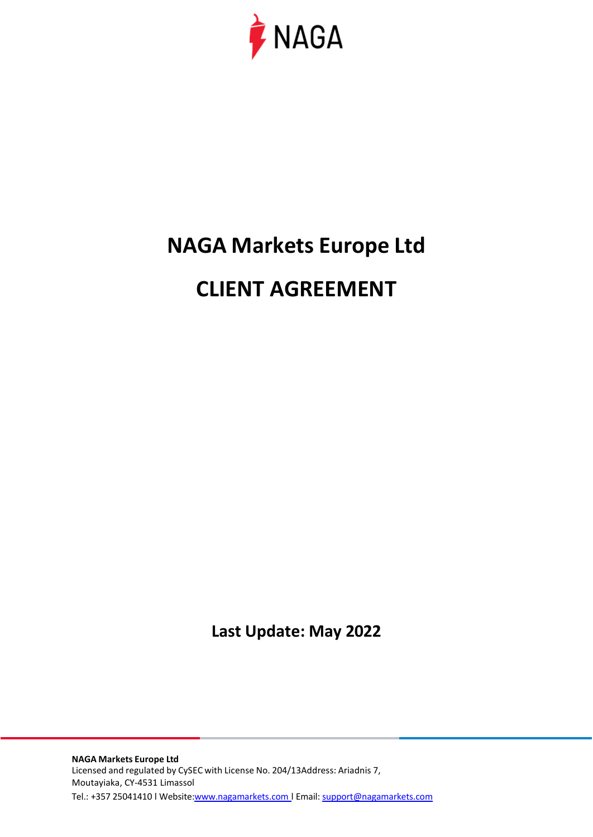

# **NAGA Markets Europe Ltd**

# **CLIENT AGREEMENT**

**Last Update: May 2022**

**NAGA Markets Europe Ltd** Licensed and regulated by CySEC with License No. 204/13Address: Ariadnis 7, Moutayiaka, CY-4531 Limassol Tel.: +357 25041410 | Websit[e:www.nagamarkets.com](http://www.nagamarkets.coml/) | Email: [support@nagamarkets.com](mailto:support@nagamarkets.com)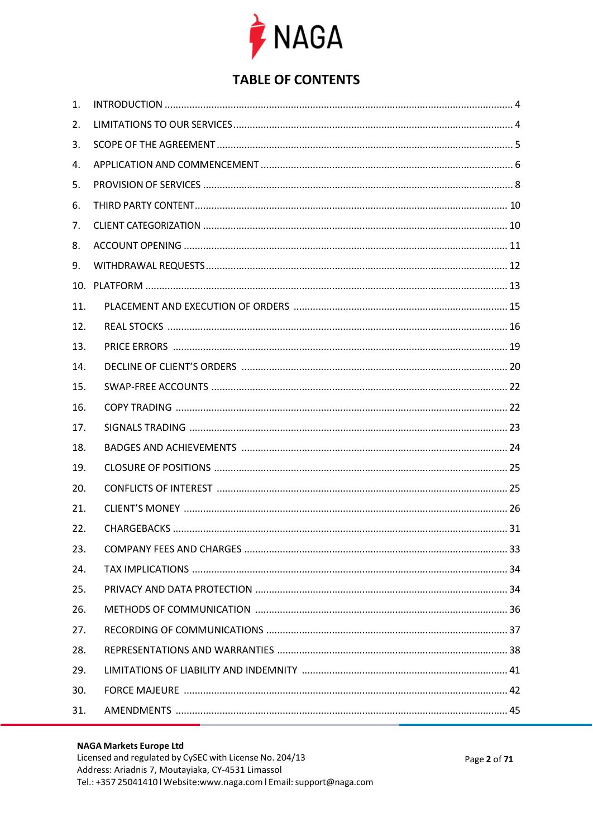

## **TABLE OF CONTENTS**

| 1.  |  |
|-----|--|
| 2.  |  |
| 3.  |  |
| 4.  |  |
| 5.  |  |
| 6.  |  |
| 7.  |  |
| 8.  |  |
| 9.  |  |
| 10. |  |
| 11. |  |
| 12. |  |
| 13. |  |
| 14. |  |
| 15. |  |
| 16. |  |
| 17. |  |
| 18. |  |
| 19. |  |
| 20. |  |
| 21. |  |
| 22. |  |
| 23. |  |
| 24. |  |
| 25. |  |
| 26. |  |
| 27. |  |
| 28. |  |
| 29. |  |
| 30. |  |
| 31. |  |
|     |  |

#### **NAGA Markets Europe Ltd**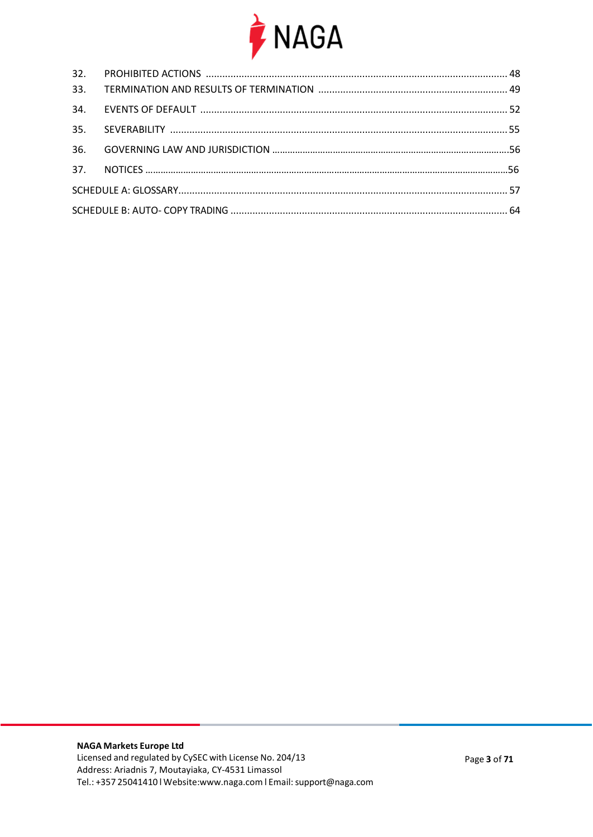

| 33. |  |  |  |  |  |
|-----|--|--|--|--|--|
|     |  |  |  |  |  |
|     |  |  |  |  |  |
| 36. |  |  |  |  |  |
|     |  |  |  |  |  |
|     |  |  |  |  |  |
|     |  |  |  |  |  |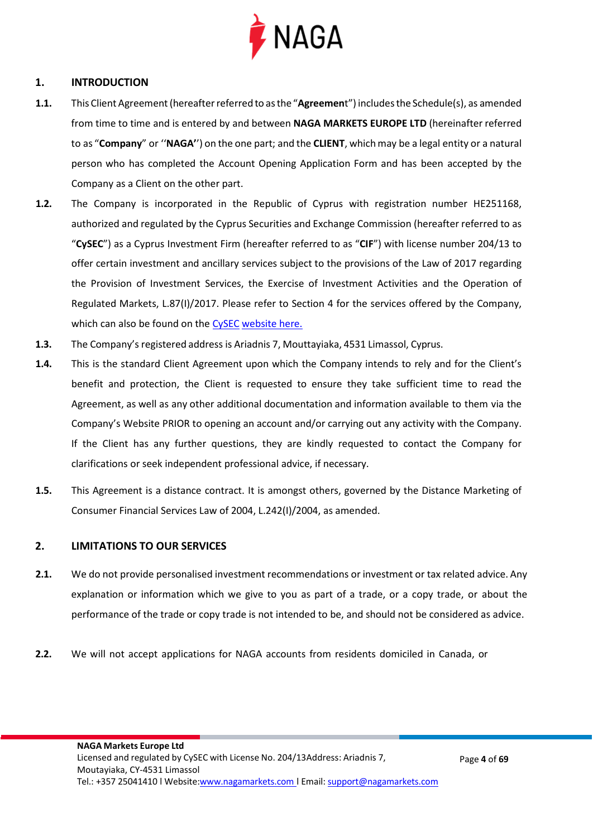

#### <span id="page-3-0"></span>**1. INTRODUCTION**

- **1.1.** This Client Agreement(hereafterreferred to asthe "**Agreemen**t") includesthe Schedule(s), as amended from time to time and is entered by and between **NAGA MARKETS EUROPE LTD** (hereinafter referred to as "**Company**" or ''**NAGA'**') on the one part; and the **CLIENT**, whichmay be a legal entity or a natural person who has completed the Account Opening Application Form and has been accepted by the Company as a Client on the other part.
- **1.2.** The Company is incorporated in the Republic of Cyprus with registration number HE251168, authorized and regulated by the Cyprus Securities and Exchange Commission (hereafter referred to as "**CySEC**") as a Cyprus Investment Firm (hereafter referred to as "**CIF**") with license number 204/13 to offer certain investment and ancillary services subject to the provisions of the Law of 2017 regarding the Provision of Investment Services, the Exercise of Investment Activities and the Operation of Regulated Markets, L.87(I)/2017. Please refer to Section 4 for the services offered by the Company, which can also be found on th[e CySEC](https://www.cysec.gov.cy/en-GB/entities/investment-firms/cypriot/37704/) [website here.](https://www.cysec.gov.cy/en-GB/entities/investment-firms/cypriot/37704/)
- **1.3.** The Company's registered address is Ariadnis 7, Mouttayiaka, 4531 Limassol, Cyprus.
- **1.4.** This is the standard Client Agreement upon which the Company intends to rely and for the Client's benefit and protection, the Client is requested to ensure they take sufficient time to read the Agreement, as well as any other additional documentation and information available to them via the Company's Website PRIOR to opening an account and/or carrying out any activity with the Company. If the Client has any further questions, they are kindly requested to contact the Company for clarifications or seek independent professional advice, if necessary.
- **1.5.** This Agreement is a distance contract. It is amongst others, governed by the Distance Marketing of Consumer Financial Services Law of 2004, L.242(I)/2004, as amended.

#### <span id="page-3-1"></span>**2. LIMITATIONS TO OUR SERVICES**

- **2.1.** We do not provide personalised investment recommendations or investment or tax related advice. Any explanation or information which we give to you as part of a trade, or a copy trade, or about the performance of the trade or copy trade is not intended to be, and should not be considered as advice.
- **2.2.** We will not accept applications for NAGA accounts from residents domiciled in Canada, or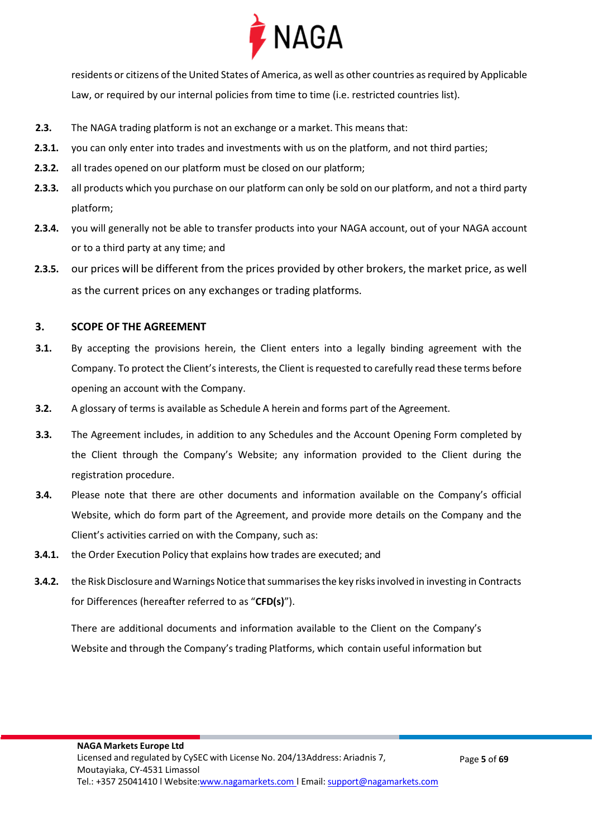

residents or citizens of the United States of America, as well as other countries as required by Applicable Law, or required by our internal policies from time to time (i.e. restricted countries list).

- **2.3.** The NAGA trading platform is not an exchange or a market. This means that:
- **2.3.1.** you can only enter into trades and investments with us on the platform, and not third parties;
- **2.3.2.** all trades opened on our platform must be closed on our platform;
- **2.3.3.** all products which you purchase on our platform can only be sold on our platform, and not a third party platform;
- **2.3.4.** you will generally not be able to transfer products into your NAGA account, out of your NAGA account or to a third party at any time; and
- **2.3.5.** our prices will be different from the prices provided by other brokers, the market price, as well as the current prices on any exchanges or trading platforms.

#### **3. SCOPE OF THE AGREEMENT**

- **3.1.** By accepting the provisions herein, the Client enters into a legally binding agreement with the Company. To protect the Client's interests, the Client is requested to carefully read these terms before opening an account with the Company.
- **3.2.** A glossary of terms is available as Schedule A herein and forms part of the Agreement.
- **3.3.** The Agreement includes, in addition to any Schedules and the Account Opening Form completed by the Client through the Company's Website; any information provided to the Client during the registration procedure.
- **3.4.** Please note that there are other documents and information available on the Company's official Website, which do form part of the Agreement, and provide more details on the Company and the Client's activities carried on with the Company, such as:
- **3.4.1.** the Order Execution Policy that explains how trades are executed; and
- **3.4.2.** the Risk Disclosure and Warnings Notice that summarises the key risks involved in investing in Contracts for Differences (hereafter referred to as "**CFD(s)**").

There are additional documents and information available to the Client on the Company's Website and through the Company's trading Platforms, which contain useful information but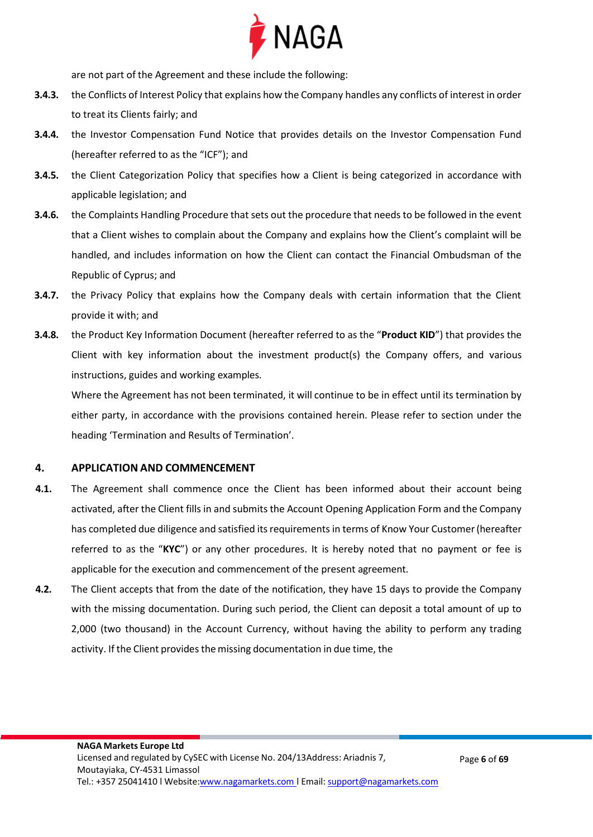

are not part of the Agreement and these include the following:

- **3.4.3.** the Conflicts of Interest Policy that explains how the Company handles any conflicts of interest in order to treat its Clients fairly; and
- **3.4.4.** the Investor Compensation Fund Notice that provides details on the Investor Compensation Fund (hereafter referred to as the "ICF"); and
- **3.4.5.** the Client Categorization Policy that specifies how a Client is being categorized in accordance with applicable legislation; and
- **3.4.6.** the Complaints Handling Procedure that sets out the procedure that needs to be followed in the event that a Client wishes to complain about the Company and explains how the Client's complaint will be handled, and includes information on how the Client can contact the Financial Ombudsman of the Republic of Cyprus; and
- **3.4.7.** the Privacy Policy that explains how the Company deals with certain information that the Client provide it with; and
- **3.4.8.** the Product Key Information Document (hereafter referred to as the "**Product KID**") that provides the Client with key information about the investment product(s) the Company offers, and various instructions, guides and working examples.

Where the Agreement has not been terminated, it will continue to be in effect until its termination by either party, in accordance with the provisions contained herein. Please refer to section under the heading 'Termination and Results of Termination'.

#### <span id="page-5-0"></span>**4. APPLICATION AND COMMENCEMENT**

- **4.1.** The Agreement shall commence once the Client has been informed about their account being activated, after the Client fills in and submits the Account Opening Application Form and the Company has completed due diligence and satisfied its requirements in terms of Know Your Customer(hereafter referred to as the "**KYC**") or any other procedures. It is hereby noted that no payment or fee is applicable for the execution and commencement of the present agreement.
- **4.2.** The Client accepts that from the date of the notification, they have 15 days to provide the Company with the missing documentation. During such period, the Client can deposit a total amount of up to 2,000 (two thousand) in the Account Currency, without having the ability to perform any trading activity. If the Client provides the missing documentation in due time, the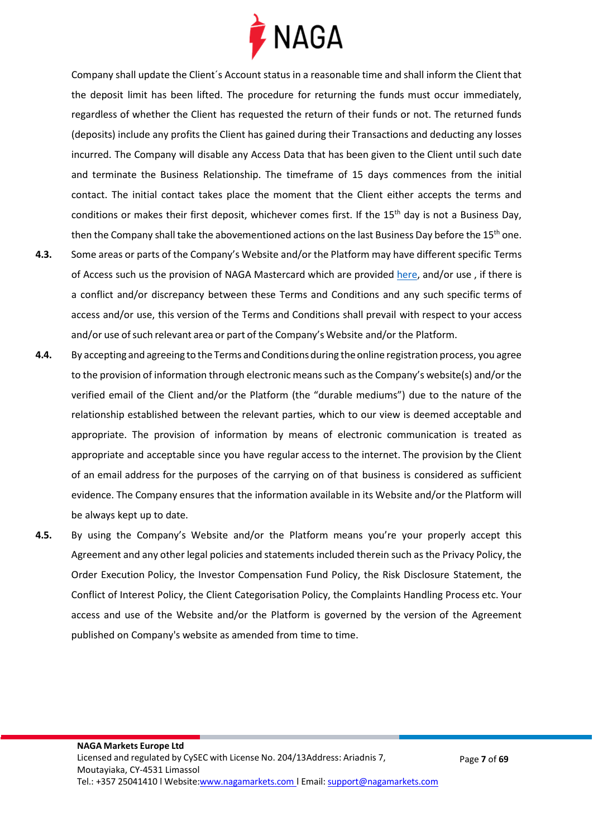

Company shall update the Client´s Account status in a reasonable time and shall inform the Client that the deposit limit has been lifted. The procedure for returning the funds must occur immediately, regardless of whether the Client has requested the return of their funds or not. The returned funds (deposits) include any profits the Client has gained during their Transactions and deducting any losses incurred. The Company will disable any Access Data that has been given to the Client until such date and terminate the Business Relationship. The timeframe of 15 days commences from the initial contact. The initial contact takes place the moment that the Client either accepts the terms and conditions or makes their first deposit, whichever comes first. If the 15<sup>th</sup> day is not a Business Day, then the Company shall take the abovementioned actions on the last Business Day before the 15<sup>th</sup> one.

- **4.3.** Some areas or parts of the Company's Website and/or the Platform may have different specific Terms of Access such us the provision of NAGA Mastercard which are provided [here,](https://files.naga.com/NAGA-PREPAID-MASTERCARD-June-2020.pdf) and/or use, if there is a conflict and/or discrepancy between these Terms and Conditions and any such specific terms of access and/or use, this version of the Terms and Conditions shall prevail with respect to your access and/or use of such relevant area or part of the Company's Website and/or the Platform.
- **4.4.** By accepting and agreeing to the Terms andConditionsduring the online registration process, you agree to the provision of information through electronic means such as the Company's website(s) and/or the verified email of the Client and/or the Platform (the "durable mediums") due to the nature of the relationship established between the relevant parties, which to our view is deemed acceptable and appropriate. The provision of information by means of electronic communication is treated as appropriate and acceptable since you have regular access to the internet. The provision by the Client of an email address for the purposes of the carrying on of that business is considered as sufficient evidence. The Company ensures that the information available in its Website and/or the Platform will be always kept up to date.
- **4.5.** By using the Company's Website and/or the Platform means you're your properly accept this Agreement and any other legal policies and statements included therein such as the Privacy Policy, the Order Execution Policy, the Investor Compensation Fund Policy, the Risk Disclosure Statement, the Conflict of Interest Policy, the Client Categorisation Policy, the Complaints Handling Process etc. Your access and use of the Website and/or the Platform is governed by the version of the Agreement published on Company's website as amended from time to time.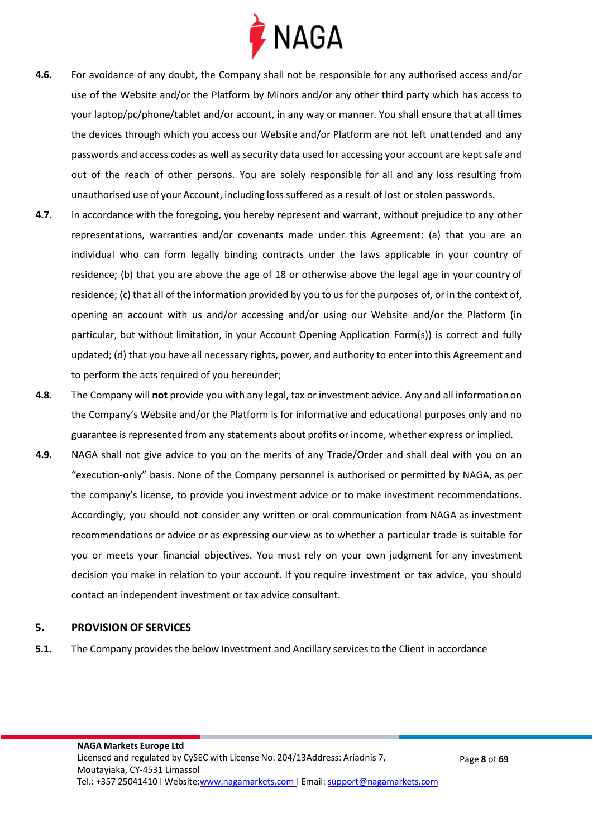

- **4.6.** For avoidance of any doubt, the Company shall not be responsible for any authorised access and/or use of the Website and/or the Platform by Minors and/or any other third party which has access to your laptop/pc/phone/tablet and/or account, in any way or manner. You shall ensure that at alltimes the devices through which you access our Website and/or Platform are not left unattended and any passwords and access codes as well as security data used for accessing your account are kept safe and out of the reach of other persons. You are solely responsible for all and any loss resulting from unauthorised use of your Account, including loss suffered as a result of lost or stolen passwords.
- **4.7.** In accordance with the foregoing, you hereby represent and warrant, without prejudice to any other representations, warranties and/or covenants made under this Agreement: (a) that you are an individual who can form legally binding contracts under the laws applicable in your country of residence; (b) that you are above the age of 18 or otherwise above the legal age in your country of residence; (c) that all of the information provided by you to usfor the purposes of, or in the context of, opening an account with us and/or accessing and/or using our Website and/or the Platform (in particular, but without limitation, in your Account Opening Application Form(s)) is correct and fully updated; (d) that you have all necessary rights, power, and authority to enter into this Agreement and to perform the acts required of you hereunder;
- **4.8.** The Company will **not** provide you with any legal, tax or investment advice. Any and all information on the Company's Website and/or the Platform is for informative and educational purposes only and no guarantee is represented from any statements about profits or income, whether express or implied.
- **4.9.** NAGA shall not give advice to you on the merits of any Trade/Order and shall deal with you on an "execution-only" basis. None of the Company personnel is authorised or permitted by NAGA, as per the company's license, to provide you investment advice or to make investment recommendations. Accordingly, you should not consider any written or oral communication from NAGA as investment recommendations or advice or as expressing our view as to whether a particular trade is suitable for you or meets your financial objectives. You must rely on your own judgment for any investment decision you make in relation to your account. If you require investment or tax advice, you should contact an independent investment or tax advice consultant.

#### <span id="page-7-0"></span>**5. PROVISION OF SERVICES**

**5.1.** The Company provides the below Investment and Ancillary services to the Client in accordance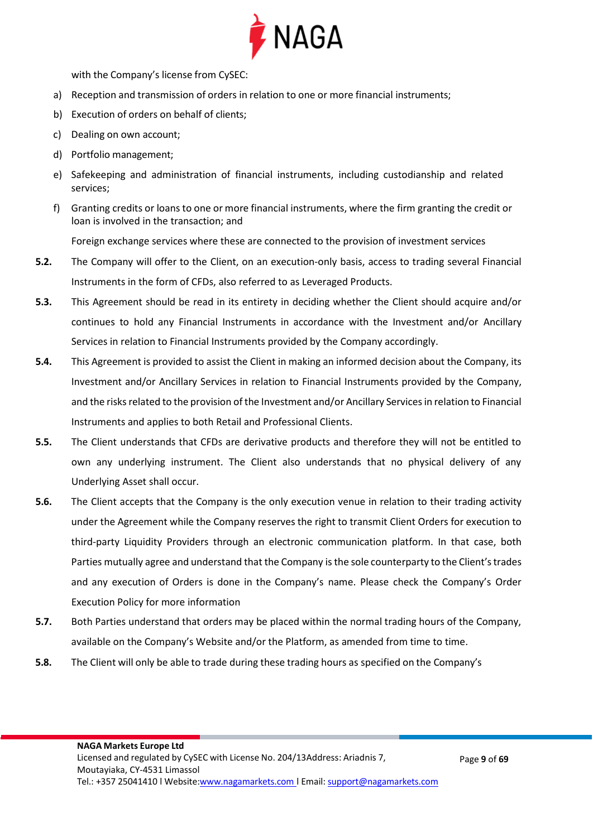

with the Company's license from CySEC:

- a) Reception and transmission of orders in relation to one or more financial instruments;
- b) Execution of orders on behalf of clients;
- c) Dealing on own account;
- d) Portfolio management;
- e) Safekeeping and administration of financial instruments, including custodianship and related services;
- f) Granting credits or loans to one or more financial instruments, where the firm granting the credit or loan is involved in the transaction; and

Foreign exchange services where these are connected to the provision of investment services

- **5.2.** The Company will offer to the Client, on an execution-only basis, access to trading several Financial Instruments in the form of CFDs, also referred to as Leveraged Products.
- **5.3.** This Agreement should be read in its entirety in deciding whether the Client should acquire and/or continues to hold any Financial Instruments in accordance with the Investment and/or Ancillary Services in relation to Financial Instruments provided by the Company accordingly.
- **5.4.** This Agreement is provided to assist the Client in making an informed decision about the Company, its Investment and/or Ancillary Services in relation to Financial Instruments provided by the Company, and the risks related to the provision of the Investment and/or Ancillary Services in relation to Financial Instruments and applies to both Retail and Professional Clients.
- **5.5.** The Client understands that CFDs are derivative products and therefore they will not be entitled to own any underlying instrument. The Client also understands that no physical delivery of any Underlying Asset shall occur.
- **5.6.** The Client accepts that the Company is the only execution venue in relation to their trading activity under the Agreement while the Company reserves the right to transmit Client Orders for execution to third-party Liquidity Providers through an electronic communication platform. In that case, both Parties mutually agree and understand that the Company is the sole counterparty to the Client'strades and any execution of Orders is done in the Company's name. Please check the Company's Order Execution Policy for more information
- **5.7.** Both Parties understand that orders may be placed within the normal trading hours of the Company, available on the Company's Website and/or the Platform, as amended from time to time.
- **5.8.** The Client will only be able to trade during these trading hours as specified on the Company's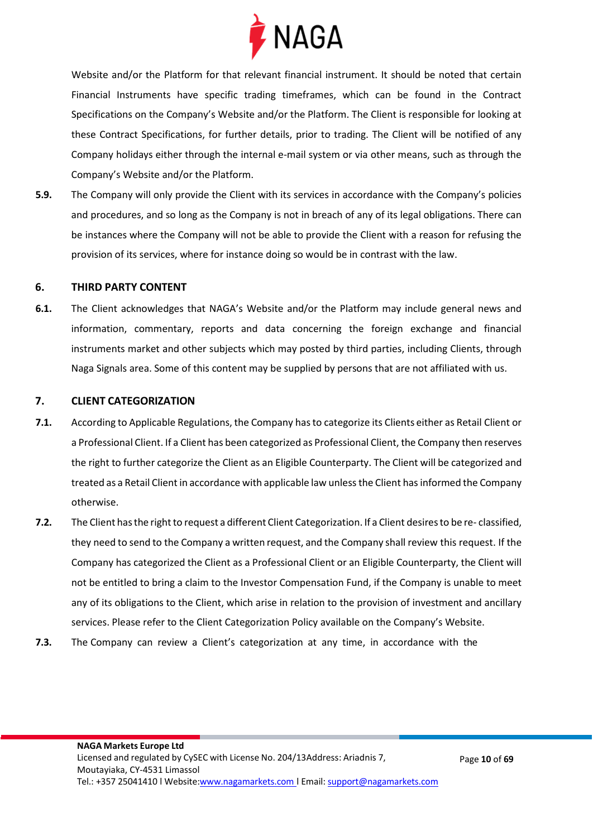

Website and/or the Platform for that relevant financial instrument. It should be noted that certain Financial Instruments have specific trading timeframes, which can be found in the Contract Specifications on the Company's Website and/or the Platform. The Client is responsible for looking at these Contract Specifications, for further details, prior to trading. The Client will be notified of any Company holidays either through the internal e-mail system or via other means, such as through the Company's Website and/or the Platform.

**5.9.** The Company will only provide the Client with its services in accordance with the Company's policies and procedures, and so long as the Company is not in breach of any of its legal obligations. There can be instances where the Company will not be able to provide the Client with a reason for refusing the provision of its services, where for instance doing so would be in contrast with the law.

#### <span id="page-9-0"></span>**6. THIRD PARTY CONTENT**

**6.1.** The Client acknowledges that NAGA's Website and/or the Platform may include general news and information, commentary, reports and data concerning the foreign exchange and financial instruments market and other subjects which may posted by third parties, including Clients, through Naga Signals area. Some of this content may be supplied by persons that are not affiliated with us.

#### <span id="page-9-1"></span>**7. CLIENT CATEGORIZATION**

- **7.1.** According to Applicable Regulations, the Company hasto categorize its Clients either as Retail Client or a Professional Client. If a Client has been categorized as Professional Client, the Company then reserves the right to further categorize the Client as an Eligible Counterparty. The Client will be categorized and treated as a Retail Client in accordance with applicable law unless the Client has informed the Company otherwise.
- **7.2.** The Client has the right to request a different Client Categorization. If a Client desires to be re-classified, they need to send to the Company a written request, and the Company shall review this request. If the Company has categorized the Client as a Professional Client or an Eligible Counterparty, the Client will not be entitled to bring a claim to the Investor Compensation Fund, if the Company is unable to meet any of its obligations to the Client, which arise in relation to the provision of investment and ancillary services. Please refer to the Client Categorization Policy available on the Company's Website.
- **7.3.** The Company can review a Client's categorization at any time, in accordance with the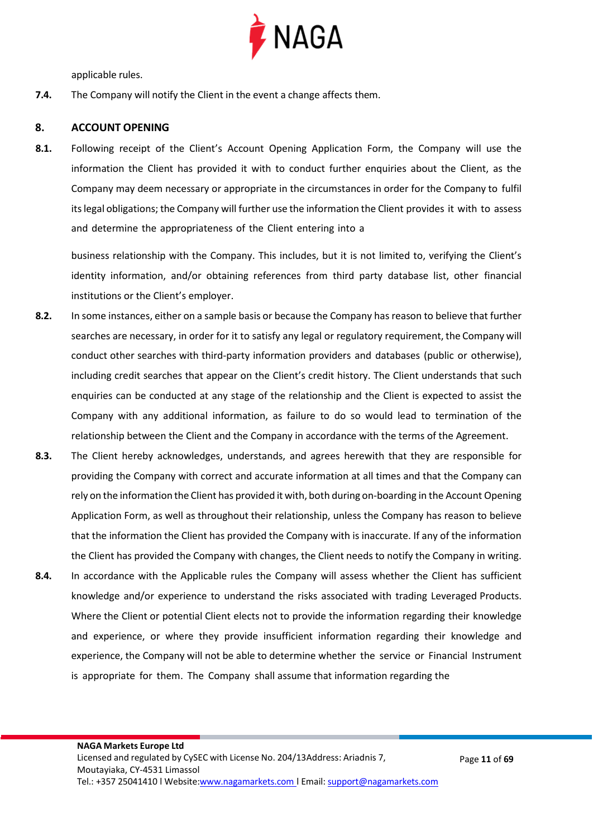

applicable rules.

**7.4.** The Company will notify the Client in the event a change affects them.

#### <span id="page-10-0"></span>**8. ACCOUNT OPENING**

**8.1.** Following receipt of the Client's Account Opening Application Form, the Company will use the information the Client has provided it with to conduct further enquiries about the Client, as the Company may deem necessary or appropriate in the circumstances in order for the Company to fulfil itslegal obligations; the Company will further use the information the Client provides it with to assess and determine the appropriateness of the Client entering into a

business relationship with the Company. This includes, but it is not limited to, verifying the Client's identity information, and/or obtaining references from third party database list, other financial institutions or the Client's employer.

- **8.2.** In some instances, either on a sample basis or because the Company has reason to believe that further searches are necessary, in order for it to satisfy any legal or regulatory requirement, the Company will conduct other searches with third-party information providers and databases (public or otherwise), including credit searches that appear on the Client's credit history. The Client understands that such enquiries can be conducted at any stage of the relationship and the Client is expected to assist the Company with any additional information, as failure to do so would lead to termination of the relationship between the Client and the Company in accordance with the terms of the Agreement.
- **8.3.** The Client hereby acknowledges, understands, and agrees herewith that they are responsible for providing the Company with correct and accurate information at all times and that the Company can rely on the information the Client has provided it with, both during on-boarding in the Account Opening Application Form, as well as throughout their relationship, unless the Company has reason to believe that the information the Client has provided the Company with is inaccurate. If any of the information the Client has provided the Company with changes, the Client needs to notify the Company in writing.
- **8.4.** In accordance with the Applicable rules the Company will assess whether the Client has sufficient knowledge and/or experience to understand the risks associated with trading Leveraged Products. Where the Client or potential Client elects not to provide the information regarding their knowledge and experience, or where they provide insufficient information regarding their knowledge and experience, the Company will not be able to determine whether the service or Financial Instrument is appropriate for them. The Company shall assume that information regarding the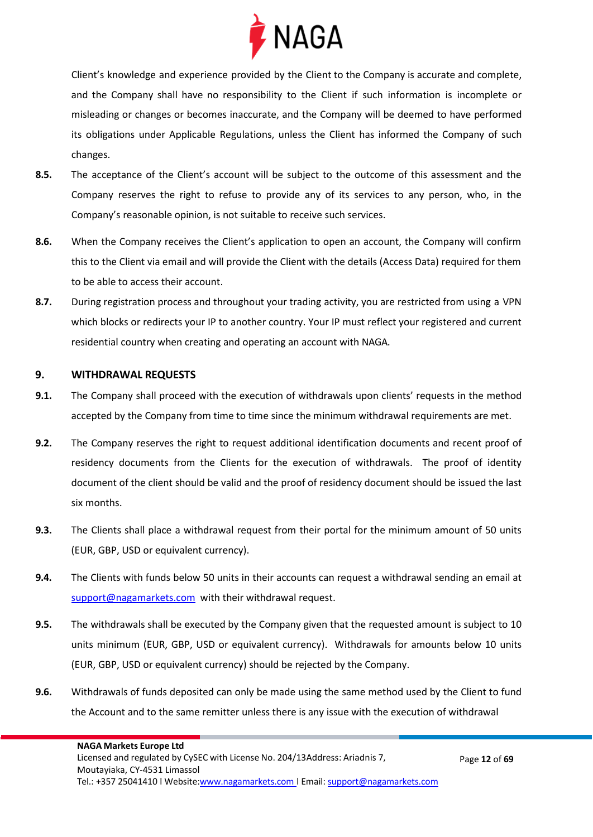

Client's knowledge and experience provided by the Client to the Company is accurate and complete, and the Company shall have no responsibility to the Client if such information is incomplete or misleading or changes or becomes inaccurate, and the Company will be deemed to have performed its obligations under Applicable Regulations, unless the Client has informed the Company of such changes.

- **8.5.** The acceptance of the Client's account will be subject to the outcome of this assessment and the Company reserves the right to refuse to provide any of its services to any person, who, in the Company's reasonable opinion, is not suitable to receive such services.
- **8.6.** When the Company receives the Client's application to open an account, the Company will confirm this to the Client via email and will provide the Client with the details (Access Data) required for them to be able to access their account.
- **8.7.** During registration process and throughout your trading activity, you are restricted from using a VPN which blocks or redirects your IP to another country. Your IP must reflect your registered and current residential country when creating and operating an account with NAGA.

#### <span id="page-11-0"></span>**9. WITHDRAWAL REQUESTS**

- **9.1.** The Company shall proceed with the execution of withdrawals upon clients' requests in the method accepted by the Company from time to time since the minimum withdrawal requirements are met.
- **9.2.** The Company reserves the right to request additional identification documents and recent proof of residency documents from the Clients for the execution of withdrawals. The proof of identity document of the client should be valid and the proof of residency document should be issued the last six months.
- **9.3.** The Clients shall place a withdrawal request from their portal for the minimum amount of 50 units (EUR, GBP, USD or equivalent currency).
- **9.4.** The Clients with funds below 50 units in their accounts can request a withdrawal sending an email at [support@nagamarkets.com](mailto:support@nagamarkets.com) with their withdrawal request.
- **9.5.** The withdrawals shall be executed by the Company given that the requested amount is subject to 10 units minimum (EUR, GBP, USD or equivalent currency). Withdrawals for amounts below 10 units (EUR, GBP, USD or equivalent currency) should be rejected by the Company.
- **9.6.** Withdrawals of funds deposited can only be made using the same method used by the Client to fund the Account and to the same remitter unless there is any issue with the execution of withdrawal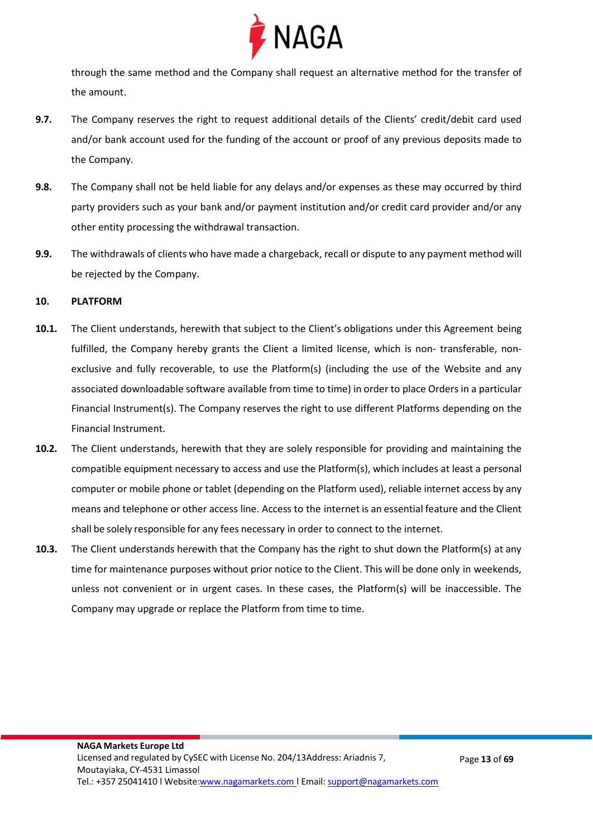

through the same method and the Company shall request an alternative method for the transfer of the amount.

- **9.7.** The Company reserves the right to request additional details of the Clients' credit/debit card used and/or bank account used for the funding of the account or proof of any previous deposits made to the Company.
- **9.8.** The Company shall not be held liable for any delays and/or expenses as these may occurred by third party providers such as your bank and/or payment institution and/or credit card provider and/or any other entity processing the withdrawal transaction.
- **9.9.** The withdrawals of clients who have made a chargeback, recall or dispute to any payment method will be rejected by the Company.

#### **10. PLATFORM**

- **10.1.** The Client understands, herewith that subject to the Client's obligations under this Agreement being fulfilled, the Company hereby grants the Client a limited license, which is non- transferable, nonexclusive and fully recoverable, to use the Platform(s) (including the use of the Website and any associated downloadable software available from time to time) in order to place Orders in a particular Financial Instrument(s). The Company reserves the right to use different Platforms depending on the Financial Instrument.
- **10.2.** The Client understands, herewith that they are solely responsible for providing and maintaining the compatible equipment necessary to access and use the Platform(s), which includes at least a personal computer or mobile phone or tablet (depending on the Platform used), reliable internet access by any means and telephone or other access line. Access to the internet is an essential feature and the Client shall be solely responsible for any fees necessary in order to connect to the internet.
- **10.3.** The Client understands herewith that the Company has the right to shut down the Platform(s) at any time for maintenance purposes without prior notice to the Client. This will be done only in weekends, unless not convenient or in urgent cases. In these cases, the Platform(s) will be inaccessible. The Company may upgrade or replace the Platform from time to time.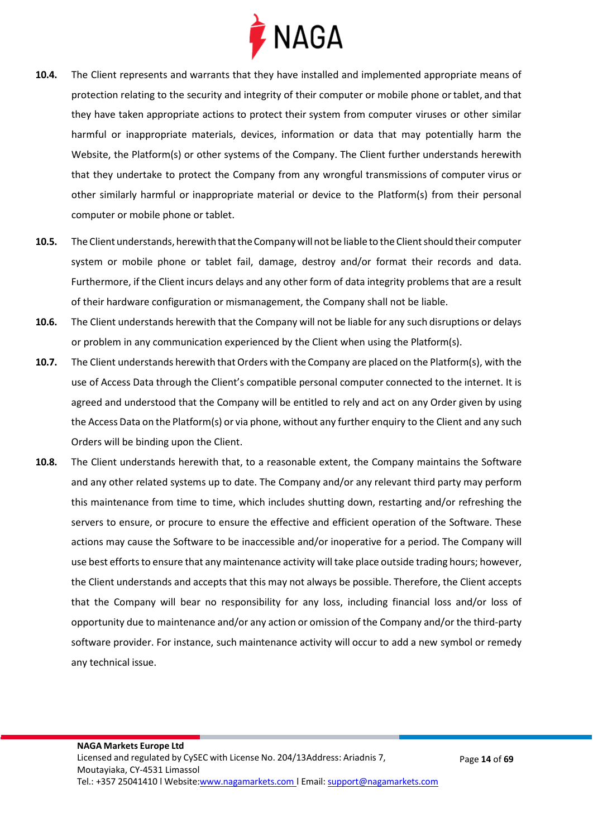

- **10.4.** The Client represents and warrants that they have installed and implemented appropriate means of protection relating to the security and integrity of their computer or mobile phone ortablet, and that they have taken appropriate actions to protect their system from computer viruses or other similar harmful or inappropriate materials, devices, information or data that may potentially harm the Website, the Platform(s) or other systems of the Company. The Client further understands herewith that they undertake to protect the Company from any wrongful transmissions of computer virus or other similarly harmful or inappropriate material or device to the Platform(s) from their personal computer or mobile phone or tablet.
- 10.5. The Client understands, herewith that the Company will not be liable to the Client should their computer system or mobile phone or tablet fail, damage, destroy and/or format their records and data. Furthermore, if the Client incurs delays and any other form of data integrity problems that are a result of their hardware configuration or mismanagement, the Company shall not be liable.
- **10.6.** The Client understands herewith that the Company will not be liable for any such disruptions or delays or problem in any communication experienced by the Client when using the Platform(s).
- **10.7.** The Client understands herewith that Orders with the Company are placed on the Platform(s), with the use of Access Data through the Client's compatible personal computer connected to the internet. It is agreed and understood that the Company will be entitled to rely and act on any Order given by using the Access Data on the Platform(s) or via phone, without any further enquiry to the Client and any such Orders will be binding upon the Client.
- **10.8.** The Client understands herewith that, to a reasonable extent, the Company maintains the Software and any other related systems up to date. The Company and/or any relevant third party may perform this maintenance from time to time, which includes shutting down, restarting and/or refreshing the servers to ensure, or procure to ensure the effective and efficient operation of the Software. These actions may cause the Software to be inaccessible and/or inoperative for a period. The Company will use best efforts to ensure that any maintenance activity will take place outside trading hours; however, the Client understands and accepts that this may not always be possible. Therefore, the Client accepts that the Company will bear no responsibility for any loss, including financial loss and/or loss of opportunity due to maintenance and/or any action or omission of the Company and/or the third-party software provider. For instance, such maintenance activity will occur to add a new symbol or remedy any technical issue.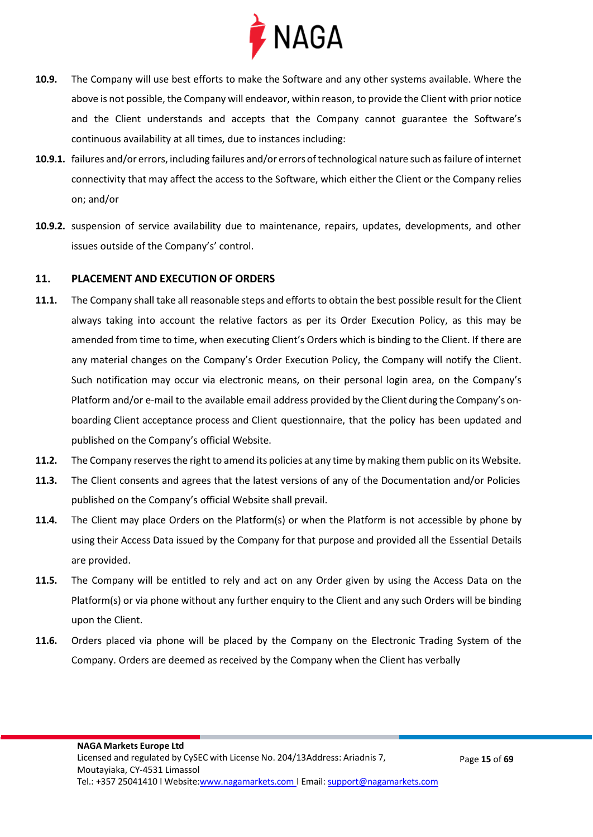

- **10.9.** The Company will use best efforts to make the Software and any other systems available. Where the above is not possible, the Company will endeavor, within reason, to provide the Client with prior notice and the Client understands and accepts that the Company cannot guarantee the Software's continuous availability at all times, due to instances including:
- **10.9.1.** failures and/or errors, including failures and/or errorsoftechnological nature such as failure of internet connectivity that may affect the access to the Software, which either the Client or the Company relies on; and/or
- **10.9.2.** suspension of service availability due to maintenance, repairs, updates, developments, and other issues outside of the Company's' control.

#### <span id="page-14-0"></span>**11. PLACEMENT AND EXECUTION OF ORDERS**

- **11.1.** The Company shall take all reasonable steps and efforts to obtain the best possible result for the Client always taking into account the relative factors as per its Order Execution Policy, as this may be amended from time to time, when executing Client's Orders which is binding to the Client. If there are any material changes on the Company's Order Execution Policy, the Company will notify the Client. Such notification may occur via electronic means, on their personal login area, on the Company's Platform and/or e-mail to the available email address provided by the Client during the Company's onboarding Client acceptance process and Client questionnaire, that the policy has been updated and published on the Company's official Website.
- **11.2.** The Company reserves the right to amend its policies at any time by making them public on its Website.
- **11.3.** The Client consents and agrees that the latest versions of any of the Documentation and/or Policies published on the Company's official Website shall prevail.
- **11.4.** The Client may place Orders on the Platform(s) or when the Platform is not accessible by phone by using their Access Data issued by the Company for that purpose and provided all the Essential Details are provided.
- **11.5.** The Company will be entitled to rely and act on any Order given by using the Access Data on the Platform(s) or via phone without any further enquiry to the Client and any such Orders will be binding upon the Client.
- **11.6.** Orders placed via phone will be placed by the Company on the Electronic Trading System of the Company. Orders are deemed as received by the Company when the Client has verbally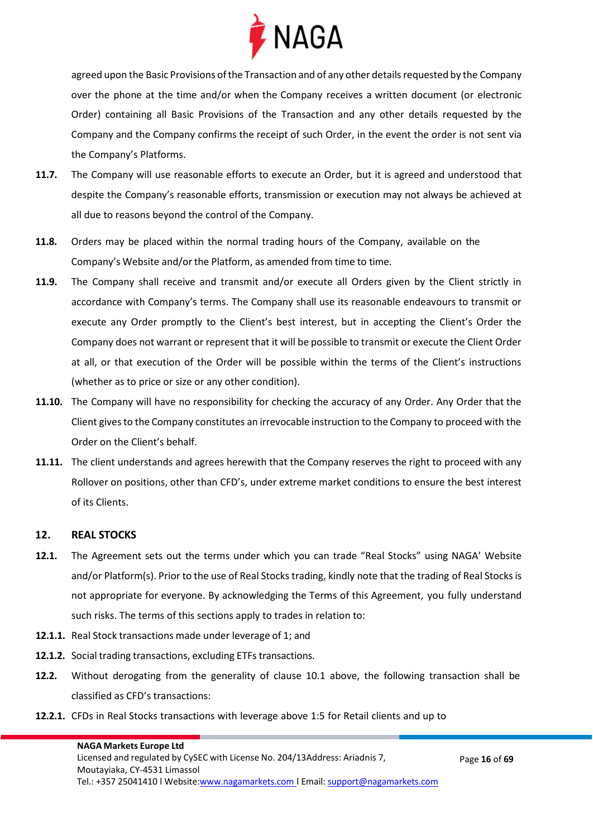

agreed upon the Basic Provisions of the Transaction and of any other details requested by the Company over the phone at the time and/or when the Company receives a written document (or electronic Order) containing all Basic Provisions of the Transaction and any other details requested by the Company and the Company confirms the receipt of such Order, in the event the order is not sent via the Company's Platforms.

- **11.7.** The Company will use reasonable efforts to execute an Order, but it is agreed and understood that despite the Company's reasonable efforts, transmission or execution may not always be achieved at all due to reasons beyond the control of the Company.
- **11.8.** Orders may be placed within the normal trading hours of the Company, available on the Company's Website and/or the Platform, as amended from time to time.
- **11.9.** The Company shall receive and transmit and/or execute all Orders given by the Client strictly in accordance with Company's terms. The Company shall use its reasonable endeavours to transmit or execute any Order promptly to the Client's best interest, but in accepting the Client's Order the Company does not warrant or represent that it will be possible to transmit or execute the Client Order at all, or that execution of the Order will be possible within the terms of the Client's instructions (whether as to price or size or any other condition).
- **11.10.** The Company will have no responsibility for checking the accuracy of any Order. Any Order that the Client gives to the Company constitutes an irrevocable instruction to the Company to proceed with the Order on the Client's behalf.
- **11.11.** The client understands and agrees herewith that the Company reserves the right to proceed with any Rollover on positions, other than CFD's, under extreme market conditions to ensure the best interest of its Clients.

#### <span id="page-15-0"></span>**12. REAL STOCKS**

- **12.1.** The Agreement sets out the terms under which you can trade "Real Stocks" using NAGA' Website and/or Platform(s). Prior to the use of Real Stocks trading, kindly note that the trading of Real Stocks is not appropriate for everyone. By acknowledging the Terms of this Agreement, you fully understand such risks. The terms of this sections apply to trades in relation to:
- **12.1.1.** Real Stock transactions made under leverage of 1; and
- **12.1.2.** Social trading transactions, excluding ETFs transactions.
- **12.2.** Without derogating from the generality of clause 10.1 above, the following transaction shall be classified as CFD's transactions:
- **12.2.1.** CFDs in Real Stocks transactions with leverage above 1:5 for Retail clients and up to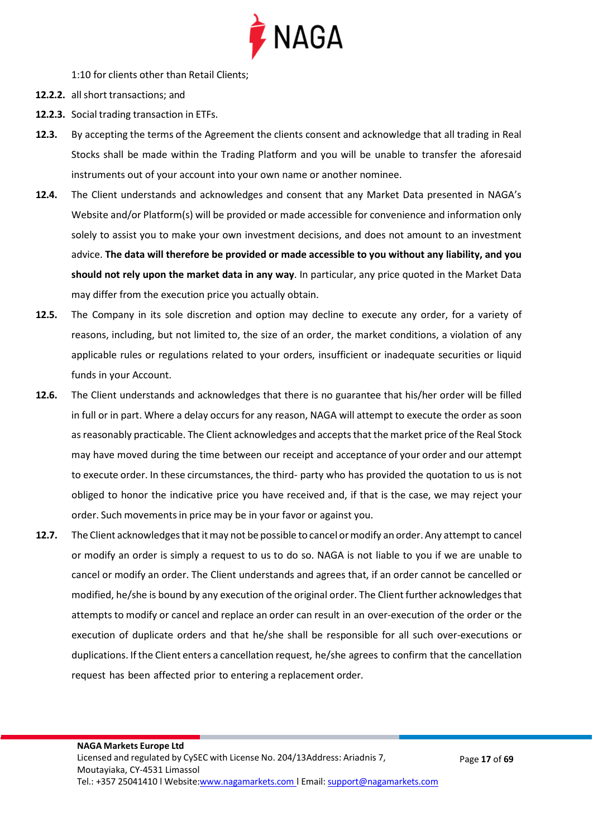

1:10 for clients other than Retail Clients;

- 12.2.2. all short transactions; and
- **12.2.3.** Social trading transaction in ETFs.
- **12.3.** By accepting the terms of the Agreement the clients consent and acknowledge that all trading in Real Stocks shall be made within the Trading Platform and you will be unable to transfer the aforesaid instruments out of your account into your own name or another nominee.
- **12.4.** The Client understands and acknowledges and consent that any Market Data presented in NAGA's Website and/or Platform(s) will be provided or made accessible for convenience and information only solely to assist you to make your own investment decisions, and does not amount to an investment advice. **The data will therefore be provided or made accessible to you without any liability, and you should not rely upon the market data in any way**. In particular, any price quoted in the Market Data may differ from the execution price you actually obtain.
- **12.5.** The Company in its sole discretion and option may decline to execute any order, for a variety of reasons, including, but not limited to, the size of an order, the market conditions, a violation of any applicable rules or regulations related to your orders, insufficient or inadequate securities or liquid funds in your Account.
- **12.6.** The Client understands and acknowledges that there is no guarantee that his/her order will be filled in full or in part. Where a delay occurs for any reason, NAGA will attempt to execute the order as soon as reasonably practicable. The Client acknowledges and accepts that the market price of the Real Stock may have moved during the time between our receipt and acceptance of your order and our attempt to execute order. In these circumstances, the third- party who has provided the quotation to us is not obliged to honor the indicative price you have received and, if that is the case, we may reject your order. Such movementsin price may be in your favor or against you.
- **12.7.** The Client acknowledgesthat itmay not be possible to cancel ormodify an order. Any attempt to cancel or modify an order is simply a request to us to do so. NAGA is not liable to you if we are unable to cancel or modify an order. The Client understands and agrees that, if an order cannot be cancelled or modified, he/she is bound by any execution of the original order. The Client further acknowledgesthat attempts to modify or cancel and replace an order can result in an over-execution of the order or the execution of duplicate orders and that he/she shall be responsible for all such over-executions or duplications. If the Client enters a cancellation request, he/she agrees to confirm that the cancellation request has been affected prior to entering a replacement order.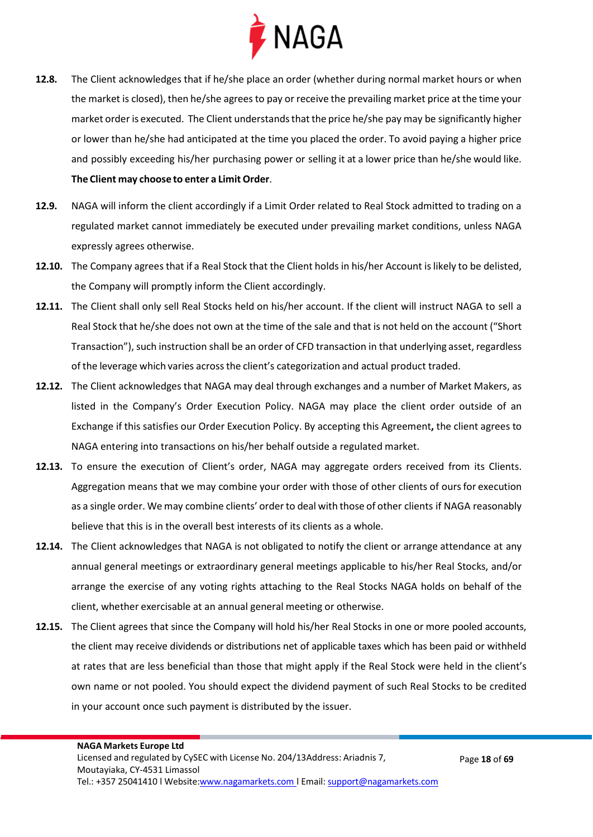

- **12.8.** The Client acknowledges that if he/she place an order (whether during normal market hours or when the market is closed), then he/she agrees to pay or receive the prevailing market price at the time your market order is executed. The Client understands that the price he/she pay may be significantly higher or lower than he/she had anticipated at the time you placed the order. To avoid paying a higher price and possibly exceeding his/her purchasing power or selling it at a lower price than he/she would like. **The Client may choose to enter a Limit Order**.
- **12.9.** NAGA will inform the client accordingly if a Limit Order related to Real Stock admitted to trading on a regulated market cannot immediately be executed under prevailing market conditions, unless NAGA expressly agrees otherwise.
- **12.10.** The Company agrees that if a Real Stock that the Client holds in his/her Account islikely to be delisted, the Company will promptly inform the Client accordingly.
- **12.11.** The Client shall only sell Real Stocks held on his/her account. If the client will instruct NAGA to sell a Real Stock that he/she does not own at the time of the sale and that is not held on the account ("Short Transaction"), such instruction shall be an order of CFD transaction in that underlying asset, regardless of the leverage which varies acrossthe client's categorization and actual product traded.
- **12.12.** The Client acknowledges that NAGA may deal through exchanges and a number of Market Makers, as listed in the Company's Order Execution Policy. NAGA may place the client order outside of an Exchange if this satisfies our Order Execution Policy. By accepting this Agreement**,** the client agrees to NAGA entering into transactions on his/her behalf outside a regulated market.
- **12.13.** To ensure the execution of Client's order, NAGA may aggregate orders received from its Clients. Aggregation means that we may combine your order with those of other clients of ours for execution as a single order. We may combine clients' order to deal with those of other clients if NAGA reasonably believe that this is in the overall best interests of its clients as a whole.
- **12.14.** The Client acknowledges that NAGA is not obligated to notify the client or arrange attendance at any annual general meetings or extraordinary general meetings applicable to his/her Real Stocks, and/or arrange the exercise of any voting rights attaching to the Real Stocks NAGA holds on behalf of the client, whether exercisable at an annual general meeting or otherwise.
- **12.15.** The Client agrees that since the Company will hold his/her Real Stocks in one or more pooled accounts, the client may receive dividends or distributions net of applicable taxes which has been paid or withheld at rates that are less beneficial than those that might apply if the Real Stock were held in the client's own name or not pooled. You should expect the dividend payment of such Real Stocks to be credited in your account once such payment is distributed by the issuer.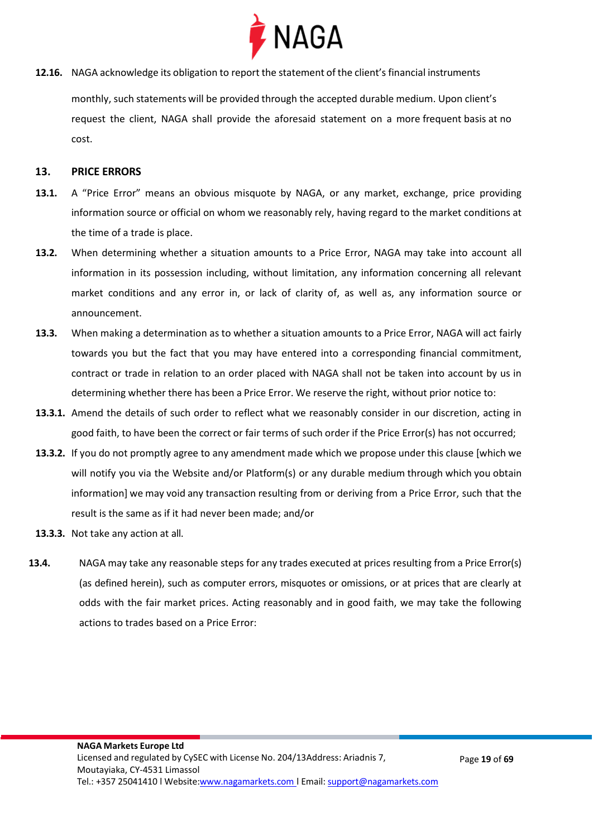

**12.16.** NAGA acknowledge its obligation to report the statement of the client's financial instruments

monthly, such statements will be provided through the accepted durable medium. Upon client's request the client, NAGA shall provide the aforesaid statement on a more frequent basis at no cost.

#### <span id="page-18-0"></span>**13. PRICE ERRORS**

- **13.1.** A "Price Error" means an obvious misquote by NAGA, or any market, exchange, price providing information source or official on whom we reasonably rely, having regard to the market conditions at the time of a trade is place.
- **13.2.** When determining whether a situation amounts to a Price Error, NAGA may take into account all information in its possession including, without limitation, any information concerning all relevant market conditions and any error in, or lack of clarity of, as well as, any information source or announcement.
- **13.3.** When making a determination as to whether a situation amounts to a Price Error, NAGA will act fairly towards you but the fact that you may have entered into a corresponding financial commitment, contract or trade in relation to an order placed with NAGA shall not be taken into account by us in determining whether there has been a Price Error. We reserve the right, without prior notice to:
- **13.3.1.** Amend the details of such order to reflect what we reasonably consider in our discretion, acting in good faith, to have been the correct or fair terms of such order if the Price Error(s) has not occurred;
- **13.3.2.** If you do not promptly agree to any amendment made which we propose under this clause [which we will notify you via the Website and/or Platform(s) or any durable medium through which you obtain information] we may void any transaction resulting from or deriving from a Price Error, such that the result is the same as if it had never been made; and/or
- **13.3.3.** Not take any action at all.
- **13.4.** NAGA may take any reasonable steps for any trades executed at prices resulting from a Price Error(s) (as defined herein), such as computer errors, misquotes or omissions, or at prices that are clearly at odds with the fair market prices. Acting reasonably and in good faith, we may take the following actions to trades based on a Price Error: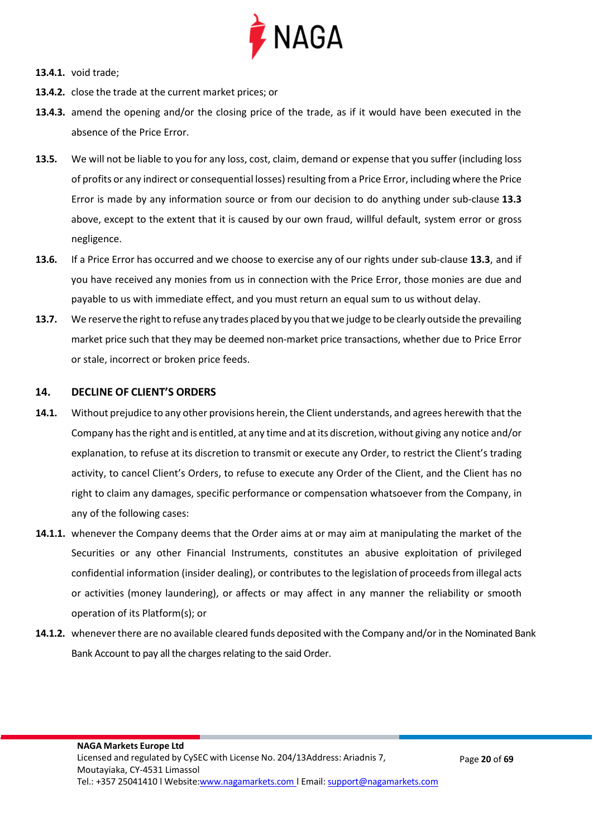

- **13.4.1.** void trade;
- **13.4.2.** close the trade at the current market prices; or
- **13.4.3.** amend the opening and/or the closing price of the trade, as if it would have been executed in the absence of the Price Error.
- **13.5.** We will not be liable to you for any loss, cost, claim, demand or expense that you suffer (including loss of profits or any indirect or consequential losses) resulting from a Price Error, including where the Price Error is made by any information source or from our decision to do anything under sub-clause **13.3** above, except to the extent that it is caused by our own fraud, willful default, system error or gross negligence.
- **13.6.** If a Price Error has occurred and we choose to exercise any of our rights under sub-clause **13.3**, and if you have received any monies from us in connection with the Price Error, those monies are due and payable to us with immediate effect, and you must return an equal sum to us without delay.
- **13.7.** We reserve the right to refuse any trades placed by you that we judge to be clearly outside the prevailing market price such that they may be deemed non-market price transactions, whether due to Price Error or stale, incorrect or broken price feeds.

#### <span id="page-19-0"></span>**14. DECLINE OF CLIENT'S ORDERS**

- **14.1.** Without prejudice to any other provisions herein, the Client understands, and agrees herewith that the Company hasthe right and is entitled, at any time and atits discretion, without giving any notice and/or explanation, to refuse at its discretion to transmit or execute any Order, to restrict the Client's trading activity, to cancel Client's Orders, to refuse to execute any Order of the Client, and the Client has no right to claim any damages, specific performance or compensation whatsoever from the Company, in any of the following cases:
- **14.1.1.** whenever the Company deems that the Order aims at or may aim at manipulating the market of the Securities or any other Financial Instruments, constitutes an abusive exploitation of privileged confidential information (insider dealing), or contributes to the legislation of proceeds from illegal acts or activities (money laundering), or affects or may affect in any manner the reliability or smooth operation of its Platform(s); or
- **14.1.2.** wheneverthere are no available cleared funds deposited with the Company and/or in the Nominated Bank Bank Account to pay all the charges relating to the said Order.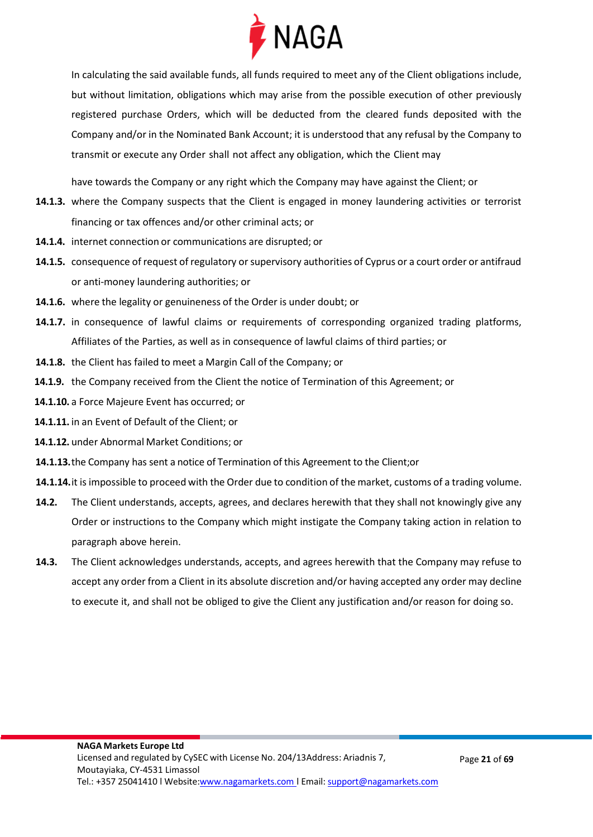

In calculating the said available funds, all funds required to meet any of the Client obligations include, but without limitation, obligations which may arise from the possible execution of other previously registered purchase Orders, which will be deducted from the cleared funds deposited with the Company and/or in the Nominated Bank Account; it is understood that any refusal by the Company to transmit or execute any Order shall not affect any obligation, which the Client may

have towards the Company or any right which the Company may have against the Client; or

- **14.1.3.** where the Company suspects that the Client is engaged in money laundering activities or terrorist financing or tax offences and/or other criminal acts; or
- **14.1.4.** internet connection or communications are disrupted; or
- **14.1.5.** consequence of request of regulatory or supervisory authorities of Cyprus or a court order or antifraud or anti-money laundering authorities; or
- **14.1.6.** where the legality or genuineness of the Order is under doubt; or
- **14.1.7.** in consequence of lawful claims or requirements of corresponding organized trading platforms, Affiliates of the Parties, as well as in consequence of lawful claims of third parties; or
- **14.1.8.** the Client has failed to meet a Margin Call of the Company; or
- **14.1.9.** the Company received from the Client the notice of Termination of this Agreement; or
- **14.1.10.** a Force Majeure Event has occurred; or
- **14.1.11.** in an Event of Default of the Client; or
- **14.1.12.** under Abnormal Market Conditions; or
- **14.1.13.**the Company has sent a notice of Termination of this Agreement to the Client;or
- **14.1.14.**it isimpossible to proceed with the Order due to condition of the market, customs of a trading volume.
- **14.2.** The Client understands, accepts, agrees, and declares herewith that they shall not knowingly give any Order or instructions to the Company which might instigate the Company taking action in relation to paragraph above herein.
- **14.3.** The Client acknowledges understands, accepts, and agrees herewith that the Company may refuse to accept any order from a Client in its absolute discretion and/or having accepted any order may decline to execute it, and shall not be obliged to give the Client any justification and/or reason for doing so.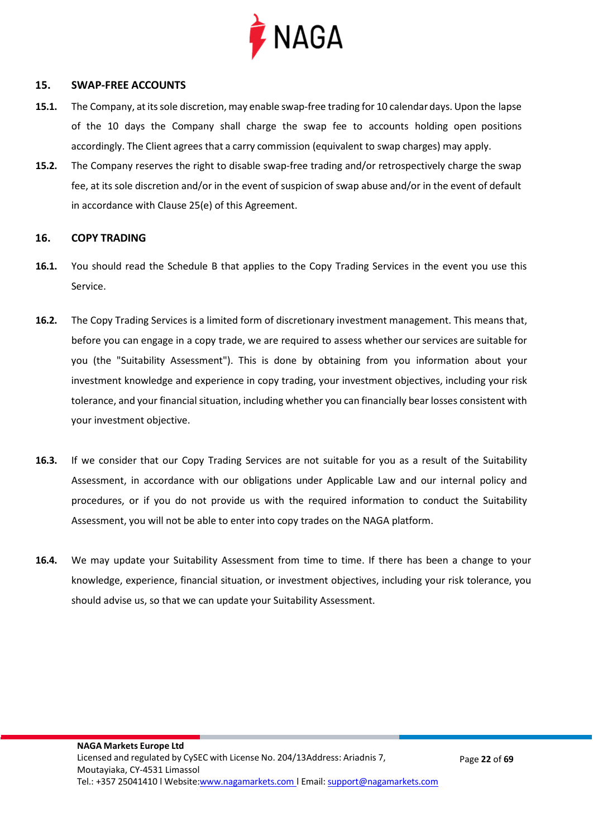

#### <span id="page-21-0"></span>**15. SWAP-FREE ACCOUNTS**

- **15.1.** The Company, at itssole discretion, may enable swap-free trading for 10 calendar days. Upon the lapse of the 10 days the Company shall charge the swap fee to accounts holding open positions accordingly. The Client agrees that a carry commission (equivalent to swap charges) may apply.
- **15.2.** The Company reserves the right to disable swap-free trading and/or retrospectively charge the swap fee, at its sole discretion and/or in the event of suspicion of swap abuse and/or in the event of default in accordance with Clause 25(e) of this Agreement.

#### <span id="page-21-1"></span>**16. COPY TRADING**

- **16.1.** You should read the Schedule B that applies to the Copy Trading Services in the event you use this Service.
- **16.2.** The Copy Trading Services is a limited form of discretionary investment management. This means that, before you can engage in a copy trade, we are required to assess whether our services are suitable for you (the "Suitability Assessment"). This is done by obtaining from you information about your investment knowledge and experience in copy trading, your investment objectives, including your risk tolerance, and your financial situation, including whether you can financially bear losses consistent with your investment objective.
- **16.3.** If we consider that our Copy Trading Services are not suitable for you as a result of the Suitability Assessment, in accordance with our obligations under Applicable Law and our internal policy and procedures, or if you do not provide us with the required information to conduct the Suitability Assessment, you will not be able to enter into copy trades on the NAGA platform.
- **16.4.** We may update your Suitability Assessment from time to time. If there has been a change to your knowledge, experience, financial situation, or investment objectives, including your risk tolerance, you should advise us, so that we can update your Suitability Assessment.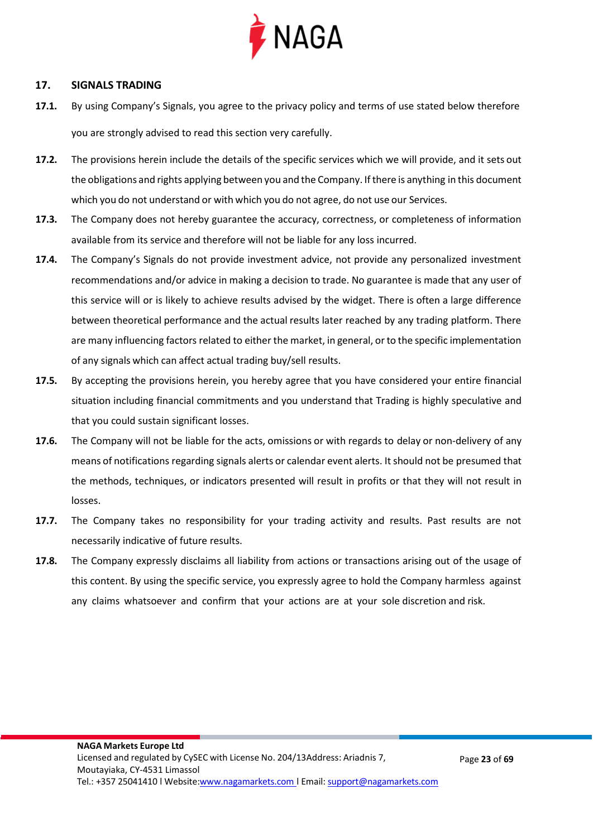

#### <span id="page-22-0"></span>**17. SIGNALS TRADING**

- **17.1.** By using Company's Signals, you agree to the privacy policy and terms of use stated below therefore you are strongly advised to read this section very carefully.
- **17.2.** The provisions herein include the details of the specific services which we will provide, and it sets out the obligations and rights applying between you and the Company. If there is anything in this document which you do not understand or with which you do not agree, do not use our Services.
- **17.3.** The Company does not hereby guarantee the accuracy, correctness, or completeness of information available from its service and therefore will not be liable for any loss incurred.
- **17.4.** The Company's Signals do not provide investment advice, not provide any personalized investment recommendations and/or advice in making a decision to trade. No guarantee is made that any user of this service will or is likely to achieve results advised by the widget. There is often a large difference between theoretical performance and the actual results later reached by any trading platform. There are many influencing factors related to either the market, in general, orto the specific implementation of any signals which can affect actual trading buy/sell results.
- **17.5.** By accepting the provisions herein, you hereby agree that you have considered your entire financial situation including financial commitments and you understand that Trading is highly speculative and that you could sustain significant losses.
- **17.6.** The Company will not be liable for the acts, omissions or with regards to delay or non-delivery of any means of notifications regarding signals alerts or calendar event alerts. It should not be presumed that the methods, techniques, or indicators presented will result in profits or that they will not result in losses.
- **17.7.** The Company takes no responsibility for your trading activity and results. Past results are not necessarily indicative of future results.
- **17.8.** The Company expressly disclaims all liability from actions or transactions arising out of the usage of this content. By using the specific service, you expressly agree to hold the Company harmless against any claims whatsoever and confirm that your actions are at your sole discretion and risk.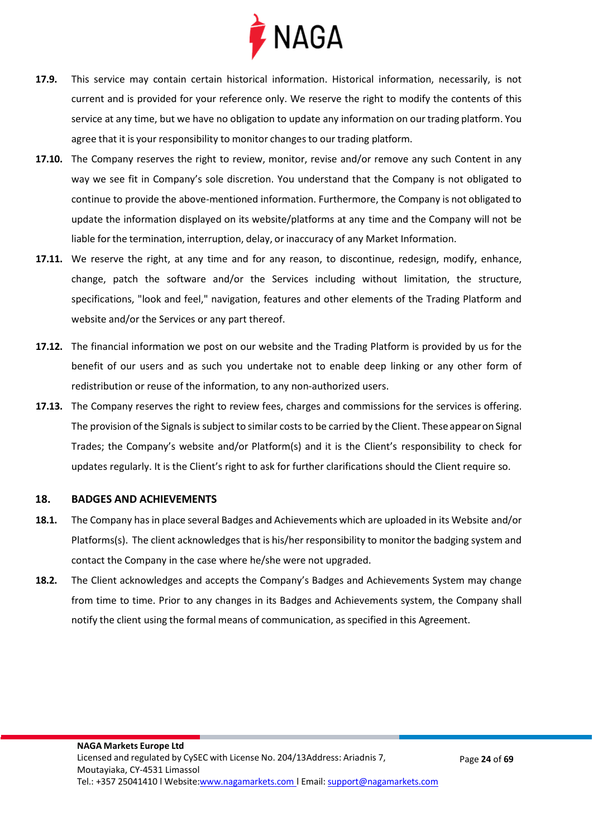

- **17.9.** This service may contain certain historical information. Historical information, necessarily, is not current and is provided for your reference only. We reserve the right to modify the contents of this service at any time, but we have no obligation to update any information on our trading platform. You agree that it is your responsibility to monitor changes to our trading platform.
- **17.10.** The Company reserves the right to review, monitor, revise and/or remove any such Content in any way we see fit in Company's sole discretion. You understand that the Company is not obligated to continue to provide the above-mentioned information. Furthermore, the Company is not obligated to update the information displayed on its website/platforms at any time and the Company will not be liable forthe termination, interruption, delay, or inaccuracy of any Market Information.
- **17.11.** We reserve the right, at any time and for any reason, to discontinue, redesign, modify, enhance, change, patch the software and/or the Services including without limitation, the structure, specifications, "look and feel," navigation, features and other elements of the Trading Platform and website and/or the Services or any part thereof.
- **17.12.** The financial information we post on our website and the Trading Platform is provided by us for the benefit of our users and as such you undertake not to enable deep linking or any other form of redistribution or reuse of the information, to any non-authorized users.
- **17.13.** The Company reserves the right to review fees, charges and commissions for the services is offering. The provision of the Signals is subject to similar costs to be carried by the Client. These appearon Signal Trades; the Company's website and/or Platform(s) and it is the Client's responsibility to check for updates regularly. It is the Client's right to ask for further clarifications should the Client require so.

#### <span id="page-23-0"></span>**18. BADGES AND ACHIEVEMENTS**

- **18.1.** The Company has in place several Badges and Achievements which are uploaded in its Website and/or Platforms(s). The client acknowledges that is his/her responsibility to monitorthe badging system and contact the Company in the case where he/she were not upgraded.
- **18.2.** The Client acknowledges and accepts the Company's Badges and Achievements System may change from time to time. Prior to any changes in its Badges and Achievements system, the Company shall notify the client using the formal means of communication, as specified in this Agreement.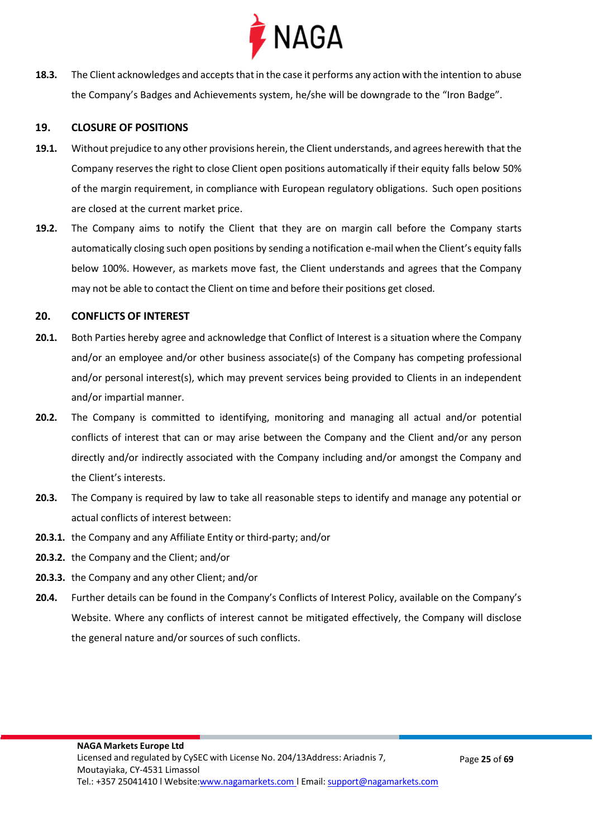

**18.3.** The Client acknowledges and accepts that in the case it performs any action with the intention to abuse the Company's Badges and Achievements system, he/she will be downgrade to the "Iron Badge".

#### <span id="page-24-0"></span>**19. CLOSURE OF POSITIONS**

- **19.1.** Without prejudice to any other provisions herein, the Client understands, and agrees herewith that the Company reserves the right to close Client open positions automatically if their equity falls below 50% of the margin requirement, in compliance with European regulatory obligations. Such open positions are closed at the current market price.
- **19.2.** The Company aims to notify the Client that they are on margin call before the Company starts automatically closing such open positions by sending a notification e-mail when the Client's equity falls below 100%. However, as markets move fast, the Client understands and agrees that the Company may not be able to contact the Client on time and before their positions get closed.

#### <span id="page-24-1"></span>**20. CONFLICTS OF INTEREST**

- **20.1.** Both Parties hereby agree and acknowledge that Conflict of Interest is a situation where the Company and/or an employee and/or other business associate(s) of the Company has competing professional and/or personal interest(s), which may prevent services being provided to Clients in an independent and/or impartial manner.
- **20.2.** The Company is committed to identifying, monitoring and managing all actual and/or potential conflicts of interest that can or may arise between the Company and the Client and/or any person directly and/or indirectly associated with the Company including and/or amongst the Company and the Client's interests.
- **20.3.** The Company is required by law to take all reasonable steps to identify and manage any potential or actual conflicts of interest between:
- **20.3.1.** the Company and any Affiliate Entity or third-party; and/or
- **20.3.2.** the Company and the Client; and/or
- **20.3.3.** the Company and any other Client; and/or
- **20.4.** Further details can be found in the Company's Conflicts of Interest Policy, available on the Company's Website. Where any conflicts of interest cannot be mitigated effectively, the Company will disclose the general nature and/or sources of such conflicts.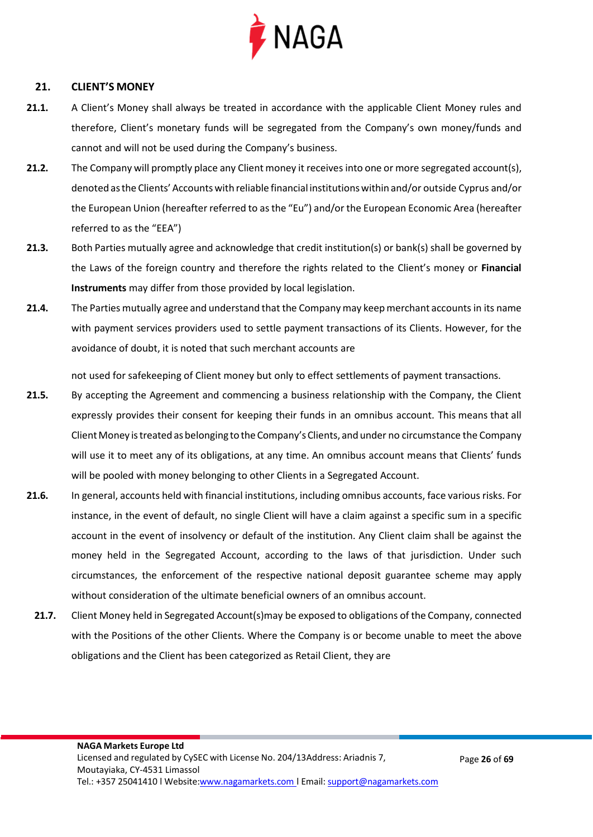

#### <span id="page-25-0"></span>**21. CLIENT'S MONEY**

- **21.1.** A Client's Money shall always be treated in accordance with the applicable Client Money rules and therefore, Client's monetary funds will be segregated from the Company's own money/funds and cannot and will not be used during the Company's business.
- **21.2.** The Company will promptly place any Client money it receives into one or more segregated account(s), denoted as the Clients' Accounts with reliable financial institutions within and/or outside Cyprus and/or the European Union (hereafter referred to as the "Eu") and/or the European Economic Area (hereafter referred to as the "EEA")
- **21.3.** Both Parties mutually agree and acknowledge that credit institution(s) or bank(s) shall be governed by the Laws of the foreign country and therefore the rights related to the Client's money or **Financial Instruments** may differ from those provided by local legislation.
- **21.4.** The Parties mutually agree and understand that the Companymay keepmerchant accounts in its name with payment services providers used to settle payment transactions of its Clients. However, for the avoidance of doubt, it is noted that such merchant accounts are

not used for safekeeping of Client money but only to effect settlements of payment transactions.

- **21.5.** By accepting the Agreement and commencing a business relationship with the Company, the Client expressly provides their consent for keeping their funds in an omnibus account. This means that all Client Money is treated as belonging to the Company's Clients, and under no circumstance the Company will use it to meet any of its obligations, at any time. An omnibus account means that Clients' funds will be pooled with money belonging to other Clients in a Segregated Account.
- **21.6.** In general, accounts held with financial institutions, including omnibus accounts, face various risks. For instance, in the event of default, no single Client will have a claim against a specific sum in a specific account in the event of insolvency or default of the institution. Any Client claim shall be against the money held in the Segregated Account, according to the laws of that jurisdiction. Under such circumstances, the enforcement of the respective national deposit guarantee scheme may apply without consideration of the ultimate beneficial owners of an omnibus account.
	- **21.7.** Client Money held in Segregated Account(s)may be exposed to obligations of the Company, connected with the Positions of the other Clients. Where the Company is or become unable to meet the above obligations and the Client has been categorized as Retail Client, they are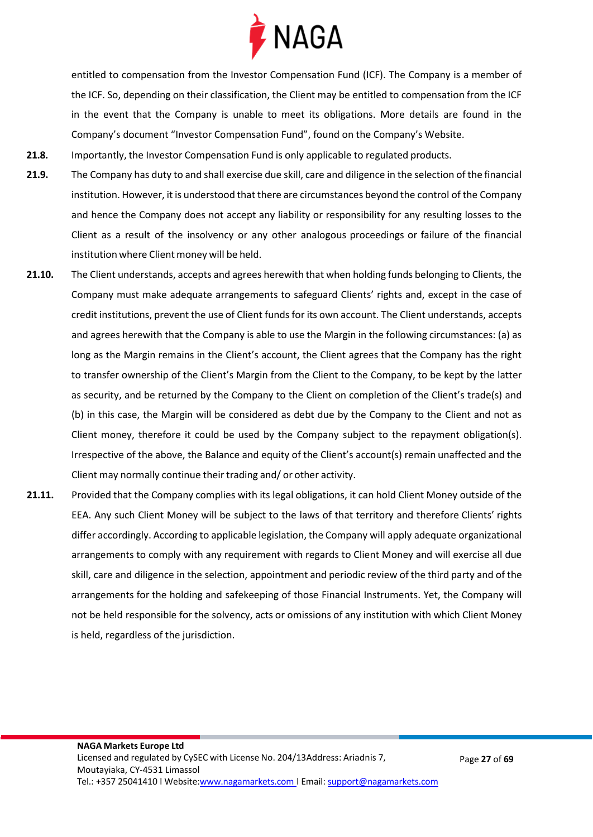

entitled to compensation from the Investor Compensation Fund (ICF). The Company is a member of the ICF. So, depending on their classification, the Client may be entitled to compensation from the ICF in the event that the Company is unable to meet its obligations. More details are found in the Company's document "Investor Compensation Fund", found on the Company's Website.

- **21.8.** Importantly, the Investor Compensation Fund is only applicable to regulated products.
- **21.9.** The Company has duty to and shall exercise due skill, care and diligence in the selection of the financial institution. However, it is understood that there are circumstances beyond the control of the Company and hence the Company does not accept any liability or responsibility for any resulting losses to the Client as a result of the insolvency or any other analogous proceedings or failure of the financial institution where Client money will be held.
- **21.10.** The Client understands, accepts and agrees herewith that when holding funds belonging to Clients, the Company must make adequate arrangements to safeguard Clients' rights and, except in the case of credit institutions, prevent the use of Client funds for its own account. The Client understands, accepts and agrees herewith that the Company is able to use the Margin in the following circumstances: (a) as long as the Margin remains in the Client's account, the Client agrees that the Company has the right to transfer ownership of the Client's Margin from the Client to the Company, to be kept by the latter as security, and be returned by the Company to the Client on completion of the Client's trade(s) and (b) in this case, the Margin will be considered as debt due by the Company to the Client and not as Client money, therefore it could be used by the Company subject to the repayment obligation(s). Irrespective of the above, the Balance and equity of the Client's account(s) remain unaffected and the Client may normally continue their trading and/ or other activity.
- **21.11.** Provided that the Company complies with its legal obligations, it can hold Client Money outside of the EEA. Any such Client Money will be subject to the laws of that territory and therefore Clients' rights differ accordingly. According to applicable legislation, the Company will apply adequate organizational arrangements to comply with any requirement with regards to Client Money and will exercise all due skill, care and diligence in the selection, appointment and periodic review of the third party and of the arrangements for the holding and safekeeping of those Financial Instruments. Yet, the Company will not be held responsible for the solvency, acts or omissions of any institution with which Client Money is held, regardless of the jurisdiction.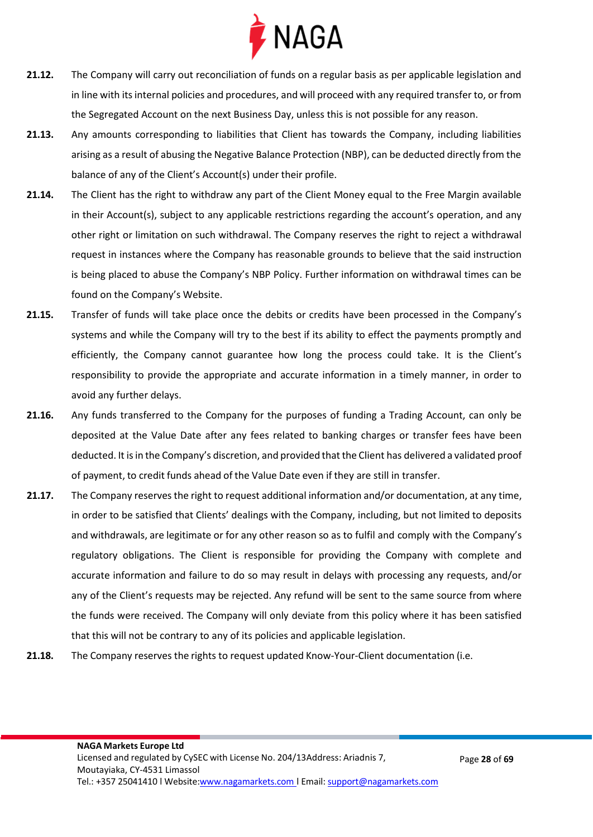

- **21.12.** The Company will carry out reconciliation of funds on a regular basis as per applicable legislation and in line with its internal policies and procedures, and will proceed with any required transfer to, or from the Segregated Account on the next Business Day, unless this is not possible for any reason.
- **21.13.** Any amounts corresponding to liabilities that Client has towards the Company, including liabilities arising as a result of abusing the Negative Balance Protection (NBP), can be deducted directly from the balance of any of the Client's Account(s) under their profile.
- **21.14.** The Client has the right to withdraw any part of the Client Money equal to the Free Margin available in their Account(s), subject to any applicable restrictions regarding the account's operation, and any other right or limitation on such withdrawal. The Company reserves the right to reject a withdrawal request in instances where the Company has reasonable grounds to believe that the said instruction is being placed to abuse the Company's NBP Policy. Further information on withdrawal times can be found on the Company's Website.
- **21.15.** Transfer of funds will take place once the debits or credits have been processed in the Company's systems and while the Company will try to the best if its ability to effect the payments promptly and efficiently, the Company cannot guarantee how long the process could take. It is the Client's responsibility to provide the appropriate and accurate information in a timely manner, in order to avoid any further delays.
- **21.16.** Any funds transferred to the Company for the purposes of funding a Trading Account, can only be deposited at the Value Date after any fees related to banking charges or transfer fees have been deducted. It is in the Company's discretion, and provided that the Client has delivered a validated proof of payment, to credit funds ahead of the Value Date even if they are still in transfer.
- **21.17.** The Company reserves the right to request additional information and/or documentation, at any time, in order to be satisfied that Clients' dealings with the Company, including, but not limited to deposits and withdrawals, are legitimate or for any other reason so as to fulfil and comply with the Company's regulatory obligations. The Client is responsible for providing the Company with complete and accurate information and failure to do so may result in delays with processing any requests, and/or any of the Client's requests may be rejected. Any refund will be sent to the same source from where the funds were received. The Company will only deviate from this policy where it has been satisfied that this will not be contrary to any of its policies and applicable legislation.
- **21.18.** The Company reserves the rights to request updated Know-Your-Client documentation (i.e.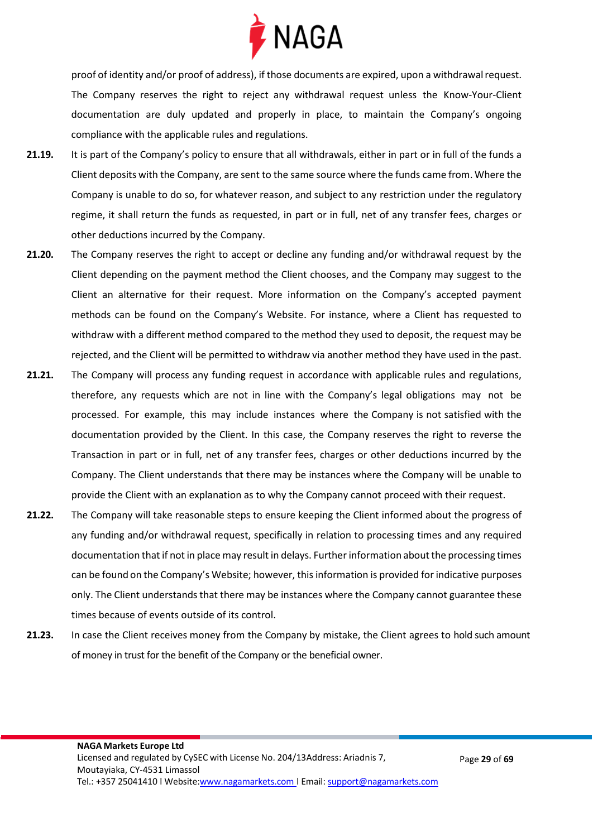

proof of identity and/or proof of address), if those documents are expired, upon a withdrawalrequest. The Company reserves the right to reject any withdrawal request unless the Know-Your-Client documentation are duly updated and properly in place, to maintain the Company's ongoing compliance with the applicable rules and regulations.

- **21.19.** It is part of the Company's policy to ensure that all withdrawals, either in part or in full of the funds a Client deposits with the Company, are sent to the same source where the funds came from. Where the Company is unable to do so, for whatever reason, and subject to any restriction under the regulatory regime, it shall return the funds as requested, in part or in full, net of any transfer fees, charges or other deductions incurred by the Company.
- **21.20.** The Company reserves the right to accept or decline any funding and/or withdrawal request by the Client depending on the payment method the Client chooses, and the Company may suggest to the Client an alternative for their request. More information on the Company's accepted payment methods can be found on the Company's Website. For instance, where a Client has requested to withdraw with a different method compared to the method they used to deposit, the request may be rejected, and the Client will be permitted to withdraw via another method they have used in the past.
- **21.21.** The Company will process any funding request in accordance with applicable rules and regulations, therefore, any requests which are not in line with the Company's legal obligations may not be processed. For example, this may include instances where the Company is not satisfied with the documentation provided by the Client. In this case, the Company reserves the right to reverse the Transaction in part or in full, net of any transfer fees, charges or other deductions incurred by the Company. The Client understands that there may be instances where the Company will be unable to provide the Client with an explanation as to why the Company cannot proceed with their request.
- **21.22.** The Company will take reasonable steps to ensure keeping the Client informed about the progress of any funding and/or withdrawal request, specifically in relation to processing times and any required documentation that if not in place may result in delays. Further information about the processing times can be found on the Company's Website; however, this information is provided for indicative purposes only. The Client understands that there may be instances where the Company cannot guarantee these times because of events outside of its control.
- **21.23.** In case the Client receives money from the Company by mistake, the Client agrees to hold such amount of money in trust for the benefit of the Company or the beneficial owner.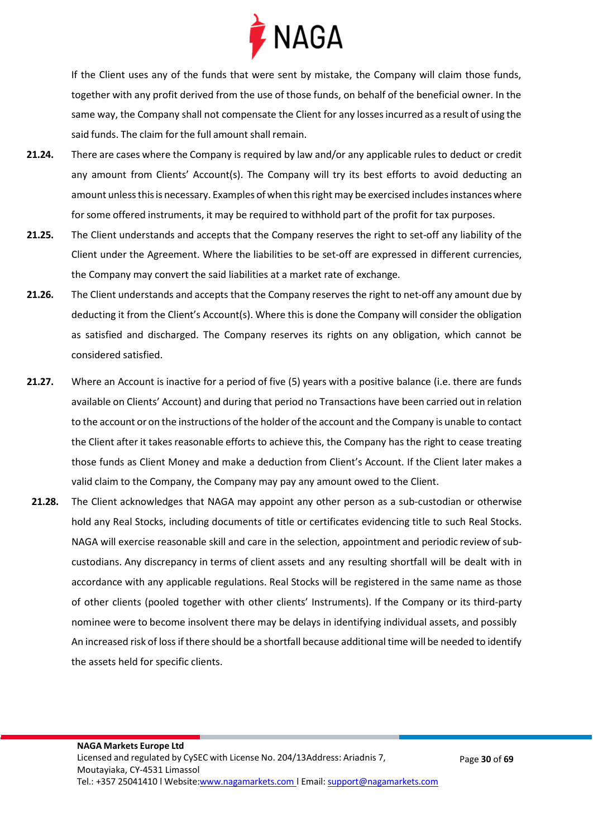

If the Client uses any of the funds that were sent by mistake, the Company will claim those funds, together with any profit derived from the use of those funds, on behalf of the beneficial owner. In the same way, the Company shall not compensate the Client for any losses incurred as a result of using the said funds. The claim forthe full amount shall remain.

- **21.24.** There are cases where the Company is required by law and/or any applicable rules to deduct or credit any amount from Clients' Account(s). The Company will try its best efforts to avoid deducting an amount unless this is necessary. Examples of when this right may be exercised includes instances where for some offered instruments, it may be required to withhold part of the profit for tax purposes.
- **21.25.** The Client understands and accepts that the Company reserves the right to set-off any liability of the Client under the Agreement. Where the liabilities to be set-off are expressed in different currencies, the Company may convert the said liabilities at a market rate of exchange.
- **21.26.** The Client understands and accepts that the Company reserves the right to net-off any amount due by deducting it from the Client's Account(s). Where this is done the Company will consider the obligation as satisfied and discharged. The Company reserves its rights on any obligation, which cannot be considered satisfied.
- **21.27.** Where an Account is inactive for a period of five (5) years with a positive balance (i.e. there are funds available on Clients' Account) and during that period no Transactions have been carried out in relation to the account or on the instructions of the holder ofthe account and the Company is unable to contact the Client after it takes reasonable efforts to achieve this, the Company has the right to cease treating those funds as Client Money and make a deduction from Client's Account. If the Client later makes a valid claim to the Company, the Company may pay any amount owed to the Client.
- **21.28.** The Client acknowledges that NAGA may appoint any other person as a sub-custodian or otherwise hold any Real Stocks, including documents of title or certificates evidencing title to such Real Stocks. NAGA will exercise reasonable skill and care in the selection, appointment and periodic review of subcustodians. Any discrepancy in terms of client assets and any resulting shortfall will be dealt with in accordance with any applicable regulations. Real Stocks will be registered in the same name as those of other clients (pooled together with other clients' Instruments). If the Company or its third-party nominee were to become insolvent there may be delays in identifying individual assets, and possibly An increased risk of loss if there should be a shortfall because additional time will be needed to identify the assets held for specific clients.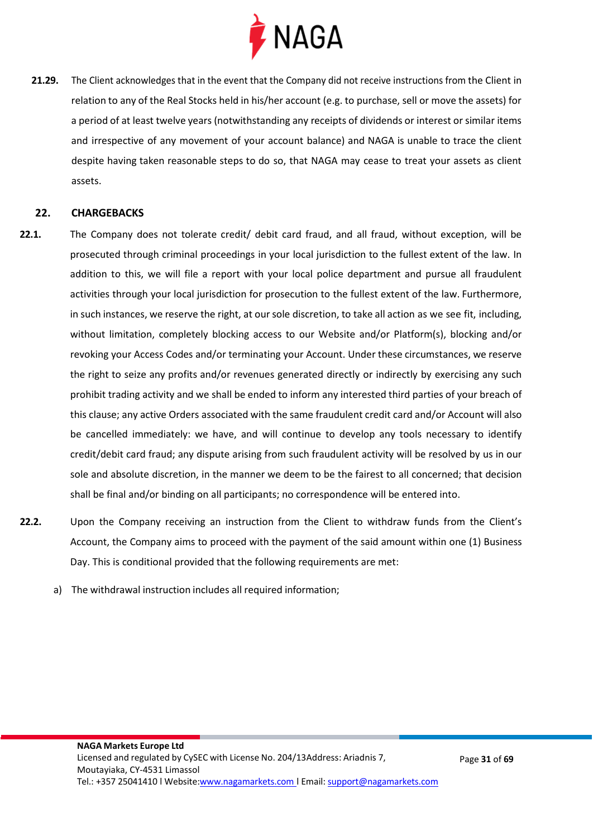

**21.29.** The Client acknowledges that in the event that the Company did not receive instructions from the Client in relation to any of the Real Stocks held in his/her account (e.g. to purchase, sell or move the assets) for a period of at least twelve years (notwithstanding any receipts of dividends or interest or similar items and irrespective of any movement of your account balance) and NAGA is unable to trace the client despite having taken reasonable steps to do so, that NAGA may cease to treat your assets as client assets.

#### <span id="page-30-0"></span>**22. CHARGEBACKS**

- **22.1.** The Company does not tolerate credit/ debit card fraud, and all fraud, without exception, will be prosecuted through criminal proceedings in your local jurisdiction to the fullest extent of the law. In addition to this, we will file a report with your local police department and pursue all fraudulent activities through your local jurisdiction for prosecution to the fullest extent of the law. Furthermore, in such instances, we reserve the right, at oursole discretion, to take all action as we see fit, including, without limitation, completely blocking access to our Website and/or Platform(s), blocking and/or revoking your Access Codes and/or terminating your Account. Under these circumstances, we reserve the right to seize any profits and/or revenues generated directly or indirectly by exercising any such prohibit trading activity and we shall be ended to inform any interested third parties of your breach of this clause; any active Orders associated with the same fraudulent credit card and/or Account will also be cancelled immediately: we have, and will continue to develop any tools necessary to identify credit/debit card fraud; any dispute arising from such fraudulent activity will be resolved by us in our sole and absolute discretion, in the manner we deem to be the fairest to all concerned; that decision shall be final and/or binding on all participants; no correspondence will be entered into.
- **22.2.** Upon the Company receiving an instruction from the Client to withdraw funds from the Client's Account, the Company aims to proceed with the payment of the said amount within one (1) Business Day. This is conditional provided that the following requirements are met:
	- a) The withdrawal instruction includes all required information;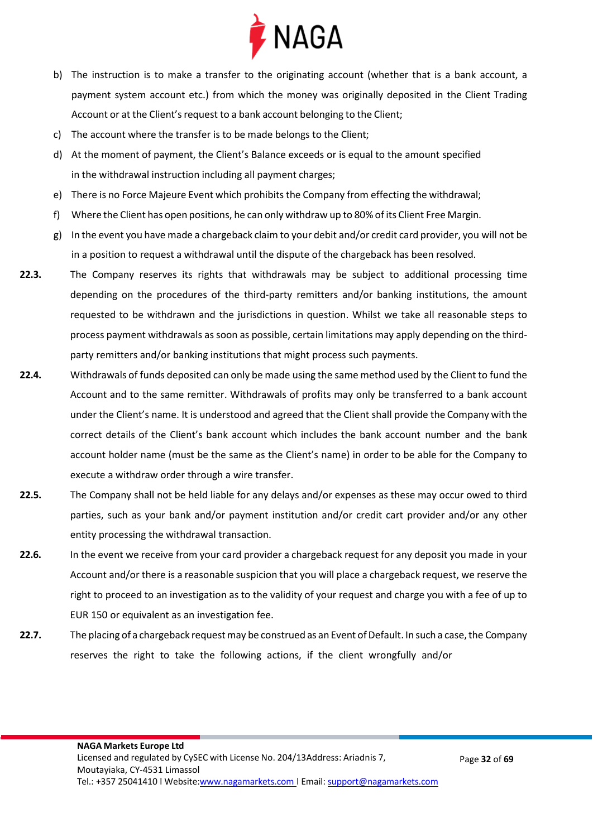

- b) The instruction is to make a transfer to the originating account (whether that is a bank account, a payment system account etc.) from which the money was originally deposited in the Client Trading Account or at the Client's request to a bank account belonging to the Client;
- c) The account where the transfer is to be made belongs to the Client;
- d) At the moment of payment, the Client's Balance exceeds or is equal to the amount specified in the withdrawal instruction including all payment charges;
- e) There is no Force Majeure Event which prohibits the Company from effecting the withdrawal;
- f) Where the Client has open positions, he can only withdraw up to 80% of its Client Free Margin.
- g) In the event you have made a chargeback claim to your debit and/or credit card provider, you will not be in a position to request a withdrawal until the dispute of the chargeback has been resolved.
- **22.3.** The Company reserves its rights that withdrawals may be subject to additional processing time depending on the procedures of the third-party remitters and/or banking institutions, the amount requested to be withdrawn and the jurisdictions in question. Whilst we take all reasonable steps to process payment withdrawals as soon as possible, certain limitations may apply depending on the thirdparty remitters and/or banking institutions that might process such payments.
- **22.4.** Withdrawals of funds deposited can only be made using the same method used by the Client to fund the Account and to the same remitter. Withdrawals of profits may only be transferred to a bank account under the Client's name. It is understood and agreed that the Client shall provide the Company with the correct details of the Client's bank account which includes the bank account number and the bank account holder name (must be the same as the Client's name) in order to be able for the Company to execute a withdraw order through a wire transfer.
- **22.5.** The Company shall not be held liable for any delays and/or expenses as these may occur owed to third parties, such as your bank and/or payment institution and/or credit cart provider and/or any other entity processing the withdrawal transaction.
- **22.6.** In the event we receive from your card provider a chargeback request for any deposit you made in your Account and/or there is a reasonable suspicion that you will place a chargeback request, we reserve the right to proceed to an investigation as to the validity of your request and charge you with a fee of up to EUR 150 or equivalent as an investigation fee.
- 22.7. The placing of a chargeback request may be construed as an Event of Default. In such a case, the Company reserves the right to take the following actions, if the client wrongfully and/or

Page **32** of **69**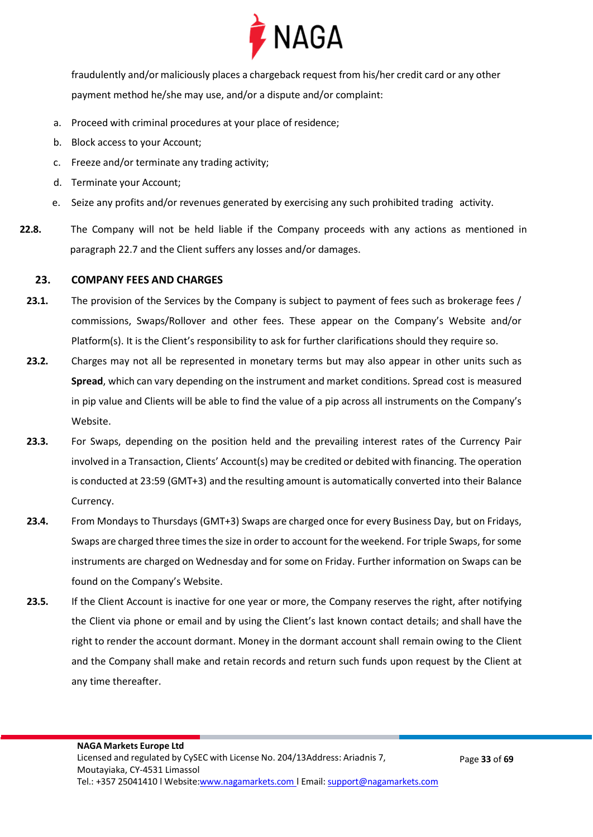

fraudulently and/or maliciously places a chargeback request from his/her credit card or any other payment method he/she may use, and/or a dispute and/or complaint:

- a. Proceed with criminal procedures at your place of residence;
- b. Block access to your Account;
- c. Freeze and/or terminate any trading activity;
- d. Terminate your Account;
- e. Seize any profits and/or revenues generated by exercising any such prohibited trading activity.
- **22.8.** The Company will not be held liable if the Company proceeds with any actions as mentioned in paragraph 22.7 and the Client suffers any losses and/or damages.

#### <span id="page-32-0"></span>**23. COMPANY FEES AND CHARGES**

- **23.1.** The provision of the Services by the Company is subject to payment of fees such as brokerage fees / commissions, Swaps/Rollover and other fees. These appear on the Company's Website and/or Platform(s). It is the Client's responsibility to ask for further clarifications should they require so.
- **23.2.** Charges may not all be represented in monetary terms but may also appear in other units such as **Spread**, which can vary depending on the instrument and market conditions. Spread cost is measured in pip value and Clients will be able to find the value of a pip across all instruments on the Company's Website.
- **23.3.** For Swaps, depending on the position held and the prevailing interest rates of the Currency Pair involved in a Transaction, Clients' Account(s) may be credited or debited with financing. The operation is conducted at 23:59 (GMT+3) and the resulting amount is automatically converted into their Balance Currency.
- **23.4.** From Mondays to Thursdays (GMT+3) Swaps are charged once for every Business Day, but on Fridays, Swaps are charged three times the size in order to account for the weekend. For triple Swaps, for some instruments are charged on Wednesday and for some on Friday. Further information on Swaps can be found on the Company's Website.
- **23.5.** If the Client Account is inactive for one year or more, the Company reserves the right, after notifying the Client via phone or email and by using the Client's last known contact details; and shall have the right to render the account dormant. Money in the dormant account shall remain owing to the Client and the Company shall make and retain records and return such funds upon request by the Client at any time thereafter.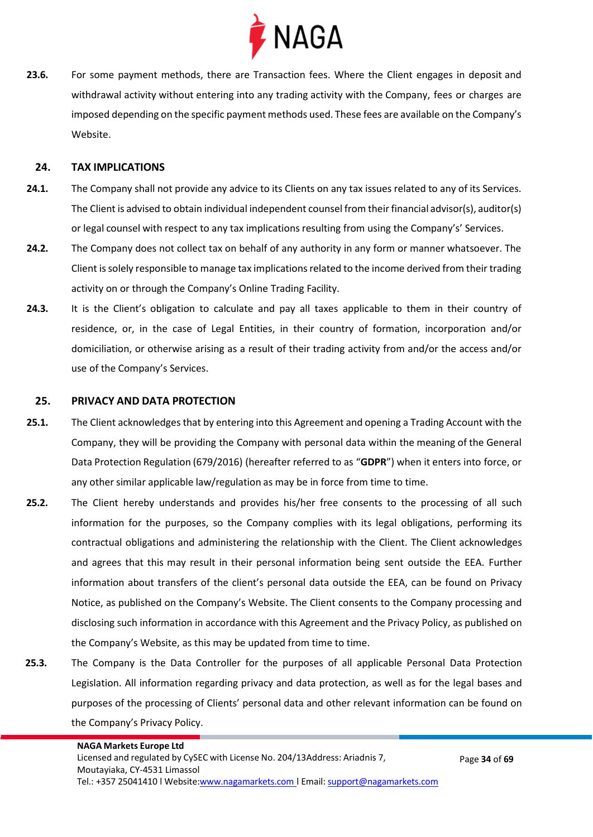

**23.6.** For some payment methods, there are Transaction fees. Where the Client engages in deposit and withdrawal activity without entering into any trading activity with the Company, fees or charges are imposed depending on the specific payment methods used. These fees are available on the Company's Website.

#### <span id="page-33-0"></span>**24. TAX IMPLICATIONS**

- **24.1.** The Company shall not provide any advice to its Clients on any tax issues related to any of its Services. The Client is advised to obtain individual independent counsel from their financial advisor(s), auditor(s) or legal counsel with respect to any tax implications resulting from using the Company's' Services.
- **24.2.** The Company does not collect tax on behalf of any authority in any form or manner whatsoever. The Client is solely responsible to manage tax implications related to the income derived from their trading activity on or through the Company's Online Trading Facility.
- **24.3.** It is the Client's obligation to calculate and pay all taxes applicable to them in their country of residence, or, in the case of Legal Entities, in their country of formation, incorporation and/or domiciliation, or otherwise arising as a result of their trading activity from and/or the access and/or use of the Company's Services.

#### <span id="page-33-1"></span>**25. PRIVACY AND DATA PROTECTION**

- **25.1.** The Client acknowledges that by entering into this Agreement and opening a Trading Account with the Company, they will be providing the Company with personal data within the meaning of the General Data Protection Regulation (679/2016) (hereafter referred to as "**GDPR**") when it enters into force, or any other similar applicable law/regulation as may be in force from time to time.
- **25.2.** The Client hereby understands and provides his/her free consents to the processing of all such information for the purposes, so the Company complies with its legal obligations, performing its contractual obligations and administering the relationship with the Client. The Client acknowledges and agrees that this may result in their personal information being sent outside the EEA. Further information about transfers of the client's personal data outside the EEA, can be found on Privacy Notice, as published on the Company's Website. The Client consents to the Company processing and disclosing such information in accordance with this Agreement and the Privacy Policy, as published on the Company's Website, as this may be updated from time to time.
- **25.3.** The Company is the Data Controller for the purposes of all applicable Personal Data Protection Legislation. All information regarding privacy and data protection, as well as for the legal bases and purposes of the processing of Clients' personal data and other relevant information can be found on the Company's Privacy Policy.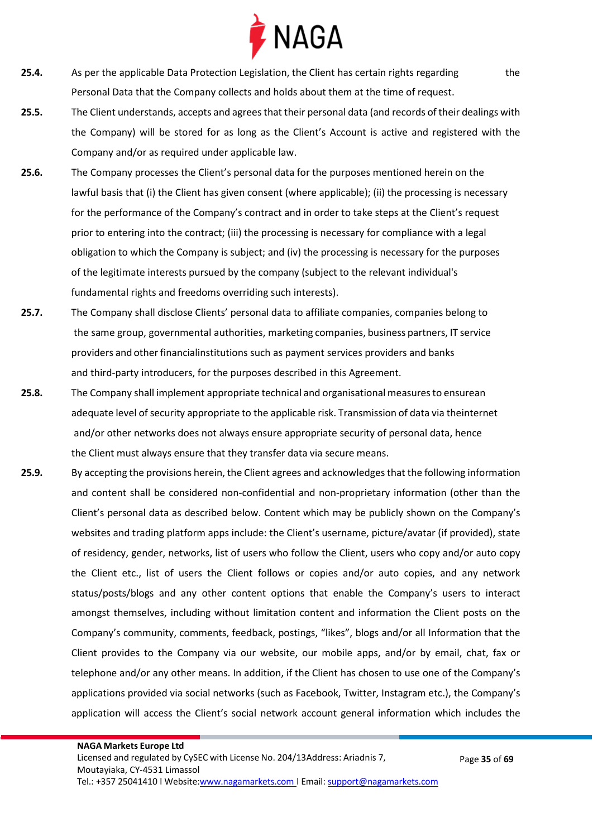

- **25.4.** As per the applicable Data Protection Legislation, the Client has certain rights regarding the Personal Data that the Company collects and holds about them at the time of request.
- **25.5.** The Client understands, accepts and agrees that their personal data (and records of their dealings with the Company) will be stored for as long as the Client's Account is active and registered with the Company and/or as required under applicable law.
- **25.6.** The Company processes the Client's personal data for the purposes mentioned herein on the lawful basis that (i) the Client has given consent (where applicable); (ii) the processing is necessary for the performance of the Company's contract and in order to take steps at the Client's request prior to entering into the contract; (iii) the processing is necessary for compliance with a legal obligation to which the Company is subject; and (iv) the processing is necessary for the purposes of the legitimate interests pursued by the company (subject to the relevant individual's fundamental rights and freedoms overriding such interests).
- **25.7.** The Company shall disclose Clients' personal data to affiliate companies, companies belong to the same group, governmental authorities, marketing companies, business partners, IT service providers and other financialinstitutions such as payment services providers and banks and third-party introducers, for the purposes described in this Agreement.
- **25.8.** The Company shall implement appropriate technical and organisational measuresto ensurean adequate level of security appropriate to the applicable risk. Transmission of data via theinternet and/or other networks does not always ensure appropriate security of personal data, hence the Client must always ensure that they transfer data via secure means.
- **25.9.** By accepting the provisions herein, the Client agrees and acknowledges that the following information and content shall be considered non-confidential and non-proprietary information (other than the Client's personal data as described below. Content which may be publicly shown on the Company's websites and trading platform apps include: the Client's username, picture/avatar (if provided), state of residency, gender, networks, list of users who follow the Client, users who copy and/or auto copy the Client etc., list of users the Client follows or copies and/or auto copies, and any network status/posts/blogs and any other content options that enable the Company's users to interact amongst themselves, including without limitation content and information the Client posts on the Company's community, comments, feedback, postings, "likes", blogs and/or all Information that the Client provides to the Company via our website, our mobile apps, and/or by email, chat, fax or telephone and/or any other means. In addition, if the Client has chosen to use one of the Company's applications provided via social networks (such as Facebook, Twitter, Instagram etc.), the Company's application will access the Client's social network account general information which includes the

Page **35** of **69**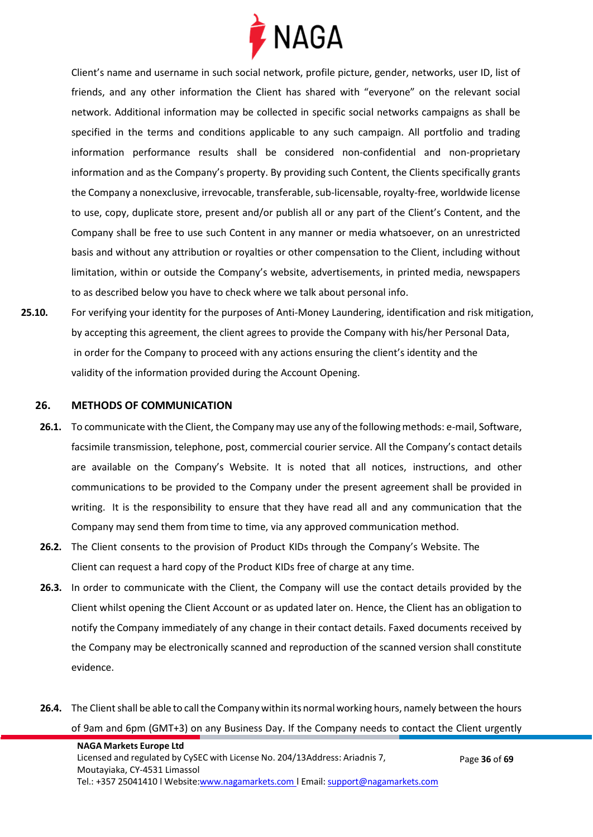

Client's name and username in such social network, profile picture, gender, networks, user ID, list of friends, and any other information the Client has shared with "everyone" on the relevant social network. Additional information may be collected in specific social networks campaigns as shall be specified in the terms and conditions applicable to any such campaign. All portfolio and trading information performance results shall be considered non-confidential and non-proprietary information and as the Company's property. By providing such Content, the Clients specifically grants the Company a nonexclusive, irrevocable, transferable, sub-licensable, royalty-free, worldwide license to use, copy, duplicate store, present and/or publish all or any part of the Client's Content, and the Company shall be free to use such Content in any manner or media whatsoever, on an unrestricted basis and without any attribution or royalties or other compensation to the Client, including without limitation, within or outside the Company's website, advertisements, in printed media, newspapers to as described below you have to check where we talk about personal info.

**25.10.** For verifying your identity for the purposes of Anti-Money Laundering, identification and risk mitigation, by accepting this agreement, the client agrees to provide the Company with his/her Personal Data, in order for the Company to proceed with any actions ensuring the client's identity and the validity of the information provided during the Account Opening.

#### <span id="page-35-0"></span>**26. METHODS OF COMMUNICATION**

- **26.1.** To communicate with the Client, the Company may use any of the following methods: e-mail, Software, facsimile transmission, telephone, post, commercial courier service. All the Company's contact details are available on the Company's Website. It is noted that all notices, instructions, and other communications to be provided to the Company under the present agreement shall be provided in writing. It is the responsibility to ensure that they have read all and any communication that the Company may send them from time to time, via any approved communication method.
- **26.2.** The Client consents to the provision of Product KIDs through the Company's Website. The Client can request a hard copy of the Product KIDs free of charge at any time.
- **26.3.** In order to communicate with the Client, the Company will use the contact details provided by the Client whilst opening the Client Account or as updated later on. Hence, the Client has an obligation to notify the Company immediately of any change in their contact details. Faxed documents received by the Company may be electronically scanned and reproduction of the scanned version shall constitute evidence.
- **26.4.** The Client shall be able to call the Company within its normal working hours, namely between the hours of 9am and 6pm (GMT+3) on any Business Day. If the Company needs to contact the Client urgently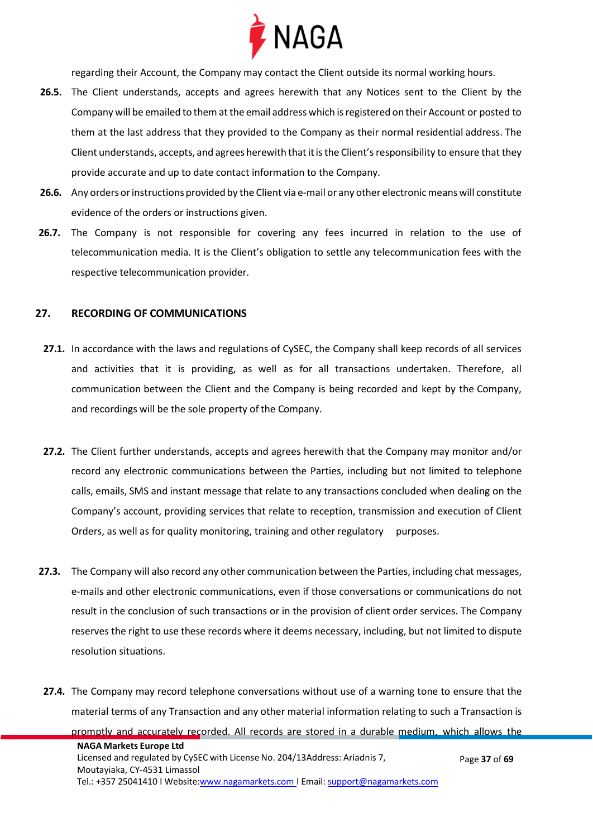

regarding their Account, the Company may contact the Client outside its normal working hours.

- **26.5.** The Client understands, accepts and agrees herewith that any Notices sent to the Client by the Company will be emailed to them at the email address which is registered on their Account or posted to them at the last address that they provided to the Company as their normal residential address. The Client understands, accepts, and agrees herewith that it is the Client's responsibility to ensure that they provide accurate and up to date contact information to the Company.
- **26.6.** Any orders orinstructions provided by the Client via e-mail or any other electronicmeanswill constitute evidence of the orders or instructions given.
- **26.7.** The Company is not responsible for covering any fees incurred in relation to the use of telecommunication media. It is the Client's obligation to settle any telecommunication fees with the respective telecommunication provider.

#### **27. RECORDING OF COMMUNICATIONS**

- **27.1.** In accordance with the laws and regulations of CySEC, the Company shall keep records of all services and activities that it is providing, as well as for all transactions undertaken. Therefore, all communication between the Client and the Company is being recorded and kept by the Company, and recordings will be the sole property of the Company.
- **27.2.** The Client further understands, accepts and agrees herewith that the Company may monitor and/or record any electronic communications between the Parties, including but not limited to telephone calls, emails, SMS and instant message that relate to any transactions concluded when dealing on the Company's account, providing services that relate to reception, transmission and execution of Client Orders, as well as for quality monitoring, training and other regulatory purposes.
- **27.3.** The Company will also record any other communication between the Parties, including chat messages, e-mails and other electronic communications, even if those conversations or communications do not result in the conclusion of such transactions or in the provision of client order services. The Company reserves the right to use these records where it deems necessary, including, but not limited to dispute resolution situations.
- **NAGA Markets Europe Ltd** Licensed and regulated by CySEC with License No. 204/13Address: Ariadnis 7, Moutayiaka, CY-4531 Limassol Page **37** of **69 27.4.** The Company may record telephone conversations without use of a warning tone to ensure that the material terms of any Transaction and any other material information relating to such a Transaction is promptly and accurately recorded. All records are stored in a durable medium, which allows the

Tel.: +357 25041410 | Website[:www.nagamarkets.com](http://www.nagamarkets.coml/) | Email: [support@nagamarkets.com](mailto:support@nagamarkets.com)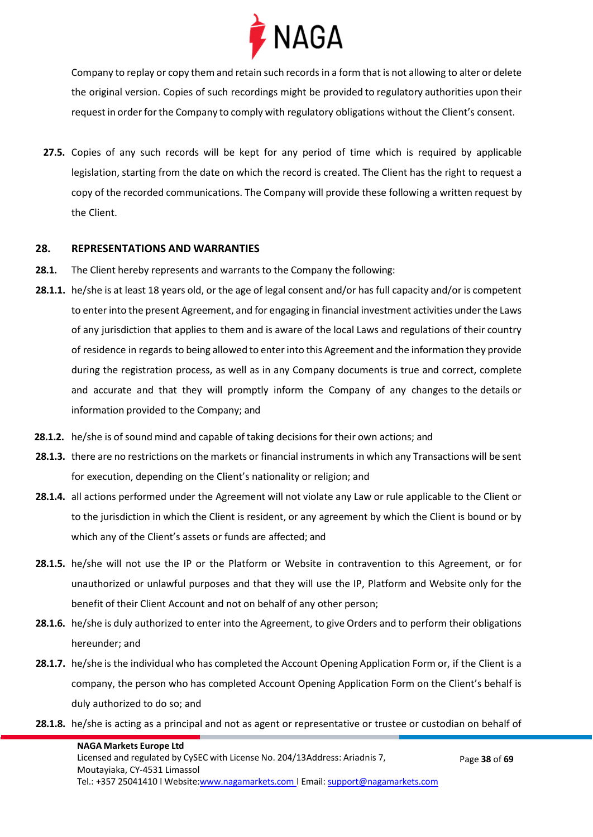

Company to replay or copy them and retain such records in a form that is not allowing to alter or delete the original version. Copies of such recordings might be provided to regulatory authorities upon their request in order for the Company to comply with regulatory obligations without the Client's consent.

**27.5.** Copies of any such records will be kept for any period of time which is required by applicable legislation, starting from the date on which the record is created. The Client has the right to request a copy of the recorded communications. The Company will provide these following a written request by the Client.

#### **28. REPRESENTATIONS AND WARRANTIES**

- **28.1.** The Client hereby represents and warrants to the Company the following:
- **28.1.1.** he/she is at least 18 years old, or the age of legal consent and/or has full capacity and/or is competent to enter into the present Agreement, and for engaging in financial investment activities under the Laws of any jurisdiction that applies to them and is aware of the local Laws and regulations of their country of residence in regards to being allowed to enterinto this Agreement and the information they provide during the registration process, as well as in any Company documents is true and correct, complete and accurate and that they will promptly inform the Company of any changes to the details or information provided to the Company; and
- **28.1.2.** he/she is of sound mind and capable of taking decisions for their own actions; and
- **28.1.3.** there are no restrictions on the markets or financial instruments in which any Transactions will be sent for execution, depending on the Client's nationality or religion; and
- **28.1.4.** all actions performed under the Agreement will not violate any Law or rule applicable to the Client or to the jurisdiction in which the Client is resident, or any agreement by which the Client is bound or by which any of the Client's assets or funds are affected; and
- **28.1.5.** he/she will not use the IP or the Platform or Website in contravention to this Agreement, or for unauthorized or unlawful purposes and that they will use the IP, Platform and Website only for the benefit of their Client Account and not on behalf of any other person;
- **28.1.6.** he/she is duly authorized to enter into the Agreement, to give Orders and to perform their obligations hereunder; and
- **28.1.7.** he/she is the individual who has completed the Account Opening Application Form or, if the Client is a company, the person who has completed Account Opening Application Form on the Client's behalf is duly authorized to do so; and
- **28.1.8.** he/she is acting as a principal and not as agent or representative or trustee or custodian on behalf of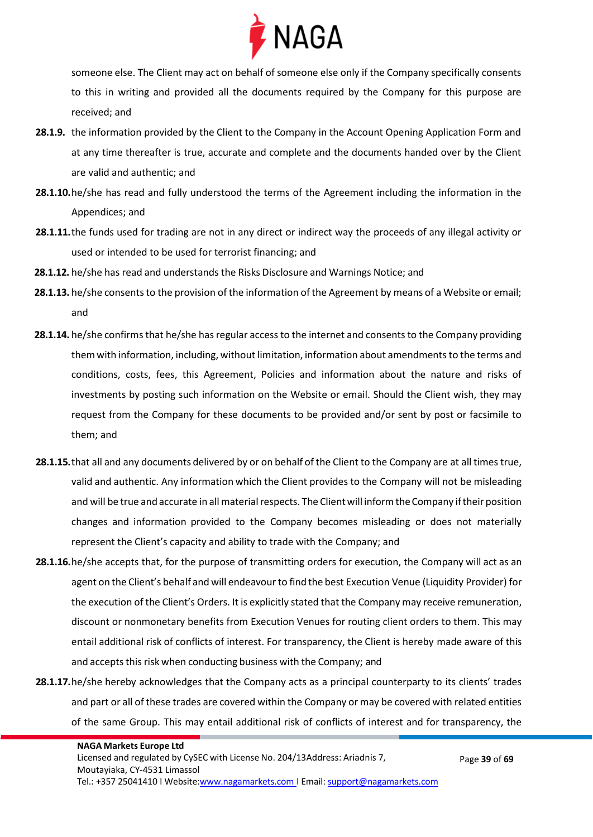

someone else. The Client may act on behalf of someone else only if the Company specifically consents to this in writing and provided all the documents required by the Company for this purpose are received; and

- **28.1.9.** the information provided by the Client to the Company in the Account Opening Application Form and at any time thereafter is true, accurate and complete and the documents handed over by the Client are valid and authentic; and
- **28.1.10.**he/she has read and fully understood the terms of the Agreement including the information in the Appendices; and
- **28.1.11.**the funds used for trading are not in any direct or indirect way the proceeds of any illegal activity or used or intended to be used for terrorist financing; and
- **28.1.12.** he/she has read and understands the Risks Disclosure and Warnings Notice; and
- **28.1.13.** he/she consents to the provision of the information of the Agreement by means of a Website or email; and
- **28.1.14.** he/she confirms that he/she has regular access to the internet and consents to the Company providing themwith information, including, without limitation, information about amendments to the terms and conditions, costs, fees, this Agreement, Policies and information about the nature and risks of investments by posting such information on the Website or email. Should the Client wish, they may request from the Company for these documents to be provided and/or sent by post or facsimile to them; and
- **28.1.15.**that all and any documents delivered by or on behalf of the Client to the Company are at all timestrue, valid and authentic. Any information which the Client provides to the Company will not be misleading and will be true and accurate in all material respects. The Client will inform the Company if their position changes and information provided to the Company becomes misleading or does not materially represent the Client's capacity and ability to trade with the Company; and
- **28.1.16.**he/she accepts that, for the purpose of transmitting orders for execution, the Company will act as an agent on the Client's behalf and will endeavourto find the best Execution Venue (Liquidity Provider) for the execution of the Client's Orders. It is explicitly stated that the Company may receive remuneration, discount or nonmonetary benefits from Execution Venues for routing client orders to them. This may entail additional risk of conflicts of interest. For transparency, the Client is hereby made aware of this and accepts this risk when conducting business with the Company; and
- **28.1.17.**he/she hereby acknowledges that the Company acts as a principal counterparty to its clients' trades and part or all of these trades are covered within the Company or may be covered with related entities of the same Group. This may entail additional risk of conflicts of interest and for transparency, the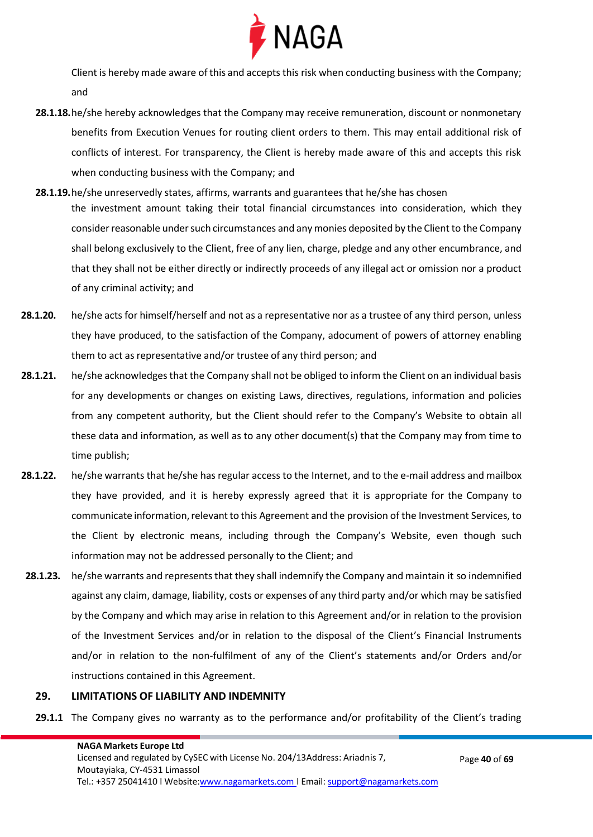

Client is hereby made aware of this and accepts this risk when conducting business with the Company; and

- **28.1.18.**he/she hereby acknowledges that the Company may receive remuneration, discount or nonmonetary benefits from Execution Venues for routing client orders to them. This may entail additional risk of conflicts of interest. For transparency, the Client is hereby made aware of this and accepts this risk when conducting business with the Company; and
- **28.1.19.**he/she unreservedly states, affirms, warrants and guarantees that he/she has chosen the investment amount taking their total financial circumstances into consideration, which they consider reasonable under such circumstances and any monies deposited by the Client to the Company shall belong exclusively to the Client, free of any lien, charge, pledge and any other encumbrance, and that they shall not be either directly or indirectly proceeds of any illegal act or omission nor a product of any criminal activity; and
- **28.1.20.** he/she acts for himself/herself and not as a representative nor as a trustee of any third person, unless they have produced, to the satisfaction of the Company, adocument of powers of attorney enabling them to act as representative and/or trustee of any third person; and
- **28.1.21.** he/she acknowledges that the Company shall not be obliged to inform the Client on an individual basis for any developments or changes on existing Laws, directives, regulations, information and policies from any competent authority, but the Client should refer to the Company's Website to obtain all these data and information, as well as to any other document(s) that the Company may from time to time publish;
- **28.1.22.** he/she warrants that he/she has regular access to the Internet, and to the e-mail address and mailbox they have provided, and it is hereby expressly agreed that it is appropriate for the Company to communicate information, relevant to this Agreement and the provision of the Investment Services, to the Client by electronic means, including through the Company's Website, even though such information may not be addressed personally to the Client; and
- **28.1.23.** he/she warrants and represents that they shall indemnify the Company and maintain it so indemnified against any claim, damage, liability, costs or expenses of any third party and/or which may be satisfied by the Company and which may arise in relation to this Agreement and/or in relation to the provision of the Investment Services and/or in relation to the disposal of the Client's Financial Instruments and/or in relation to the non-fulfilment of any of the Client's statements and/or Orders and/or instructions contained in this Agreement.

#### **29. LIMITATIONS OF LIABILITY AND INDEMNITY**

**29.1.1** The Company gives no warranty as to the performance and/or profitability of the Client's trading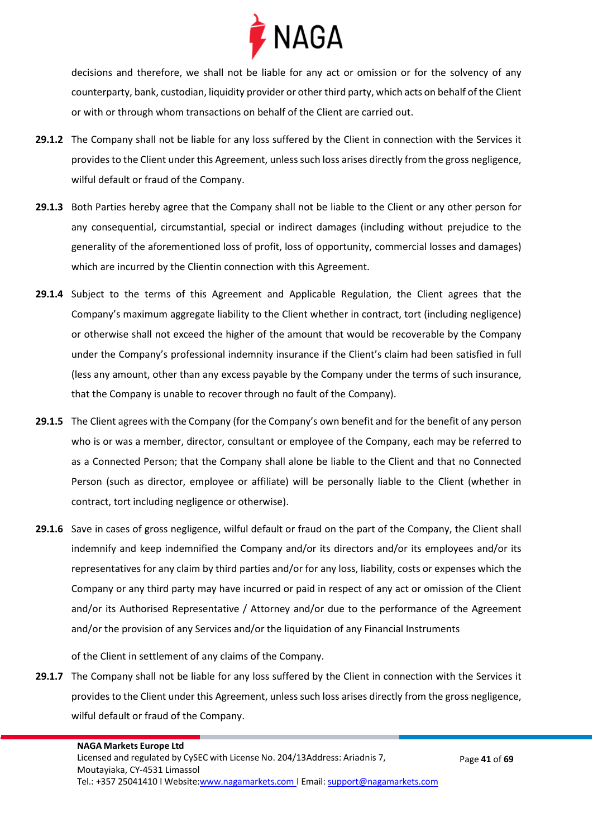

decisions and therefore, we shall not be liable for any act or omission or for the solvency of any counterparty, bank, custodian, liquidity provider or other third party, which acts on behalf of the Client or with or through whom transactions on behalf of the Client are carried out.

- **29.1.2** The Company shall not be liable for any loss suffered by the Client in connection with the Services it provides to the Client under this Agreement, unless such loss arises directly from the gross negligence, wilful default or fraud of the Company.
- **29.1.3** Both Parties hereby agree that the Company shall not be liable to the Client or any other person for any consequential, circumstantial, special or indirect damages (including without prejudice to the generality of the aforementioned loss of profit, loss of opportunity, commercial losses and damages) which are incurred by the Clientin connection with this Agreement.
- **29.1.4** Subject to the terms of this Agreement and Applicable Regulation, the Client agrees that the Company's maximum aggregate liability to the Client whether in contract, tort (including negligence) or otherwise shall not exceed the higher of the amount that would be recoverable by the Company under the Company's professional indemnity insurance if the Client's claim had been satisfied in full (less any amount, other than any excess payable by the Company under the terms of such insurance, that the Company is unable to recover through no fault of the Company).
- **29.1.5** The Client agrees with the Company (for the Company's own benefit and for the benefit of any person who is or was a member, director, consultant or employee of the Company, each may be referred to as a Connected Person; that the Company shall alone be liable to the Client and that no Connected Person (such as director, employee or affiliate) will be personally liable to the Client (whether in contract, tort including negligence or otherwise).
- **29.1.6** Save in cases of gross negligence, wilful default or fraud on the part of the Company, the Client shall indemnify and keep indemnified the Company and/or its directors and/or its employees and/or its representatives for any claim by third parties and/or for any loss, liability, costs or expenses which the Company or any third party may have incurred or paid in respect of any act or omission of the Client and/or its Authorised Representative / Attorney and/or due to the performance of the Agreement and/or the provision of any Services and/or the liquidation of any Financial Instruments

of the Client in settlement of any claims of the Company.

**29.1.7** The Company shall not be liable for any loss suffered by the Client in connection with the Services it provides to the Client under this Agreement, unless such loss arises directly from the gross negligence, wilful default or fraud of the Company.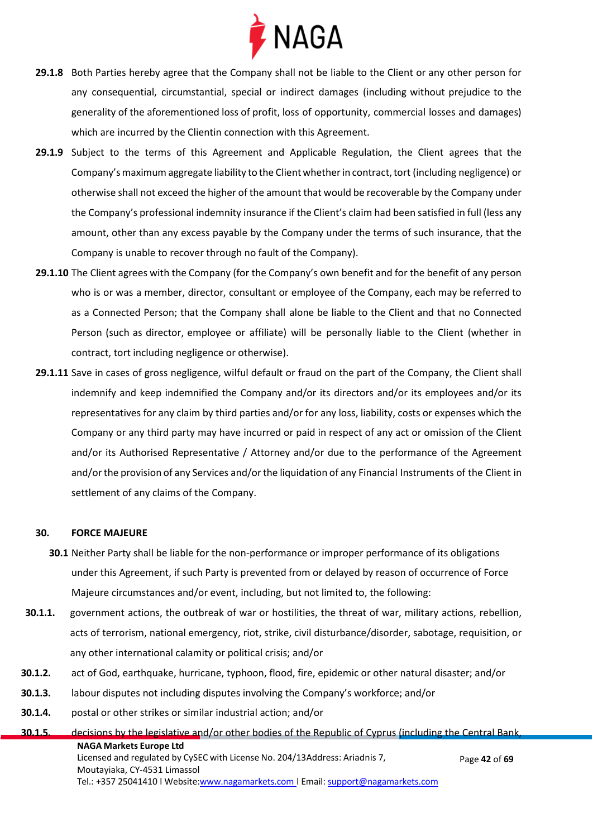

- **29.1.8** Both Parties hereby agree that the Company shall not be liable to the Client or any other person for any consequential, circumstantial, special or indirect damages (including without prejudice to the generality of the aforementioned loss of profit, loss of opportunity, commercial losses and damages) which are incurred by the Clientin connection with this Agreement.
- **29.1.9** Subject to the terms of this Agreement and Applicable Regulation, the Client agrees that the Company's maximum aggregate liability to the Client whether in contract, tort (including negligence) or otherwise shall not exceed the higher of the amount that would be recoverable by the Company under the Company's professional indemnity insurance if the Client's claim had been satisfied in full (less any amount, other than any excess payable by the Company under the terms of such insurance, that the Company is unable to recover through no fault of the Company).
- **29.1.10** The Client agrees with the Company (for the Company's own benefit and for the benefit of any person who is or was a member, director, consultant or employee of the Company, each may be referred to as a Connected Person; that the Company shall alone be liable to the Client and that no Connected Person (such as director, employee or affiliate) will be personally liable to the Client (whether in contract, tort including negligence or otherwise).
- **29.1.11** Save in cases of gross negligence, wilful default or fraud on the part of the Company, the Client shall indemnify and keep indemnified the Company and/or its directors and/or its employees and/or its representatives for any claim by third parties and/or for any loss, liability, costs or expenses which the Company or any third party may have incurred or paid in respect of any act or omission of the Client and/or its Authorised Representative / Attorney and/or due to the performance of the Agreement and/orthe provision of any Services and/orthe liquidation of any Financial Instruments of the Client in settlement of any claims of the Company.

#### **30. FORCE MAJEURE**

- **30.1** Neither Party shall be liable for the non-performance or improper performance of its obligations under this Agreement, if such Party is prevented from or delayed by reason of occurrence of Force Majeure circumstances and/or event, including, but not limited to, the following:
- **30.1.1.** government actions, the outbreak of war or hostilities, the threat of war, military actions, rebellion, acts of terrorism, national emergency, riot, strike, civil disturbance/disorder, sabotage, requisition, or any other international calamity or political crisis; and/or
- **30.1.2.** act of God, earthquake, hurricane, typhoon, flood, fire, epidemic or other natural disaster; and/or
- **30.1.3.** labour disputes not including disputes involving the Company's workforce; and/or
- **30.1.4.** postal or other strikes or similar industrial action; and/or

**NAGA Markets Europe Ltd** Licensed and regulated by CySEC with License No. 204/13Address: Ariadnis 7, Moutayiaka, CY-4531 Limassol Tel.: +357 25041410 | Website[:www.nagamarkets.com](http://www.nagamarkets.coml/) | Email: [support@nagamarkets.com](mailto:support@nagamarkets.com) Page **42** of **69 30.1.5.** decisions by the legislative and/or other bodies of the Republic of Cyprus (including the Central Bank,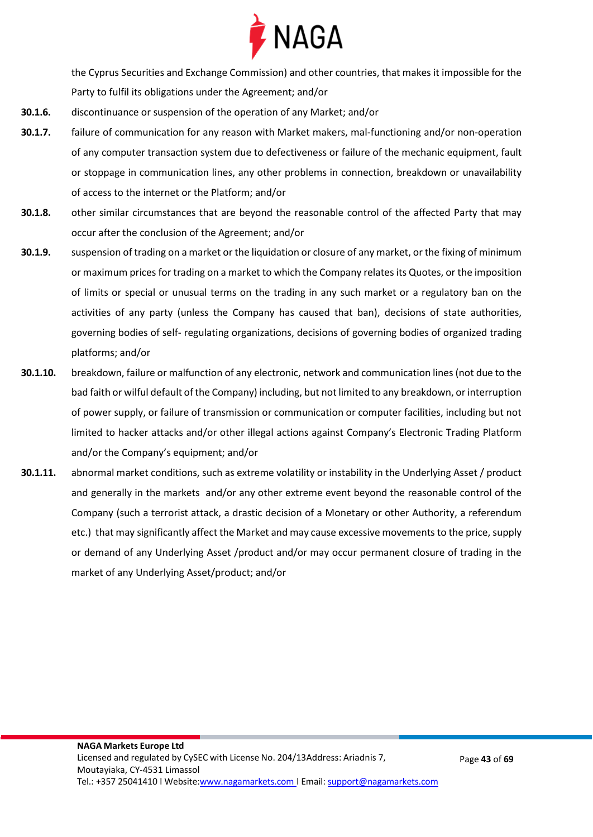

the Cyprus Securities and Exchange Commission) and other countries, that makes it impossible for the Party to fulfil its obligations under the Agreement; and/or

- **30.1.6.** discontinuance or suspension of the operation of any Market; and/or
- **30.1.7.** failure of communication for any reason with Market makers, mal-functioning and/or non-operation of any computer transaction system due to defectiveness or failure of the mechanic equipment, fault or stoppage in communication lines, any other problems in connection, breakdown or unavailability of access to the internet or the Platform; and/or
- **30.1.8.** other similar circumstances that are beyond the reasonable control of the affected Party that may occur after the conclusion of the Agreement; and/or
- **30.1.9.** suspension of trading on a market or the liquidation or closure of any market, or the fixing of minimum or maximum prices for trading on a market to which the Company relates its Quotes, or the imposition of limits or special or unusual terms on the trading in any such market or a regulatory ban on the activities of any party (unless the Company has caused that ban), decisions of state authorities, governing bodies of self- regulating organizations, decisions of governing bodies of organized trading platforms; and/or
- **30.1.10.** breakdown, failure or malfunction of any electronic, network and communication lines (not due to the bad faith or wilful default of the Company) including, but not limited to any breakdown, or interruption of power supply, or failure of transmission or communication or computer facilities, including but not limited to hacker attacks and/or other illegal actions against Company's Electronic Trading Platform and/or the Company's equipment; and/or
- **30.1.11.** abnormal market conditions, such as extreme volatility or instability in the Underlying Asset / product and generally in the markets and/or any other extreme event beyond the reasonable control of the Company (such a terrorist attack, a drastic decision of a Monetary or other Authority, a referendum etc.) that may significantly affect the Market and may cause excessive movements to the price, supply or demand of any Underlying Asset /product and/or may occur permanent closure of trading in the market of any Underlying Asset/product; and/or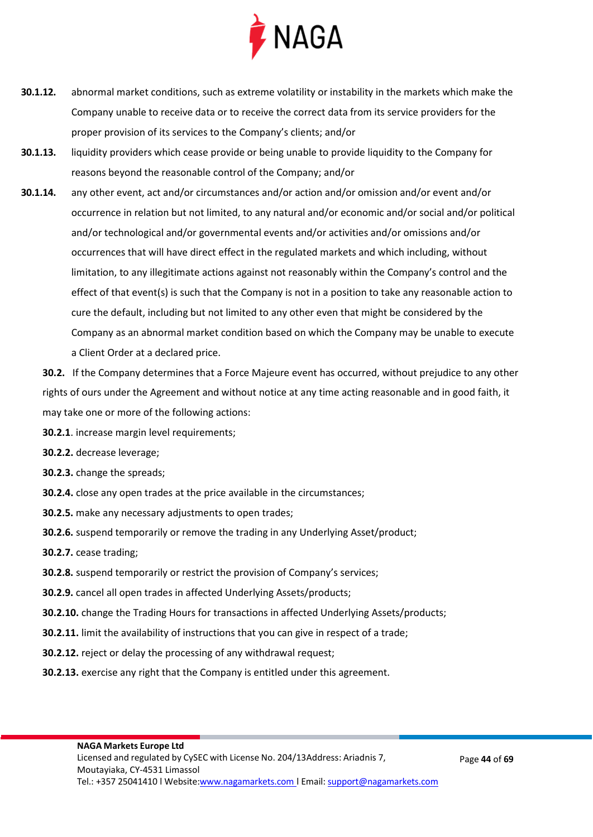

- **30.1.12.** abnormal market conditions, such as extreme volatility or instability in the markets which make the Company unable to receive data or to receive the correct data from its service providers for the proper provision of its services to the Company's clients; and/or
- **30.1.13.** liquidity providers which cease provide or being unable to provide liquidity to the Company for reasons beyond the reasonable control of the Company; and/or
- **30.1.14.** any other event, act and/or circumstances and/or action and/or omission and/or event and/or occurrence in relation but not limited, to any natural and/or economic and/or social and/or political and/or technological and/or governmental events and/or activities and/or omissions and/or occurrences that will have direct effect in the regulated markets and which including, without limitation, to any illegitimate actions against not reasonably within the Company's control and the effect of that event(s) is such that the Company is not in a position to take any reasonable action to cure the default, including but not limited to any other even that might be considered by the Company as an abnormal market condition based on which the Company may be unable to execute a Client Order at a declared price.
	- **30.2.** If the Company determines that a Force Majeure event has occurred, without prejudice to any other rights of ours under the Agreement and without notice at any time acting reasonable and in good faith, it may take one or more of the following actions:
	- **30.2.1**. increase margin level requirements;
	- **30.2.2.** decrease leverage;
	- **30.2.3.** change the spreads;
	- **30.2.4.** close any open trades at the price available in the circumstances;
	- **30.2.5.** make any necessary adjustments to open trades;
	- **30.2.6.** suspend temporarily or remove the trading in any Underlying Asset/product;
	- **30.2.7.** cease trading;
	- **30.2.8.** suspend temporarily or restrict the provision of Company's services;
	- **30.2.9.** cancel all open trades in affected Underlying Assets/products;
	- **30.2.10.** change the Trading Hours for transactions in affected Underlying Assets/products;
	- **30.2.11.** limit the availability of instructions that you can give in respect of a trade;
	- **30.2.12.** reject or delay the processing of any withdrawal request;
	- **30.2.13.** exercise any right that the Company is entitled under this agreement.

#### **NAGA Markets Europe Ltd**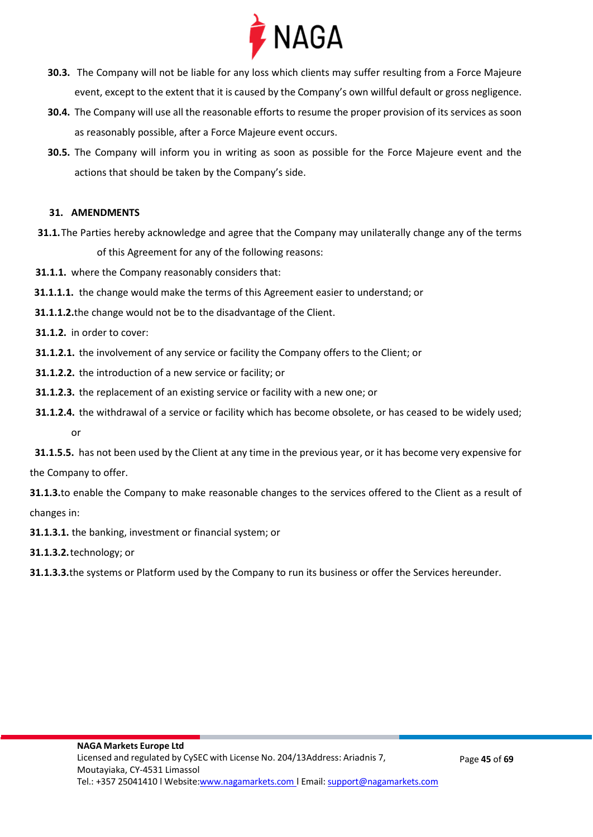

- **30.3.** The Company will not be liable for any loss which clients may suffer resulting from a Force Majeure event, except to the extent that it is caused by the Company's own willful default or gross negligence.
- **30.4.** The Company will use all the reasonable efforts to resume the proper provision of its services as soon as reasonably possible, after a Force Majeure event occurs.
- **30.5.** The Company will inform you in writing as soon as possible for the Force Majeure event and the actions that should be taken by the Company's side.

#### **31. AMENDMENTS**

- **31.1.**The Parties hereby acknowledge and agree that the Company may unilaterally change any of the terms of this Agreement for any of the following reasons:
- **31.1.1.** where the Company reasonably considers that:
- **31.1.1.1.** the change would make the terms of this Agreement easier to understand; or
- **31.1.1.2.**the change would not be to the disadvantage of the Client.
- **31.1.2.** in order to cover:
- **31.1.2.1.** the involvement of any service or facility the Company offers to the Client; or
- **31.1.2.2.** the introduction of a new service or facility; or
- **31.1.2.3.** the replacement of an existing service or facility with a new one; or
- **31.1.2.4.** the withdrawal of a service or facility which has become obsolete, or has ceased to be widely used;
	- or

 **31.1.5.5.** has not been used by the Client at any time in the previous year, or it has become very expensive for the Company to offer.

**31.1.3.**to enable the Company to make reasonable changes to the services offered to the Client as a result of changes in:

**31.1.3.1.** the banking, investment or financial system; or

**31.1.3.2.**technology; or

**31.1.3.3.**the systems or Platform used by the Company to run its business or offer the Services hereunder.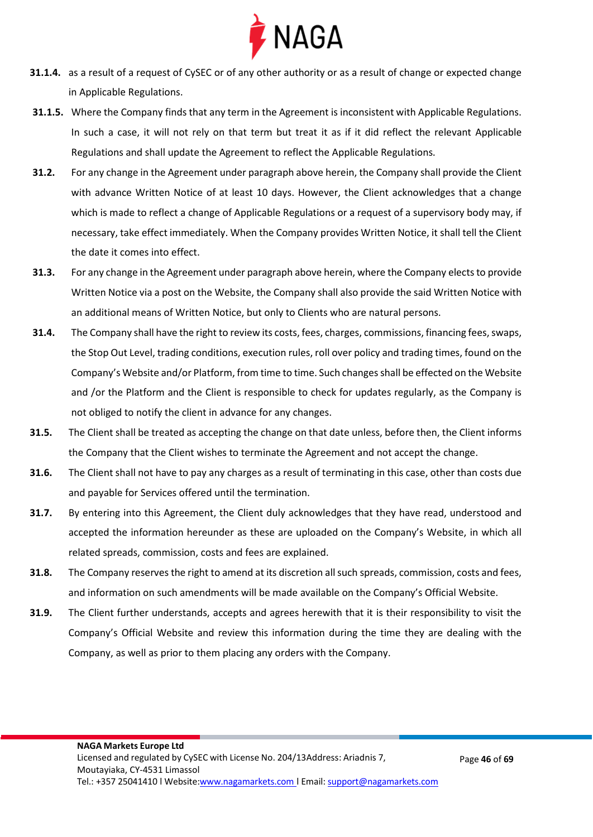

- **31.1.4.** as a result of a request of CySEC or of any other authority or as a result of change or expected change in Applicable Regulations.
- **31.1.5.** Where the Company finds that any term in the Agreement is inconsistent with Applicable Regulations. In such a case, it will not rely on that term but treat it as if it did reflect the relevant Applicable Regulations and shall update the Agreement to reflect the Applicable Regulations.
- **31.2.** For any change in the Agreement under paragraph above herein, the Company shall provide the Client with advance Written Notice of at least 10 days. However, the Client acknowledges that a change which is made to reflect a change of Applicable Regulations or a request of a supervisory body may, if necessary, take effect immediately. When the Company provides Written Notice, it shall tell the Client the date it comes into effect.
- **31.3.** For any change in the Agreement under paragraph above herein, where the Company elects to provide Written Notice via a post on the Website, the Company shall also provide the said Written Notice with an additional means of Written Notice, but only to Clients who are natural persons.
- **31.4.** The Company shall have the right to review its costs, fees, charges, commissions, financing fees, swaps, the Stop Out Level, trading conditions, execution rules, roll over policy and trading times, found on the Company's Website and/or Platform, from time to time. Such changes shall be effected on the Website and /or the Platform and the Client is responsible to check for updates regularly, as the Company is not obliged to notify the client in advance for any changes.
- **31.5.** The Client shall be treated as accepting the change on that date unless, before then, the Client informs the Company that the Client wishes to terminate the Agreement and not accept the change.
- **31.6.** The Client shall not have to pay any charges as a result of terminating in this case, other than costs due and payable for Services offered until the termination.
- **31.7.** By entering into this Agreement, the Client duly acknowledges that they have read, understood and accepted the information hereunder as these are uploaded on the Company's Website, in which all related spreads, commission, costs and fees are explained.
- **31.8.** The Company reserves the right to amend at its discretion all such spreads, commission, costs and fees, and information on such amendments will be made available on the Company's Official Website.
- **31.9.** The Client further understands, accepts and agrees herewith that it is their responsibility to visit the Company's Official Website and review this information during the time they are dealing with the Company, as well as prior to them placing any orders with the Company.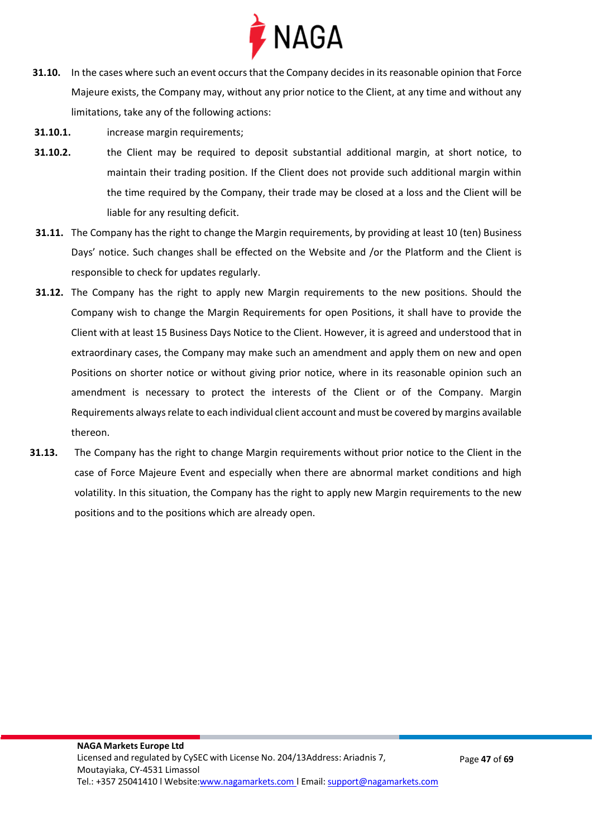

- **31.10.** In the cases where such an event occurs that the Company decides in its reasonable opinion that Force Majeure exists, the Company may, without any prior notice to the Client, at any time and without any limitations, take any of the following actions:
- **31.10.1.** increase margin requirements;
- **31.10.2.** the Client may be required to deposit substantial additional margin, at short notice, to maintain their trading position. If the Client does not provide such additional margin within the time required by the Company, their trade may be closed at a loss and the Client will be liable for any resulting deficit.
- **31.11.** The Company has the right to change the Margin requirements, by providing at least 10 (ten) Business Days' notice. Such changes shall be effected on the Website and /or the Platform and the Client is responsible to check for updates regularly.
- **31.12.** The Company has the right to apply new Margin requirements to the new positions. Should the Company wish to change the Margin Requirements for open Positions, it shall have to provide the Client with at least 15 Business Days Notice to the Client. However, it is agreed and understood that in extraordinary cases, the Company may make such an amendment and apply them on new and open Positions on shorter notice or without giving prior notice, where in its reasonable opinion such an amendment is necessary to protect the interests of the Client or of the Company. Margin Requirements always relate to each individual client account and must be covered by margins available thereon.
- **31.13.** The Company has the right to change Margin requirements without prior notice to the Client in the case of Force Majeure Event and especially when there are abnormal market conditions and high volatility. In this situation, the Company has the right to apply new Margin requirements to the new positions and to the positions which are already open.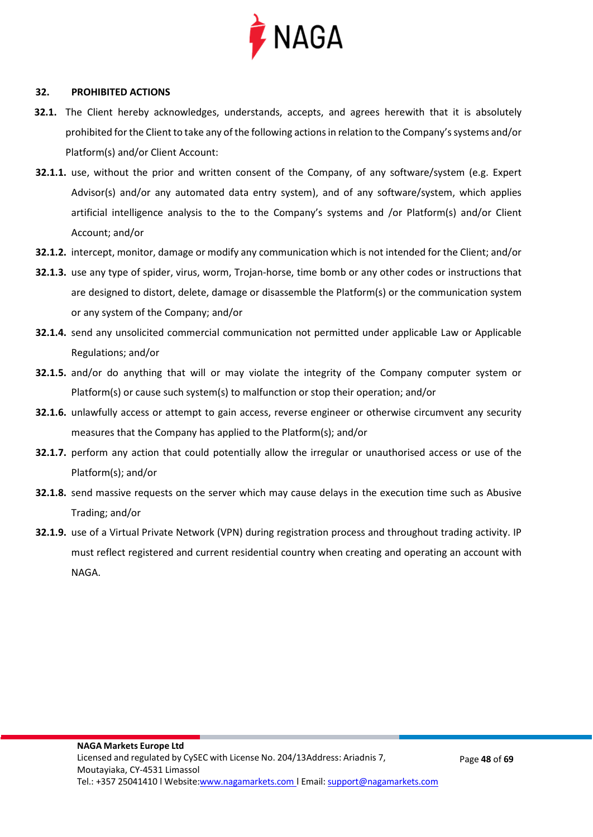

#### **32. PROHIBITED ACTIONS**

- **32.1.** The Client hereby acknowledges, understands, accepts, and agrees herewith that it is absolutely prohibited for the Client to take any of the following actions in relation to the Company's systems and/or Platform(s) and/or Client Account:
- **32.1.1.** use, without the prior and written consent of the Company, of any software/system (e.g. Expert Advisor(s) and/or any automated data entry system), and of any software/system, which applies artificial intelligence analysis to the to the Company's systems and /or Platform(s) and/or Client Account; and/or
- **32.1.2.** intercept, monitor, damage or modify any communication which is not intended for the Client; and/or
- **32.1.3.** use any type of spider, virus, worm, Trojan-horse, time bomb or any other codes or instructions that are designed to distort, delete, damage or disassemble the Platform(s) or the communication system or any system of the Company; and/or
- **32.1.4.** send any unsolicited commercial communication not permitted under applicable Law or Applicable Regulations; and/or
- **32.1.5.** and/or do anything that will or may violate the integrity of the Company computer system or Platform(s) or cause such system(s) to malfunction or stop their operation; and/or
- **32.1.6.** unlawfully access or attempt to gain access, reverse engineer or otherwise circumvent any security measures that the Company has applied to the Platform(s); and/or
- **32.1.7.** perform any action that could potentially allow the irregular or unauthorised access or use of the Platform(s); and/or
- **32.1.8.** send massive requests on the server which may cause delays in the execution time such as Abusive Trading; and/or
- **32.1.9.** use of a Virtual Private Network (VPN) during registration process and throughout trading activity. IP must reflect registered and current residential country when creating and operating an account with NAGA.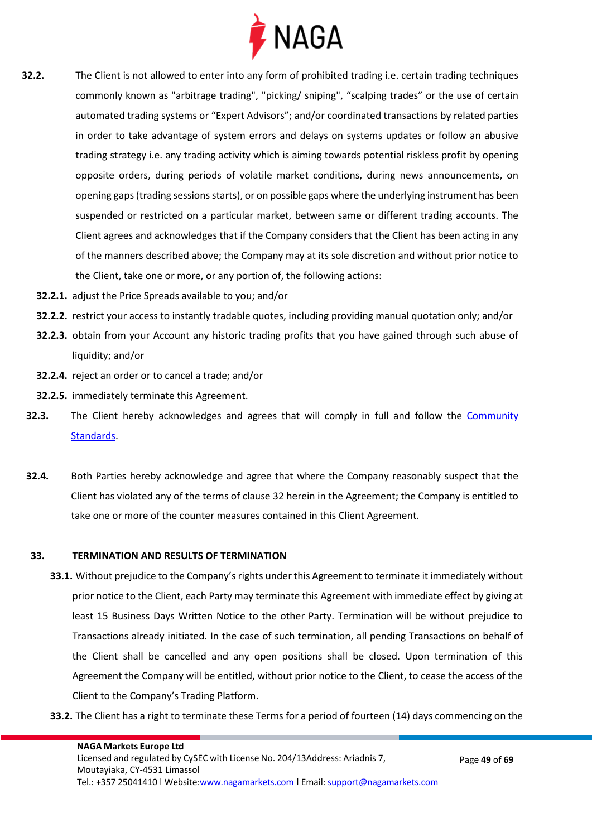

- **32.2.** The Client is not allowed to enter into any form of prohibited trading i.e. certain trading techniques commonly known as "arbitrage trading", "picking/ sniping", "scalping trades" or the use of certain automated trading systems or "Expert Advisors"; and/or coordinated transactions by related parties in order to take advantage of system errors and delays on systems updates or follow an abusive trading strategy i.e. any trading activity which is aiming towards potential riskless profit by opening opposite orders, during periods of volatile market conditions, during news announcements, on opening gaps (trading sessions starts), or on possible gaps where the underlying instrument has been suspended or restricted on a particular market, between same or different trading accounts. The Client agrees and acknowledges that if the Company considers that the Client has been acting in any of the manners described above; the Company may at its sole discretion and without prior notice to the Client, take one or more, or any portion of, the following actions:
	- **32.2.1.** adjust the Price Spreads available to you; and/or
	- **32.2.2.** restrict your access to instantly tradable quotes, including providing manual quotation only; and/or
	- **32.2.3.** obtain from your Account any historic trading profits that you have gained through such abuse of liquidity; and/or
	- **32.2.4.** reject an order or to cancel a trade; and/or
	- **32.2.5.** immediately terminate this Agreement.
- **32.3.** The Client hereby acknowledges and agrees that will comply in full and follow the *Community* [Standards.](https://files.naga.com/NAGA_Community_Standards_2022.pdf)
- **32.4.** Both Parties hereby acknowledge and agree that where the Company reasonably suspect that the Client has violated any of the terms of clause 32 herein in the Agreement; the Company is entitled to take one or more of the counter measures contained in this Client Agreement.

#### **33. TERMINATION AND RESULTS OF TERMINATION**

- **33.1.** Without prejudice to the Company's rights under this Agreement to terminate it immediately without prior notice to the Client, each Party may terminate this Agreement with immediate effect by giving at least 15 Business Days Written Notice to the other Party. Termination will be without prejudice to Transactions already initiated. In the case of such termination, all pending Transactions on behalf of the Client shall be cancelled and any open positions shall be closed. Upon termination of this Agreement the Company will be entitled, without prior notice to the Client, to cease the access of the Client to the Company's Trading Platform.
- **33.2.** The Client has a right to terminate these Terms for a period of fourteen (14) days commencing on the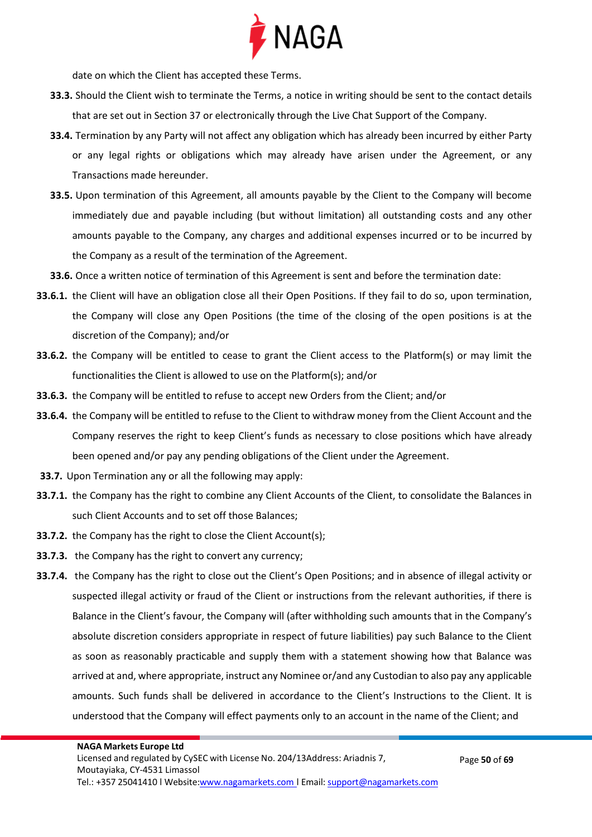

date on which the Client has accepted these Terms.

- **33.3.** Should the Client wish to terminate the Terms, a notice in writing should be sent to the contact details that are set out in Section 37 or electronically through the Live Chat Support of the Company.
- **33.4.** Termination by any Party will not affect any obligation which has already been incurred by either Party or any legal rights or obligations which may already have arisen under the Agreement, or any Transactions made hereunder.
- **33.5.** Upon termination of this Agreement, all amounts payable by the Client to the Company will become immediately due and payable including (but without limitation) all outstanding costs and any other amounts payable to the Company, any charges and additional expenses incurred or to be incurred by the Company as a result of the termination of the Agreement.
- **33.6.** Once a written notice of termination of this Agreement is sent and before the termination date:
- **33.6.1.** the Client will have an obligation close all their Open Positions. If they fail to do so, upon termination, the Company will close any Open Positions (the time of the closing of the open positions is at the discretion of the Company); and/or
- **33.6.2.** the Company will be entitled to cease to grant the Client access to the Platform(s) or may limit the functionalities the Client is allowed to use on the Platform(s); and/or
- **33.6.3.** the Company will be entitled to refuse to accept new Orders from the Client; and/or
- **33.6.4.** the Company will be entitled to refuse to the Client to withdraw money from the Client Account and the Company reserves the right to keep Client's funds as necessary to close positions which have already been opened and/or pay any pending obligations of the Client under the Agreement.
- **33.7.** Upon Termination any or all the following may apply:
- **33.7.1.** the Company has the right to combine any Client Accounts of the Client, to consolidate the Balances in such Client Accounts and to set off those Balances;
- **33.7.2.** the Company has the right to close the Client Account(s);
- **33.7.3.** the Company has the right to convert any currency;
- **33.7.4.** the Company has the right to close out the Client's Open Positions; and in absence of illegal activity or suspected illegal activity or fraud of the Client or instructions from the relevant authorities, if there is Balance in the Client's favour, the Company will (after withholding such amounts that in the Company's absolute discretion considers appropriate in respect of future liabilities) pay such Balance to the Client as soon as reasonably practicable and supply them with a statement showing how that Balance was arrived at and, where appropriate, instruct any Nominee or/and any Custodian to also pay any applicable amounts. Such funds shall be delivered in accordance to the Client's Instructions to the Client. It is understood that the Company will effect payments only to an account in the name of the Client; and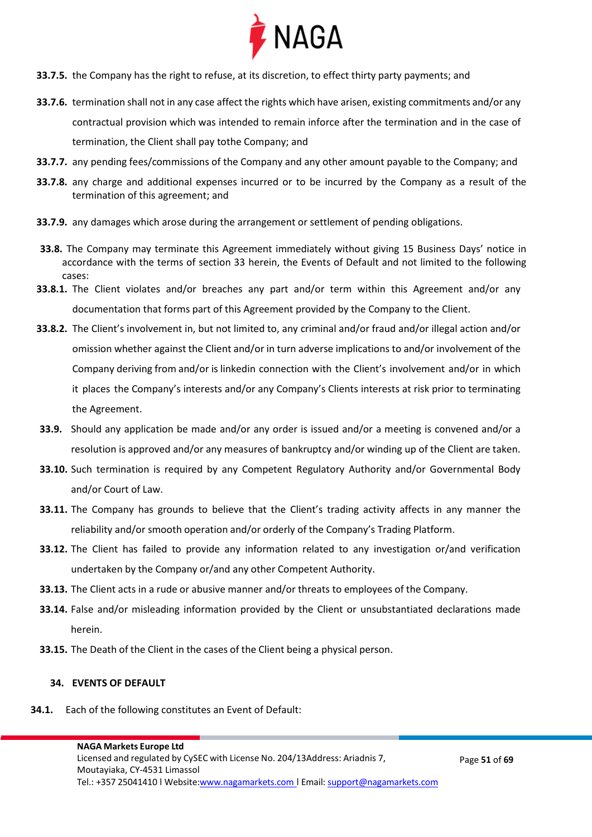

- **33.7.5.** the Company has the right to refuse, at its discretion, to effect thirty party payments; and
- **33.7.6.** termination shall not in any case affect the rights which have arisen, existing commitments and/or any contractual provision which was intended to remain inforce after the termination and in the case of termination, the Client shall pay tothe Company; and
- **33.7.7.** any pending fees/commissions of the Company and any other amount payable to the Company; and
- **33.7.8.** any charge and additional expenses incurred or to be incurred by the Company as a result of the termination of this agreement; and
- **33.7.9.** any damages which arose during the arrangement or settlement of pending obligations.
- **33.8.** The Company may terminate this Agreement immediately without giving 15 Business Days' notice in accordance with the terms of section 33 herein, the Events of Default and not limited to the following cases:
- **33.8.1.** The Client violates and/or breaches any part and/or term within this Agreement and/or any documentation that forms part of this Agreement provided by the Company to the Client.
- **33.8.2.** The Client's involvement in, but not limited to, any criminal and/or fraud and/or illegal action and/or omission whether against the Client and/or in turn adverse implications to and/or involvement of the Company deriving from and/or is linkedin connection with the Client's involvement and/or in which it places the Company's interests and/or any Company's Clients interests at risk prior to terminating the Agreement.
- **33.9.** Should any application be made and/or any order is issued and/or a meeting is convened and/or a resolution is approved and/or any measures of bankruptcy and/or winding up of the Client are taken.
- **33.10.** Such termination is required by any Competent Regulatory Authority and/or Governmental Body and/or Court of Law.
- **33.11.** The Company has grounds to believe that the Client's trading activity affects in any manner the reliability and/or smooth operation and/or orderly of the Company's Trading Platform.
- **33.12.** The Client has failed to provide any information related to any investigation or/and verification undertaken by the Company or/and any other Competent Authority.
- **33.13.** The Client acts in a rude or abusive manner and/or threats to employees of the Company.
- **33.14.** False and/or misleading information provided by the Client or unsubstantiated declarations made herein.
- **33.15.** The Death of the Client in the cases of the Client being a physical person.

#### **34. EVENTS OF DEFAULT**

**34.1.** Each of the following constitutes an Event of Default: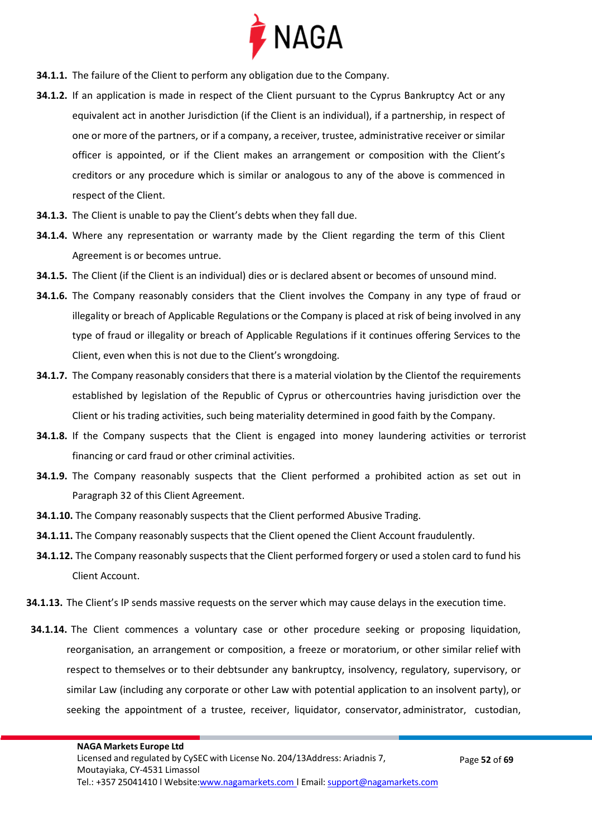

- **34.1.1.** The failure of the Client to perform any obligation due to the Company.
- **34.1.2.** If an application is made in respect of the Client pursuant to the Cyprus Bankruptcy Act or any equivalent act in another Jurisdiction (if the Client is an individual), if a partnership, in respect of one or more of the partners, or if a company, a receiver, trustee, administrative receiver or similar officer is appointed, or if the Client makes an arrangement or composition with the Client's creditors or any procedure which is similar or analogous to any of the above is commenced in respect of the Client.
- **34.1.3.** The Client is unable to pay the Client's debts when they fall due.
- **34.1.4.** Where any representation or warranty made by the Client regarding the term of this Client Agreement is or becomes untrue.
- **34.1.5.** The Client (if the Client is an individual) dies or is declared absent or becomes of unsound mind.
- **34.1.6.** The Company reasonably considers that the Client involves the Company in any type of fraud or illegality or breach of Applicable Regulations or the Company is placed at risk of being involved in any type of fraud or illegality or breach of Applicable Regulations if it continues offering Services to the Client, even when this is not due to the Client's wrongdoing.
- **34.1.7.** The Company reasonably considers that there is a material violation by the Clientof the requirements established by legislation of the Republic of Cyprus or othercountries having jurisdiction over the Client or his trading activities, such being materiality determined in good faith by the Company.
- **34.1.8.** If the Company suspects that the Client is engaged into money laundering activities or terrorist financing or card fraud or other criminal activities.
- **34.1.9.** The Company reasonably suspects that the Client performed a prohibited action as set out in Paragraph 32 of this Client Agreement.
- **34.1.10.** The Company reasonably suspects that the Client performed Abusive Trading.
- **34.1.11.** The Company reasonably suspects that the Client opened the Client Account fraudulently.
- **34.1.12.** The Company reasonably suspects that the Client performed forgery or used a stolen card to fund his Client Account.
- **34.1.13.** The Client's IP sends massive requests on the server which may cause delays in the execution time.
- **34.1.14.** The Client commences a voluntary case or other procedure seeking or proposing liquidation, reorganisation, an arrangement or composition, a freeze or moratorium, or other similar relief with respect to themselves or to their debtsunder any bankruptcy, insolvency, regulatory, supervisory, or similar Law (including any corporate or other Law with potential application to an insolvent party), or seeking the appointment of a trustee, receiver, liquidator, conservator, administrator, custodian,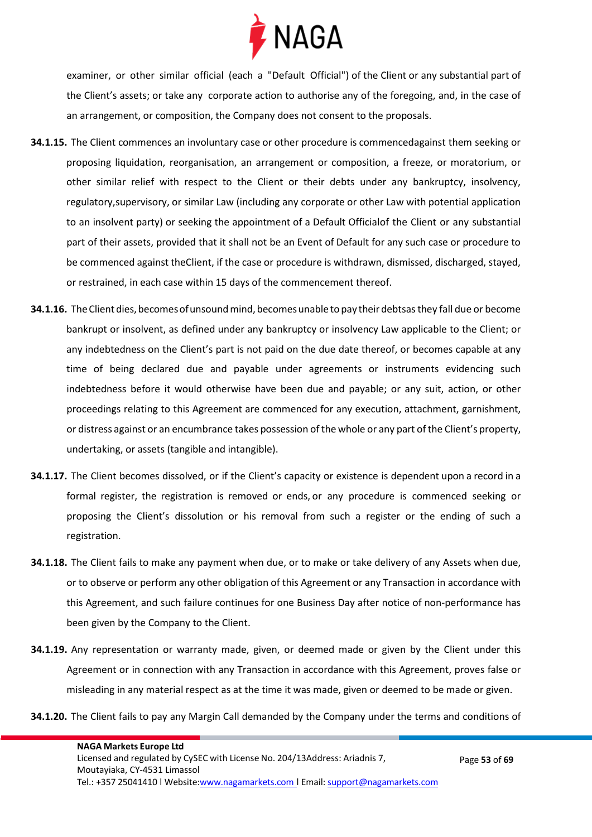

examiner, or other similar official (each a "Default Official") of the Client or any substantial part of the Client's assets; or take any corporate action to authorise any of the foregoing, and, in the case of an arrangement, or composition, the Company does not consent to the proposals.

- **34.1.15.** The Client commences an involuntary case or other procedure is commencedagainst them seeking or proposing liquidation, reorganisation, an arrangement or composition, a freeze, or moratorium, or other similar relief with respect to the Client or their debts under any bankruptcy, insolvency, regulatory,supervisory, or similar Law (including any corporate or other Law with potential application to an insolvent party) or seeking the appointment of a Default Officialof the Client or any substantial part of their assets, provided that it shall not be an Event of Default for any such case or procedure to be commenced against theClient, if the case or procedure is withdrawn, dismissed, discharged, stayed, or restrained, in each case within 15 days of the commencement thereof.
- **34.1.16.** The Client dies, becomes of unsound mind, becomes unable to pay their debtsas they fall due or become bankrupt or insolvent, as defined under any bankruptcy or insolvency Law applicable to the Client; or any indebtedness on the Client's part is not paid on the due date thereof, or becomes capable at any time of being declared due and payable under agreements or instruments evidencing such indebtedness before it would otherwise have been due and payable; or any suit, action, or other proceedings relating to this Agreement are commenced for any execution, attachment, garnishment, or distress against or an encumbrance takes possession of the whole or any part ofthe Client's property, undertaking, or assets (tangible and intangible).
- **34.1.17.** The Client becomes dissolved, or if the Client's capacity or existence is dependent upon a record in a formal register, the registration is removed or ends, or any procedure is commenced seeking or proposing the Client's dissolution or his removal from such a register or the ending of such a registration.
- **34.1.18.** The Client fails to make any payment when due, or to make or take delivery of any Assets when due, or to observe or perform any other obligation of this Agreement or any Transaction in accordance with this Agreement, and such failure continues for one Business Day after notice of non-performance has been given by the Company to the Client.
- **34.1.19.** Any representation or warranty made, given, or deemed made or given by the Client under this Agreement or in connection with any Transaction in accordance with this Agreement, proves false or misleading in any material respect as at the time it was made, given or deemed to be made or given.
- **34.1.20.** The Client fails to pay any Margin Call demanded by the Company under the terms and conditions of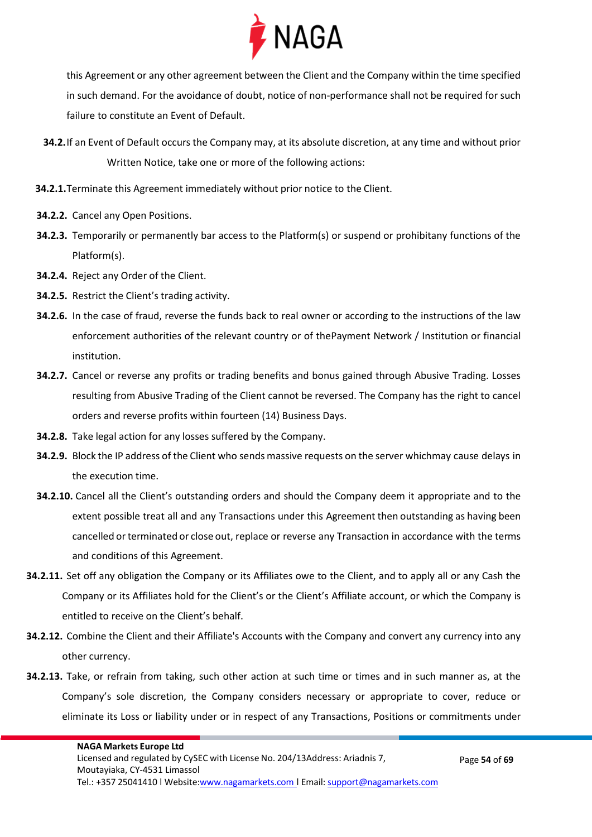

this Agreement or any other agreement between the Client and the Company within the time specified in such demand. For the avoidance of doubt, notice of non-performance shall not be required for such failure to constitute an Event of Default.

- **34.2.**If an Event of Default occurs the Company may, at its absolute discretion, at any time and without prior Written Notice, take one or more of the following actions:
- **34.2.1.**Terminate this Agreement immediately without prior notice to the Client.
- **34.2.2.** Cancel any Open Positions.
- **34.2.3.** Temporarily or permanently bar access to the Platform(s) or suspend or prohibitany functions of the Platform(s).
- **34.2.4.** Reject any Order of the Client.
- **34.2.5.** Restrict the Client's trading activity.
- **34.2.6.** In the case of fraud, reverse the funds back to real owner or according to the instructions of the law enforcement authorities of the relevant country or of thePayment Network / Institution or financial institution.
- **34.2.7.** Cancel or reverse any profits or trading benefits and bonus gained through Abusive Trading. Losses resulting from Abusive Trading of the Client cannot be reversed. The Company has the right to cancel orders and reverse profits within fourteen (14) Business Days.
- **34.2.8.** Take legal action for any losses suffered by the Company.
- **34.2.9.** Block the IP address of the Client who sends massive requests on the server whichmay cause delays in the execution time.
- **34.2.10.** Cancel all the Client's outstanding orders and should the Company deem it appropriate and to the extent possible treat all and any Transactions under this Agreement then outstanding as having been cancelled or terminated or close out, replace or reverse any Transaction in accordance with the terms and conditions of this Agreement.
- **34.2.11.** Set off any obligation the Company or its Affiliates owe to the Client, and to apply all or any Cash the Company or its Affiliates hold for the Client's or the Client's Affiliate account, or which the Company is entitled to receive on the Client's behalf.
- **34.2.12.** Combine the Client and their Affiliate's Accounts with the Company and convert any currency into any other currency.
- **34.2.13.** Take, or refrain from taking, such other action at such time or times and in such manner as, at the Company's sole discretion, the Company considers necessary or appropriate to cover, reduce or eliminate its Loss or liability under or in respect of any Transactions, Positions or commitments under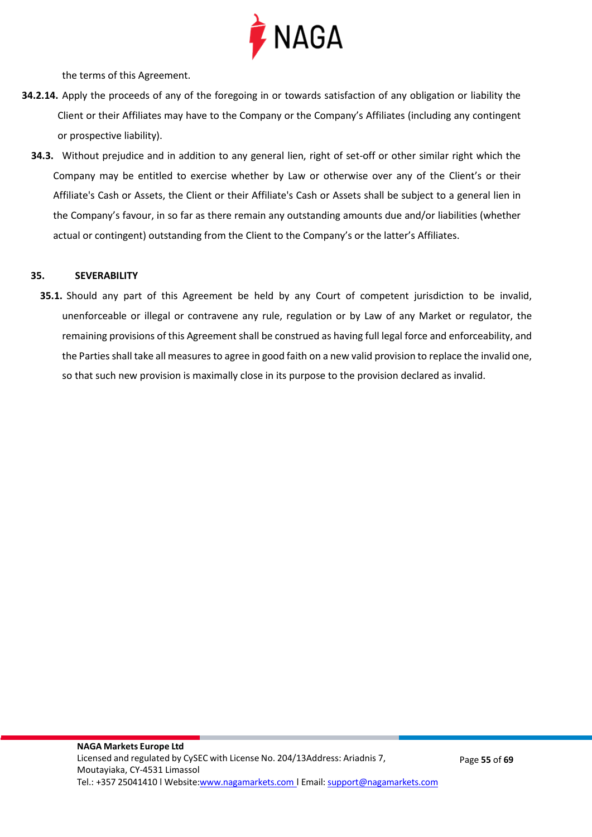

the terms of this Agreement.

- **34.2.14.** Apply the proceeds of any of the foregoing in or towards satisfaction of any obligation or liability the Client or their Affiliates may have to the Company or the Company's Affiliates (including any contingent or prospective liability).
	- **34.3.** Without prejudice and in addition to any general lien, right of set-off or other similar right which the Company may be entitled to exercise whether by Law or otherwise over any of the Client's or their Affiliate's Cash or Assets, the Client or their Affiliate's Cash or Assets shall be subject to a general lien in the Company's favour, in so far as there remain any outstanding amounts due and/or liabilities (whether actual or contingent) outstanding from the Client to the Company's or the latter's Affiliates.

#### **35. SEVERABILITY**

**35.1.** Should any part of this Agreement be held by any Court of competent jurisdiction to be invalid, unenforceable or illegal or contravene any rule, regulation or by Law of any Market or regulator, the remaining provisions of this Agreement shall be construed as having full legal force and enforceability, and the Parties shall take all measures to agree in good faith on a new valid provision to replace the invalid one, so that such new provision is maximally close in its purpose to the provision declared as invalid.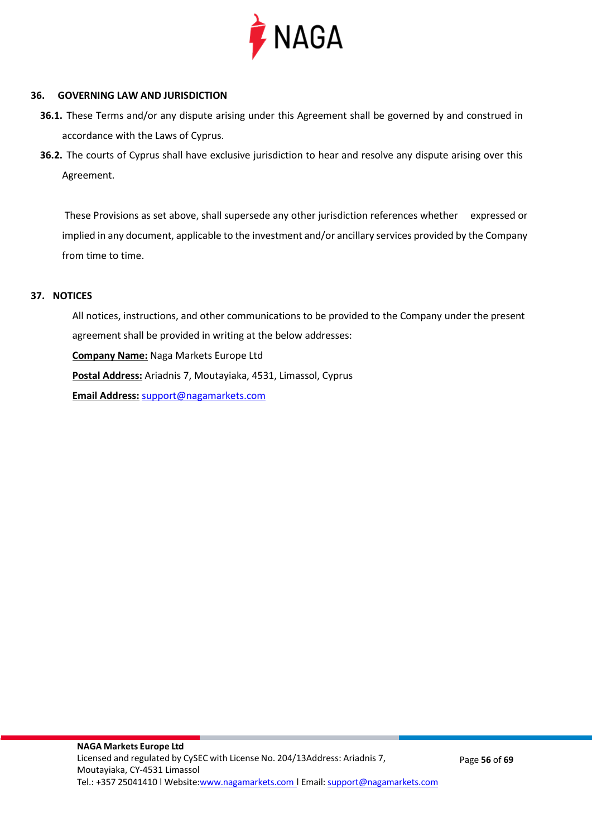

#### **36. GOVERNING LAW AND JURISDICTION**

- **36.1.** These Terms and/or any dispute arising under this Agreement shall be governed by and construed in accordance with the Laws of Cyprus.
- **36.2.** The courts of Cyprus shall have exclusive jurisdiction to hear and resolve any dispute arising over this Agreement.

These Provisions as set above, shall supersede any other jurisdiction references whether expressed or implied in any document, applicable to the investment and/or ancillary services provided by the Company from time to time.

#### **37. NOTICES**

All notices, instructions, and other communications to be provided to the Company under the present agreement shall be provided in writing at the below addresses: **Company Name:** Naga Markets Europe Ltd **Postal Address:** Ariadnis 7, Moutayiaka, 4531, Limassol, Cyprus **Email Address:** [support@nagamarkets.com](mailto:support@nagamarkets.com)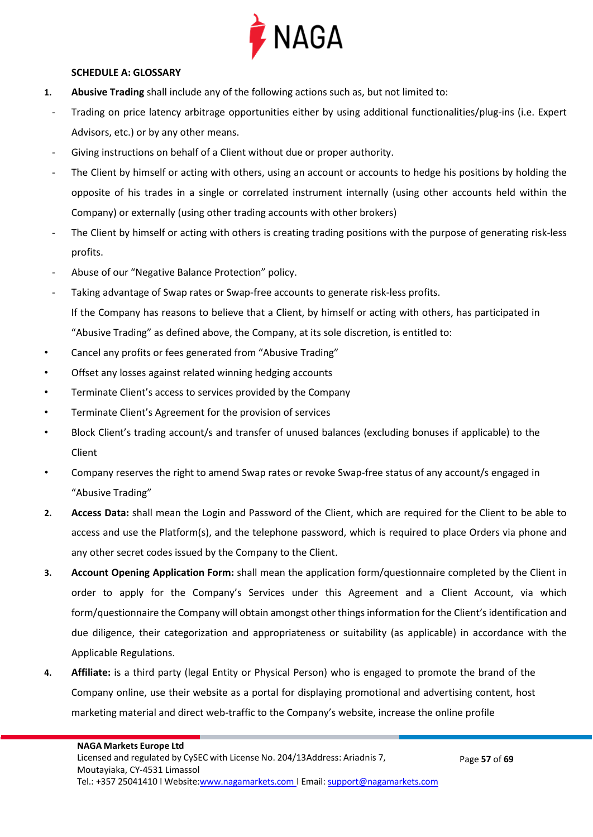

#### **SCHEDULE A: GLOSSARY**

- **1. Abusive Trading** shall include any of the following actions such as, but not limited to:
	- Trading on price latency arbitrage opportunities either by using additional functionalities/plug-ins (i.e. Expert Advisors, etc.) or by any other means.
	- Giving instructions on behalf of a Client without due or proper authority.
	- The Client by himself or acting with others, using an account or accounts to hedge his positions by holding the opposite of his trades in a single or correlated instrument internally (using other accounts held within the Company) or externally (using other trading accounts with other brokers)
	- The Client by himself or acting with others is creating trading positions with the purpose of generating risk-less profits.
	- Abuse of our "Negative Balance Protection" policy.
- Taking advantage of Swap rates or Swap-free accounts to generate risk-less profits. If the Company has reasons to believe that a Client, by himself or acting with others, has participated in "Abusive Trading" as defined above, the Company, at its sole discretion, is entitled to:
- Cancel any profits or fees generated from "Abusive Trading"
- Offset any losses against related winning hedging accounts
- Terminate Client's access to services provided by the Company
- Terminate Client's Agreement for the provision of services
- Block Client's trading account/s and transfer of unused balances (excluding bonuses if applicable) to the Client
- Company reserves the right to amend Swap rates or revoke Swap-free status of any account/s engaged in "Abusive Trading"
- **2. Access Data:** shall mean the Login and Password of the Client, which are required for the Client to be able to access and use the Platform(s), and the telephone password, which is required to place Orders via phone and any other secret codes issued by the Company to the Client.
- **3. Account Opening Application Form:** shall mean the application form/questionnaire completed by the Client in order to apply for the Company's Services under this Agreement and a Client Account, via which form/questionnaire the Company will obtain amongst other things information for the Client's identification and due diligence, their categorization and appropriateness or suitability (as applicable) in accordance with the Applicable Regulations.
- **4. Affiliate:** is a third party (legal Entity or Physical Person) who is engaged to promote the brand of the Company online, use their website as a portal for displaying promotional and advertising content, host marketing material and direct web-traffic to the Company's website, increase the online profile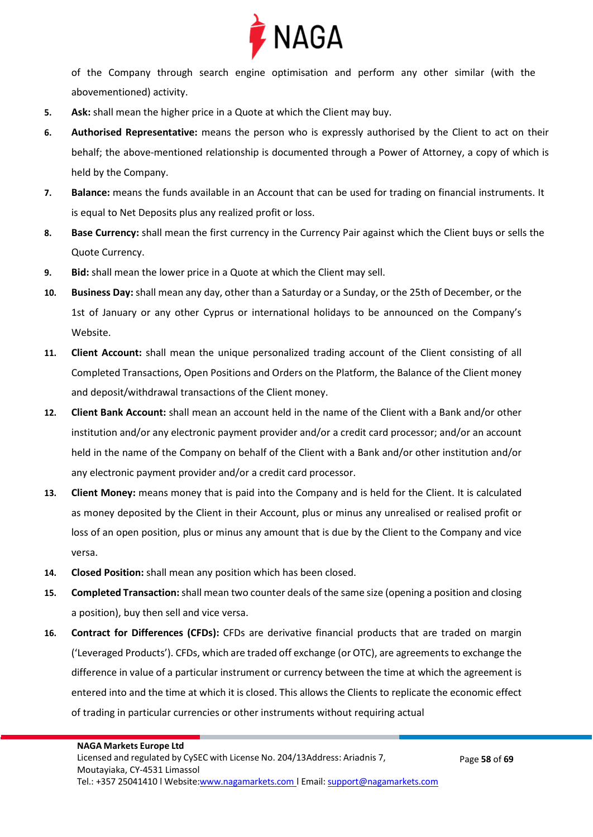

of the Company through search engine optimisation and perform any other similar (with the abovementioned) activity.

- **5. Ask:** shall mean the higher price in a Quote at which the Client may buy.
- **6. Authorised Representative:** means the person who is expressly authorised by the Client to act on their behalf; the above-mentioned relationship is documented through a Power of Attorney, a copy of which is held by the Company.
- **7. Balance:** means the funds available in an Account that can be used for trading on financial instruments. It is equal to Net Deposits plus any realized profit or loss.
- **8. Base Currency:** shall mean the first currency in the Currency Pair against which the Client buys or sells the Quote Currency.
- **9. Bid:** shall mean the lower price in a Quote at which the Client may sell.
- **10. Business Day:** shall mean any day, other than a Saturday or a Sunday, or the 25th of December, or the 1st of January or any other Cyprus or international holidays to be announced on the Company's Website.
- **11. Client Account:** shall mean the unique personalized trading account of the Client consisting of all Completed Transactions, Open Positions and Orders on the Platform, the Balance of the Client money and deposit/withdrawal transactions of the Client money.
- **12. Client Bank Account:** shall mean an account held in the name of the Client with a Bank and/or other institution and/or any electronic payment provider and/or a credit card processor; and/or an account held in the name of the Company on behalf of the Client with a Bank and/or other institution and/or any electronic payment provider and/or a credit card processor.
- **13. Client Money:** means money that is paid into the Company and is held for the Client. It is calculated as money deposited by the Client in their Account, plus or minus any unrealised or realised profit or loss of an open position, plus or minus any amount that is due by the Client to the Company and vice versa.
- **14. Closed Position:** shall mean any position which has been closed.
- **15. Completed Transaction:** shall mean two counter deals of the same size (opening a position and closing a position), buy then sell and vice versa.
- **16. Contract for Differences (CFDs):** CFDs are derivative financial products that are traded on margin ('Leveraged Products'). CFDs, which are traded off exchange (or OTC), are agreements to exchange the difference in value of a particular instrument or currency between the time at which the agreement is entered into and the time at which it is closed. This allows the Clients to replicate the economic effect of trading in particular currencies or other instruments without requiring actual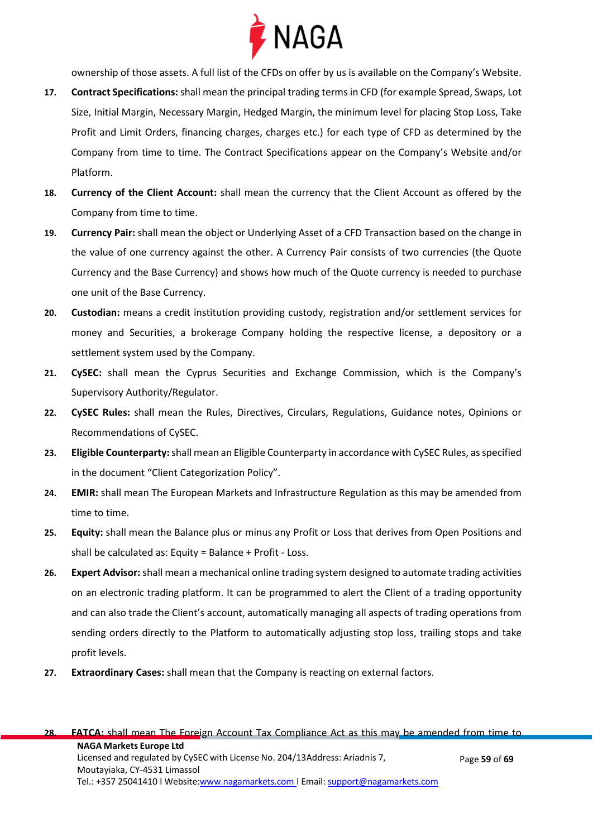

ownership of those assets. A full list of the CFDs on offer by us is available on the Company's Website.

- **17. Contract Specifications:** shall mean the principal trading terms in CFD (for example Spread, Swaps, Lot Size, Initial Margin, Necessary Margin, Hedged Margin, the minimum level for placing Stop Loss, Take Profit and Limit Orders, financing charges, charges etc.) for each type of CFD as determined by the Company from time to time. The Contract Specifications appear on the Company's Website and/or Platform.
- **18. Currency of the Client Account:** shall mean the currency that the Client Account as offered by the Company from time to time.
- **19. Currency Pair:** shall mean the object or Underlying Asset of a CFD Transaction based on the change in the value of one currency against the other. A Currency Pair consists of two currencies (the Quote Currency and the Base Currency) and shows how much of the Quote currency is needed to purchase one unit of the Base Currency.
- **20. Custodian:** means a credit institution providing custody, registration and/or settlement services for money and Securities, a brokerage Company holding the respective license, a depository or a settlement system used by the Company.
- **21. CySEC:** shall mean the Cyprus Securities and Exchange Commission, which is the Company's Supervisory Authority/Regulator.
- **22. CySEC Rules:** shall mean the Rules, Directives, Circulars, Regulations, Guidance notes, Opinions or Recommendations of CySEC.
- **23. Eligible Counterparty:** shall mean an Eligible Counterparty in accordance with CySEC Rules, as specified in the document "Client Categorization Policy".
- **24. EMIR:** shall mean The European Markets and Infrastructure Regulation as this may be amended from time to time.
- **25. Equity:** shall mean the Balance plus or minus any Profit or Loss that derives from Open Positions and shall be calculated as: Equity = Balance + Profit - Loss.
- **26. Expert Advisor:** shall mean a mechanical online trading system designed to automate trading activities on an electronic trading platform. It can be programmed to alert the Client of a trading opportunity and can also trade the Client's account, automatically managing all aspects of trading operations from sending orders directly to the Platform to automatically adjusting stop loss, trailing stops and take profit levels.
- **27. Extraordinary Cases:** shall mean that the Company is reacting on external factors.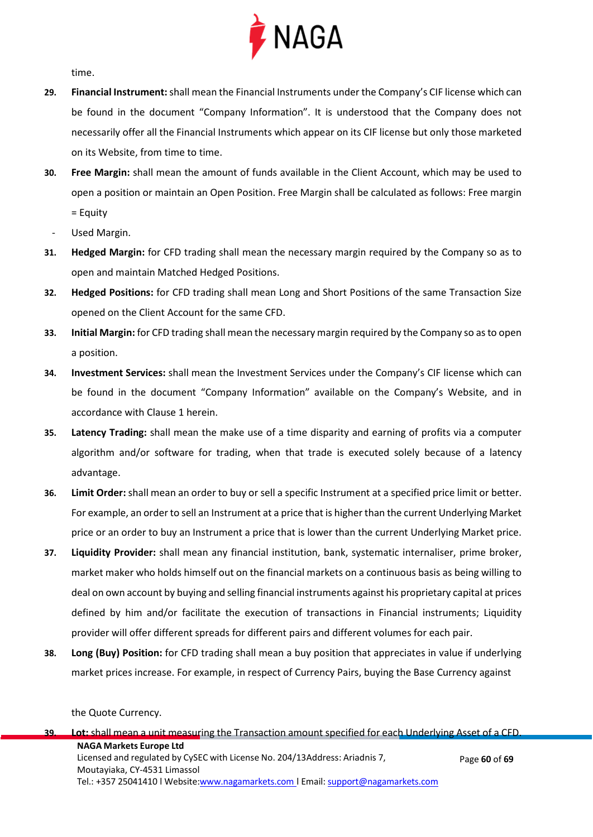

time.

- **29. Financial Instrument:**shall mean the Financial Instruments under the Company's CIF license which can be found in the document "Company Information". It is understood that the Company does not necessarily offer all the Financial Instruments which appear on its CIF license but only those marketed on its Website, from time to time.
- **30. Free Margin:** shall mean the amount of funds available in the Client Account, which may be used to open a position or maintain an Open Position. Free Margin shall be calculated as follows: Free margin = Equity
	- Used Margin.
- **31. Hedged Margin:** for CFD trading shall mean the necessary margin required by the Company so as to open and maintain Matched Hedged Positions.
- **32. Hedged Positions:** for CFD trading shall mean Long and Short Positions of the same Transaction Size opened on the Client Account for the same CFD.
- **33. Initial Margin:** for CFD trading shall mean the necessary margin required by the Company so as to open a position.
- **34. Investment Services:** shall mean the Investment Services under the Company's CIF license which can be found in the document "Company Information" available on the Company's Website, and in accordance with Clause 1 herein.
- **35. Latency Trading:** shall mean the make use of a time disparity and earning of profits via a computer algorithm and/or software for trading, when that trade is executed solely because of a latency advantage.
- **36. Limit Order:** shall mean an order to buy or sell a specific Instrument at a specified price limit or better. For example, an order to sell an Instrument at a price that is higher than the current Underlying Market price or an order to buy an Instrument a price that is lower than the current Underlying Market price.
- **37. Liquidity Provider:** shall mean any financial institution, bank, systematic internaliser, prime broker, market maker who holds himself out on the financial markets on a continuous basis as being willing to deal on own account by buying and selling financial instruments against his proprietary capital at prices defined by him and/or facilitate the execution of transactions in Financial instruments; Liquidity provider will offer different spreads for different pairs and different volumes for each pair.
- **38. Long (Buy) Position:** for CFD trading shall mean a buy position that appreciates in value if underlying market prices increase. For example, in respect of Currency Pairs, buying the Base Currency against

the Quote Currency.

**NAGA Markets Europe Ltd** Licensed and regulated by CySEC with License No. 204/13Address: Ariadnis 7, Moutayiaka, CY-4531 Limassol Tel.: +357 25041410 | Website[:www.nagamarkets.com](http://www.nagamarkets.coml/) | Email: [support@nagamarkets.com](mailto:support@nagamarkets.com) Page **60** of **69 39. Lot:** shall mean a unit measuring the Transaction amount specified for each Underlying Asset of a CFD.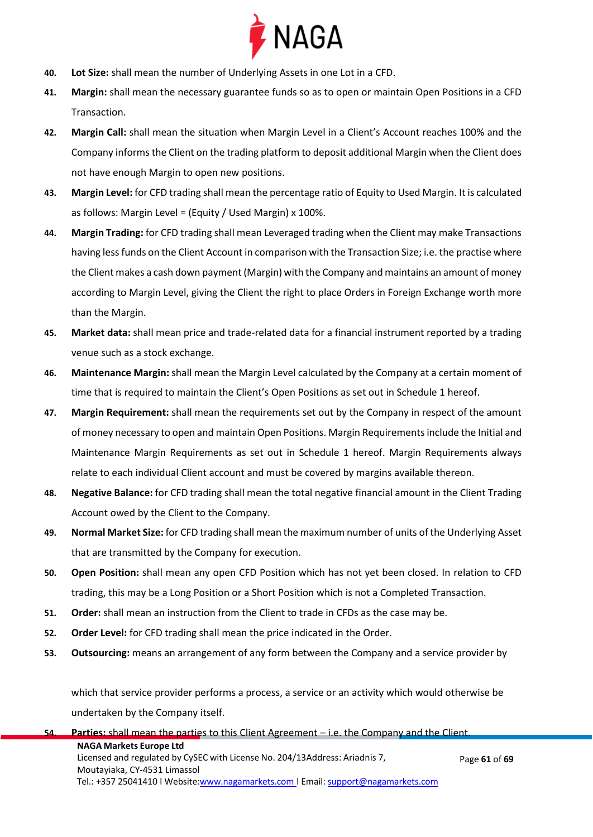

- **40. Lot Size:** shall mean the number of Underlying Assets in one Lot in a CFD.
- **41. Margin:** shall mean the necessary guarantee funds so as to open or maintain Open Positions in a CFD Transaction.
- **42. Margin Call:** shall mean the situation when Margin Level in a Client's Account reaches 100% and the Company informs the Client on the trading platform to deposit additional Margin when the Client does not have enough Margin to open new positions.
- **43. Margin Level:** for CFD trading shall mean the percentage ratio of Equity to Used Margin. It is calculated as follows: Margin Level = (Equity / Used Margin) x 100%.
- **44. Margin Trading:** for CFD trading shall mean Leveraged trading when the Client may make Transactions having less funds on the Client Account in comparison with the Transaction Size; i.e. the practise where the Client makes a cash down payment (Margin) with the Company and maintains an amount of money according to Margin Level, giving the Client the right to place Orders in Foreign Exchange worth more than the Margin.
- **45. Market data:** shall mean price and trade-related data for a financial instrument reported by a trading venue such as a stock exchange.
- **46. Maintenance Margin:** shall mean the Margin Level calculated by the Company at a certain moment of time that is required to maintain the Client's Open Positions as set out in Schedule 1 hereof.
- **47. Margin Requirement:** shall mean the requirements set out by the Company in respect of the amount of money necessary to open and maintain Open Positions. Margin Requirements include the Initial and Maintenance Margin Requirements as set out in Schedule 1 hereof. Margin Requirements always relate to each individual Client account and must be covered by margins available thereon.
- **48. Negative Balance:** for CFD trading shall mean the total negative financial amount in the Client Trading Account owed by the Client to the Company.
- **49. Normal Market Size:** for CFD trading shall mean the maximum number of units of the Underlying Asset that are transmitted by the Company for execution.
- **50. Open Position:** shall mean any open CFD Position which has not yet been closed. In relation to CFD trading, this may be a Long Position or a Short Position which is not a Completed Transaction.
- **51. Order:** shall mean an instruction from the Client to trade in CFDs as the case may be.
- **52. Order Level:** for CFD trading shall mean the price indicated in the Order.
- **53. Outsourcing:** means an arrangement of any form between the Company and a service provider by

which that service provider performs a process, a service or an activity which would otherwise be undertaken by the Company itself.

| 54. Parties: shall mean the parties to this Client Agreement $-$ i.e. the Company and the Client. |               |  |  |  |
|---------------------------------------------------------------------------------------------------|---------------|--|--|--|
|                                                                                                   |               |  |  |  |
| <b>NAGA Markets Europe Ltd</b>                                                                    |               |  |  |  |
| Licensed and regulated by CySEC with License No. 204/13Address: Ariadnis 7,                       | Page 61 of 69 |  |  |  |
| Moutayiaka, CY-4531 Limassol                                                                      |               |  |  |  |
| Tel.: +357 25041410   Website:www.nagamarkets.com   Email: support@nagamarkets.com                |               |  |  |  |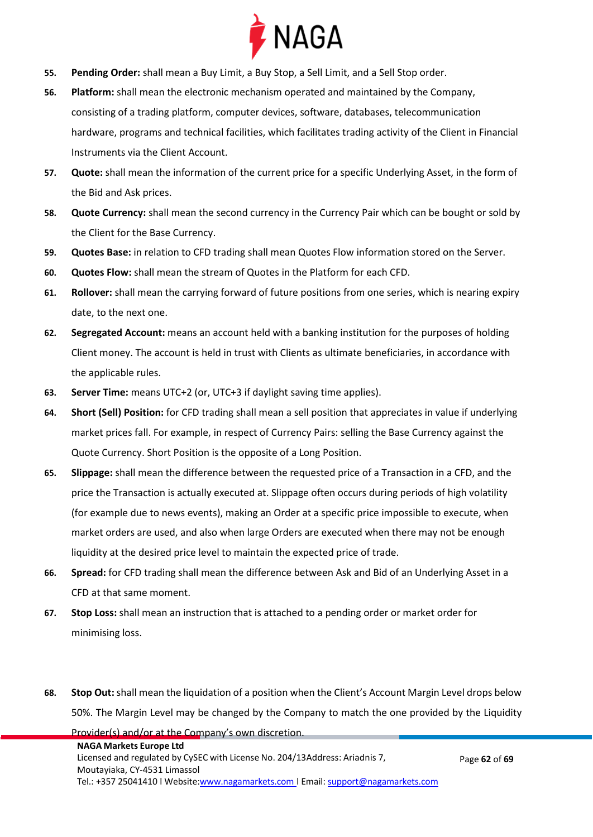

- **55. Pending Order:** shall mean a Buy Limit, a Buy Stop, a Sell Limit, and a Sell Stop order.
- **56. Platform:** shall mean the electronic mechanism operated and maintained by the Company, consisting of a trading platform, computer devices, software, databases, telecommunication hardware, programs and technical facilities, which facilitates trading activity of the Client in Financial Instruments via the Client Account.
- **57. Quote:** shall mean the information of the current price for a specific Underlying Asset, in the form of the Bid and Ask prices.
- **58. Quote Currency:** shall mean the second currency in the Currency Pair which can be bought or sold by the Client for the Base Currency.
- **59. Quotes Base:** in relation to CFD trading shall mean Quotes Flow information stored on the Server.
- **60. Quotes Flow:** shall mean the stream of Quotes in the Platform for each CFD.
- **61. Rollover:** shall mean the carrying forward of future positions from one series, which is nearing expiry date, to the next one.
- **62. Segregated Account:** means an account held with a banking institution for the purposes of holding Client money. The account is held in trust with Clients as ultimate beneficiaries, in accordance with the applicable rules.
- **63. Server Time:** means UTC+2 (or, UTC+3 if daylight saving time applies).

Provider(s) and/or at the Company's own discretion.

- **64. Short (Sell) Position:** for CFD trading shall mean a sell position that appreciates in value if underlying market prices fall. For example, in respect of Currency Pairs: selling the Base Currency against the Quote Currency. Short Position is the opposite of a Long Position.
- **65. Slippage:** shall mean the difference between the requested price of a Transaction in a CFD, and the price the Transaction is actually executed at. Slippage often occurs during periods of high volatility (for example due to news events), making an Order at a specific price impossible to execute, when market orders are used, and also when large Orders are executed when there may not be enough liquidity at the desired price level to maintain the expected price of trade.
- **66. Spread:** for CFD trading shall mean the difference between Ask and Bid of an Underlying Asset in a CFD at that same moment.
- **67. Stop Loss:** shall mean an instruction that is attached to a pending order or market order for minimising loss.
- **68. Stop Out:** shall mean the liquidation of a position when the Client's Account Margin Level drops below 50%. The Margin Level may be changed by the Company to match the one provided by the Liquidity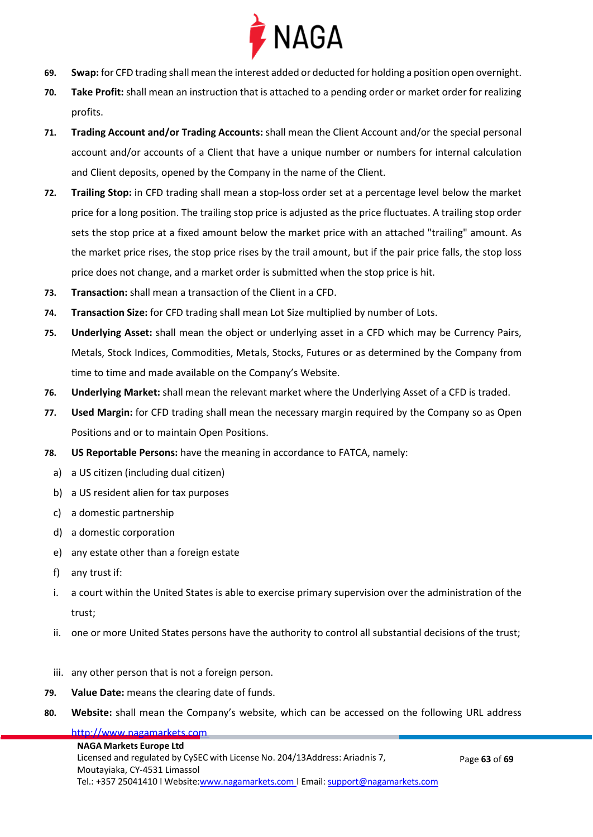

- **69. Swap:** for CFD trading shall mean the interest added or deducted for holding a position open overnight.
- **70. Take Profit:** shall mean an instruction that is attached to a pending order or market order for realizing profits.
- **71. Trading Account and/or Trading Accounts:** shall mean the Client Account and/or the special personal account and/or accounts of a Client that have a unique number or numbers for internal calculation and Client deposits, opened by the Company in the name of the Client.
- **72. Trailing Stop:** in CFD trading shall mean a stop-loss order set at a percentage level below the market price for a long position. The trailing stop price is adjusted as the price fluctuates. A trailing stop order sets the stop price at a fixed amount below the market price with an attached "trailing" amount. As the market price rises, the stop price rises by the trail amount, but if the pair price falls, the stop loss price does not change, and a market order is submitted when the stop price is hit.
- **73. Transaction:** shall mean a transaction of the Client in a CFD.
- **74. Transaction Size:** for CFD trading shall mean Lot Size multiplied by number of Lots.
- **75. Underlying Asset:** shall mean the object or underlying asset in a CFD which may be Currency Pairs, Metals, Stock Indices, Commodities, Metals, Stocks, Futures or as determined by the Company from time to time and made available on the Company's Website.
- **76. Underlying Market:** shall mean the relevant market where the Underlying Asset of a CFD is traded.
- **77. Used Margin:** for CFD trading shall mean the necessary margin required by the Company so as Open Positions and or to maintain Open Positions.
- **78. US Reportable Persons:** have the meaning in accordance to FATCA, namely:
	- a) a US citizen (including dual citizen)
	- b) a US resident alien for tax purposes
	- c) a domestic partnership
	- d) a domestic corporation
	- e) any estate other than a foreign estate
	- f) any trust if:
	- i. a court within the United States is able to exercise primary supervision over the administration of the trust;
	- ii. one or more United States persons have the authority to control all substantial decisions of the trust;
	- iii. any other person that is not a foreign person.
- **79. Value Date:** means the clearing date of funds.
- **80. Website:** shall mean the Company's website, which can be accessed on the following URL address

## http://www.nagamarkets.com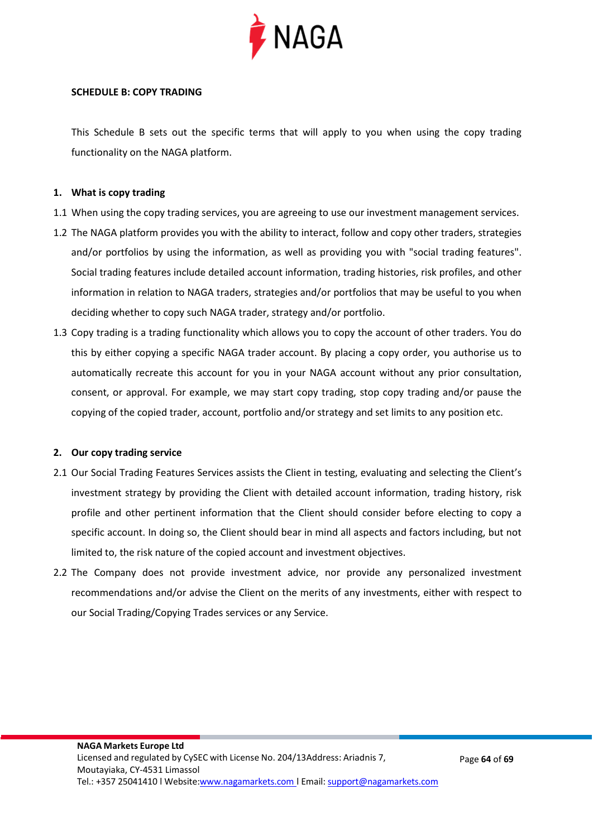

#### **SCHEDULE B: COPY TRADING**

This Schedule B sets out the specific terms that will apply to you when using the copy trading functionality on the NAGA platform.

#### **1. What is copy trading**

- 1.1 When using the copy trading services, you are agreeing to use our investment management services.
- 1.2 The NAGA platform provides you with the ability to interact, follow and copy other traders, strategies and/or portfolios by using the information, as well as providing you with "social trading features". Social trading features include detailed account information, trading histories, risk profiles, and other information in relation to NAGA traders, strategies and/or portfolios that may be useful to you when deciding whether to copy such NAGA trader, strategy and/or portfolio.
- 1.3 Copy trading is a trading functionality which allows you to copy the account of other traders. You do this by either copying a specific NAGA trader account. By placing a copy order, you authorise us to automatically recreate this account for you in your NAGA account without any prior consultation, consent, or approval. For example, we may start copy trading, stop copy trading and/or pause the copying of the copied trader, account, portfolio and/or strategy and set limits to any position etc.

#### **2. Our copy trading service**

- 2.1 Our Social Trading Features Services assists the Client in testing, evaluating and selecting the Client's investment strategy by providing the Client with detailed account information, trading history, risk profile and other pertinent information that the Client should consider before electing to copy a specific account. In doing so, the Client should bear in mind all aspects and factors including, but not limited to, the risk nature of the copied account and investment objectives.
- 2.2 The Company does not provide investment advice, nor provide any personalized investment recommendations and/or advise the Client on the merits of any investments, either with respect to our Social Trading/Copying Trades services or any Service.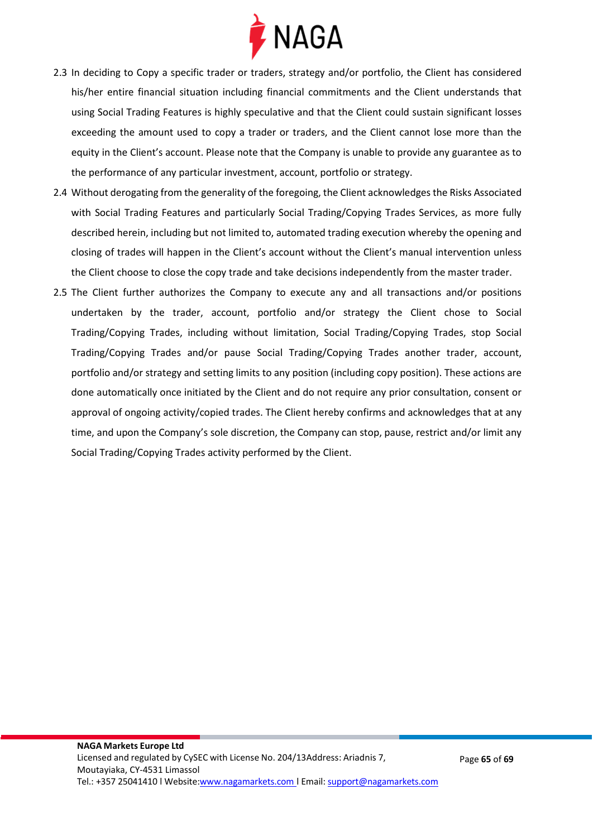

- 2.3 In deciding to Copy a specific trader or traders, strategy and/or portfolio, the Client has considered his/her entire financial situation including financial commitments and the Client understands that using Social Trading Features is highly speculative and that the Client could sustain significant losses exceeding the amount used to copy a trader or traders, and the Client cannot lose more than the equity in the Client's account. Please note that the Company is unable to provide any guarantee as to the performance of any particular investment, account, portfolio or strategy.
- 2.4 Without derogating from the generality of the foregoing, the Client acknowledges the Risks Associated with Social Trading Features and particularly Social Trading/Copying Trades Services, as more fully described herein, including but not limited to, automated trading execution whereby the opening and closing of trades will happen in the Client's account without the Client's manual intervention unless the Client choose to close the copy trade and take decisions independently from the master trader.
- 2.5 The Client further authorizes the Company to execute any and all transactions and/or positions undertaken by the trader, account, portfolio and/or strategy the Client chose to Social Trading/Copying Trades, including without limitation, Social Trading/Copying Trades, stop Social Trading/Copying Trades and/or pause Social Trading/Copying Trades another trader, account, portfolio and/or strategy and setting limits to any position (including copy position). These actions are done automatically once initiated by the Client and do not require any prior consultation, consent or approval of ongoing activity/copied trades. The Client hereby confirms and acknowledges that at any time, and upon the Company's sole discretion, the Company can stop, pause, restrict and/or limit any Social Trading/Copying Trades activity performed by the Client.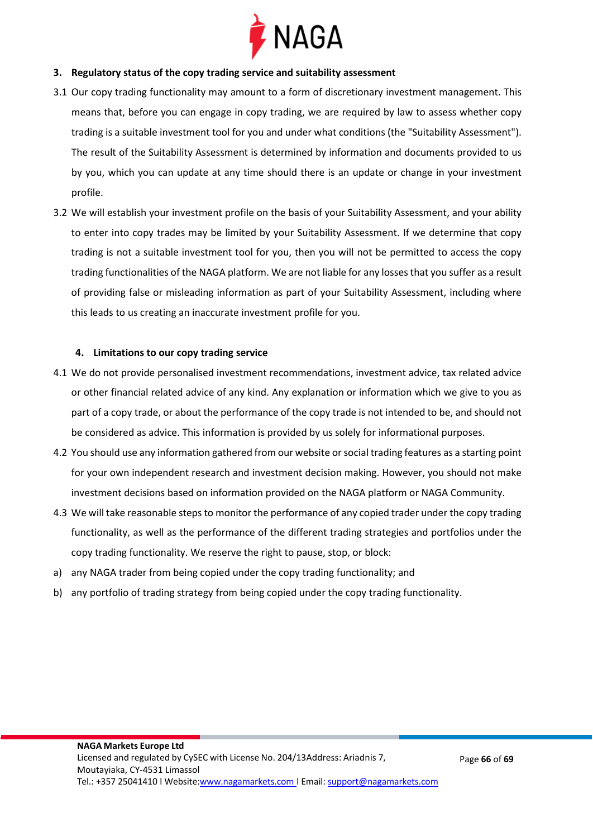

#### **3. Regulatory status of the copy trading service and suitability assessment**

- 3.1 Our copy trading functionality may amount to a form of discretionary investment management. This means that, before you can engage in copy trading, we are required by law to assess whether copy trading is a suitable investment tool for you and under what conditions (the "Suitability Assessment"). The result of the Suitability Assessment is determined by information and documents provided to us by you, which you can update at any time should there is an update or change in your investment profile.
- 3.2 We will establish your investment profile on the basis of your Suitability Assessment, and your ability to enter into copy trades may be limited by your Suitability Assessment. If we determine that copy trading is not a suitable investment tool for you, then you will not be permitted to access the copy trading functionalities of the NAGA platform. We are not liable for any losses that you suffer as a result of providing false or misleading information as part of your Suitability Assessment, including where this leads to us creating an inaccurate investment profile for you.

#### **4. Limitations to our copy trading service**

- 4.1 We do not provide personalised investment recommendations, investment advice, tax related advice or other financial related advice of any kind. Any explanation or information which we give to you as part of a copy trade, or about the performance of the copy trade is not intended to be, and should not be considered as advice. This information is provided by us solely for informational purposes.
- 4.2 You should use any information gathered from our website or social trading features as a starting point for your own independent research and investment decision making. However, you should not make investment decisions based on information provided on the NAGA platform or NAGA Community.
- 4.3 We will take reasonable steps to monitor the performance of any copied trader under the copy trading functionality, as well as the performance of the different trading strategies and portfolios under the copy trading functionality. We reserve the right to pause, stop, or block:
- a) any NAGA trader from being copied under the copy trading functionality; and
- b) any portfolio of trading strategy from being copied under the copy trading functionality.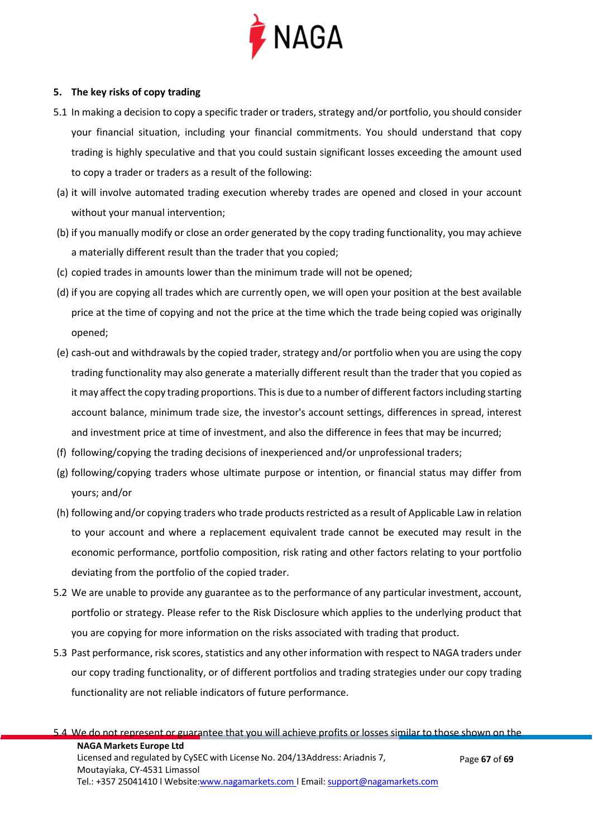

#### **5. The key risks of copy trading**

- 5.1 In making a decision to copy a specific trader or traders, strategy and/or portfolio, you should consider your financial situation, including your financial commitments. You should understand that copy trading is highly speculative and that you could sustain significant losses exceeding the amount used to copy a trader or traders as a result of the following:
- (a) it will involve automated trading execution whereby trades are opened and closed in your account without your manual intervention;
- (b) if you manually modify or close an order generated by the copy trading functionality, you may achieve a materially different result than the trader that you copied;
- (c) copied trades in amounts lower than the minimum trade will not be opened;
- (d) if you are copying all trades which are currently open, we will open your position at the best available price at the time of copying and not the price at the time which the trade being copied was originally opened;
- (e) cash-out and withdrawals by the copied trader, strategy and/or portfolio when you are using the copy trading functionality may also generate a materially different result than the trader that you copied as it may affect the copy trading proportions. This is due to a number of different factors including starting account balance, minimum trade size, the investor's account settings, differences in spread, interest and investment price at time of investment, and also the difference in fees that may be incurred;
- (f) following/copying the trading decisions of inexperienced and/or unprofessional traders;
- (g) following/copying traders whose ultimate purpose or intention, or financial status may differ from yours; and/or
- (h) following and/or copying traders who trade products restricted as a result of Applicable Law in relation to your account and where a replacement equivalent trade cannot be executed may result in the economic performance, portfolio composition, risk rating and other factors relating to your portfolio deviating from the portfolio of the copied trader.
- 5.2 We are unable to provide any guarantee as to the performance of any particular investment, account, portfolio or strategy. Please refer to the Risk Disclosure which applies to the underlying product that you are copying for more information on the risks associated with trading that product.
- 5.3 Past performance, risk scores, statistics and any other information with respect to NAGA traders under our copy trading functionality, or of different portfolios and trading strategies under our copy trading functionality are not reliable indicators of future performance.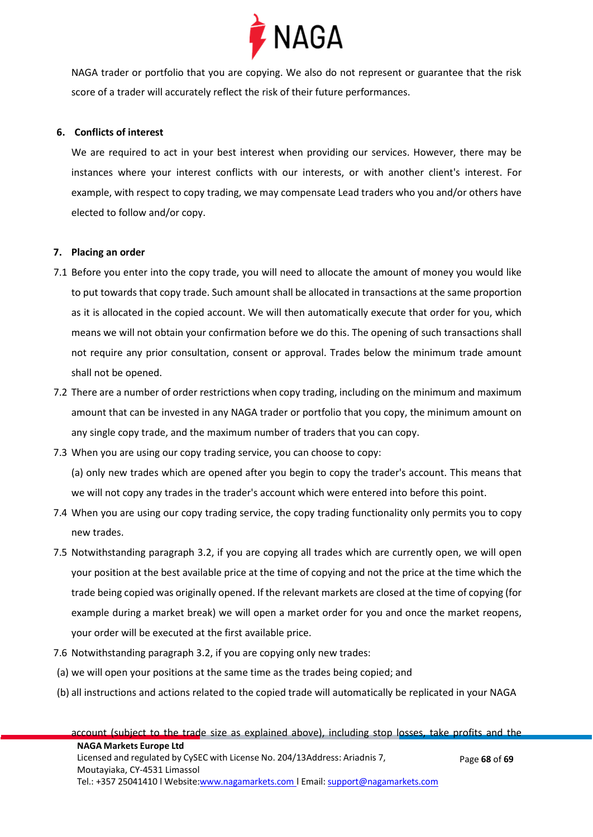

NAGA trader or portfolio that you are copying. We also do not represent or guarantee that the risk score of a trader will accurately reflect the risk of their future performances.

#### **6. Conflicts of interest**

We are required to act in your best interest when providing our services. However, there may be instances where your interest conflicts with our interests, or with another client's interest. For example, with respect to copy trading, we may compensate Lead traders who you and/or others have elected to follow and/or copy.

#### **7. Placing an order**

- 7.1 Before you enter into the copy trade, you will need to allocate the amount of money you would like to put towards that copy trade. Such amount shall be allocated in transactions at the same proportion as it is allocated in the copied account. We will then automatically execute that order for you, which means we will not obtain your confirmation before we do this. The opening of such transactions shall not require any prior consultation, consent or approval. Trades below the minimum trade amount shall not be opened.
- 7.2 There are a number of order restrictions when copy trading, including on the minimum and maximum amount that can be invested in any NAGA trader or portfolio that you copy, the minimum amount on any single copy trade, and the maximum number of traders that you can copy.
- 7.3 When you are using our copy trading service, you can choose to copy:

(a) only new trades which are opened after you begin to copy the trader's account. This means that we will not copy any trades in the trader's account which were entered into before this point.

- 7.4 When you are using our copy trading service, the copy trading functionality only permits you to copy new trades.
- 7.5 Notwithstanding paragraph 3.2, if you are copying all trades which are currently open, we will open your position at the best available price at the time of copying and not the price at the time which the trade being copied was originally opened. If the relevant markets are closed at the time of copying (for example during a market break) we will open a market order for you and once the market reopens, your order will be executed at the first available price.
- 7.6 Notwithstanding paragraph 3.2, if you are copying only new trades:
- (a) we will open your positions at the same time as the trades being copied; and
- (b) all instructions and actions related to the copied trade will automatically be replicated in your NAGA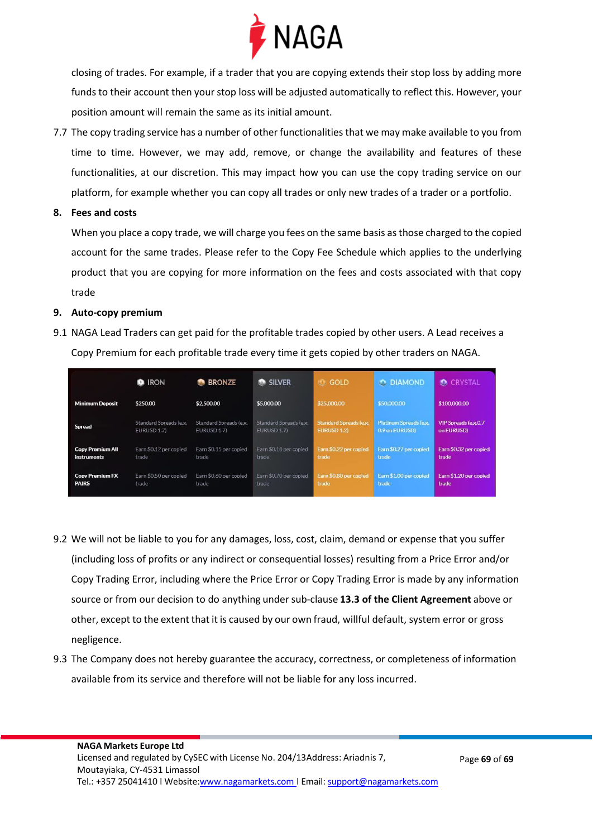

closing of trades. For example, if a trader that you are copying extends their stop loss by adding more funds to their account then your stop loss will be adjusted automatically to reflect this. However, your position amount will remain the same as its initial amount.

- 7.7 The copy trading service has a number of other functionalities that we may make available to you from time to time. However, we may add, remove, or change the availability and features of these functionalities, at our discretion. This may impact how you can use the copy trading service on our platform, for example whether you can copy all trades or only new trades of a trader or a portfolio.
- **8. Fees and costs**

When you place a copy trade, we will charge you fees on the same basis as those charged to the copied account for the same trades. Please refer to the Copy Fee Schedule which applies to the underlying product that you are copying for more information on the fees and costs associated with that copy trade

#### **9. Auto-copy premium**

9.1 NAGA Lead Traders can get paid for the profitable trades copied by other users. A Lead receives a Copy Premium for each profitable trade every time it gets copied by other traders on NAGA.

|                         | <b>IRON</b>            | <b>BRONZE</b><br>12.1  | SILVER                 | <b>GOLD</b><br><b>IO</b>      | <b>O DIAMOND</b>       | <b>C</b> CRYSTAL       |
|-------------------------|------------------------|------------------------|------------------------|-------------------------------|------------------------|------------------------|
| <b>Minimum Deposit</b>  | \$250.00               | \$2,500.00             | \$5,000.00             | \$25,000,00                   | \$50,000,00            | \$100,000.00           |
| <b>Spread</b>           | Standard Spreads (e.g. | Standard Spreads (e.g. | Standard Spreads (e.g. | <b>Standard Spreads (e.g.</b> | Platinum Spreads (e.g. | VIP Spreads (e.g.0.7   |
|                         | <b>EURUSD 1.7)</b>     | EURUSD 1.7)            | EURUSD 1.7)            | <b>EURUSD 1.2)</b>            | 0.9 on EURUSD)         | on EURUSD)             |
| <b>Copy Premium All</b> | Earn \$0.12 per copied | Earn \$0.15 per copied | Earn \$0.18 per copied | Earn \$0.22 per copied        | Earn \$0.27 per copied | Earn \$0.32 per copied |
| <b>instruments</b>      | trade                  | trade                  | trade                  | trade                         | trade                  | trade                  |
| <b>Copy Premium FX</b>  | Earn \$0.50 per copied | Earn \$0.60 per copied | Earn \$0.70 per copied | Earn \$0.80 per copied        | Earn \$1.00 per copied | Earn \$1.20 per copied |
| <b>PAIRS</b>            | trade                  | trade                  | trade                  | trade                         | trade                  | trade                  |

- 9.2 We will not be liable to you for any damages, loss, cost, claim, demand or expense that you suffer (including loss of profits or any indirect or consequential losses) resulting from a Price Error and/or Copy Trading Error, including where the Price Error or Copy Trading Error is made by any information source or from our decision to do anything undersub-clause **13.3 of the Client Agreement** above or other, except to the extent that it is caused by our own fraud, willful default, system error or gross negligence.
- 9.3 The Company does not hereby guarantee the accuracy, correctness, or completeness of information available from its service and therefore will not be liable for any loss incurred.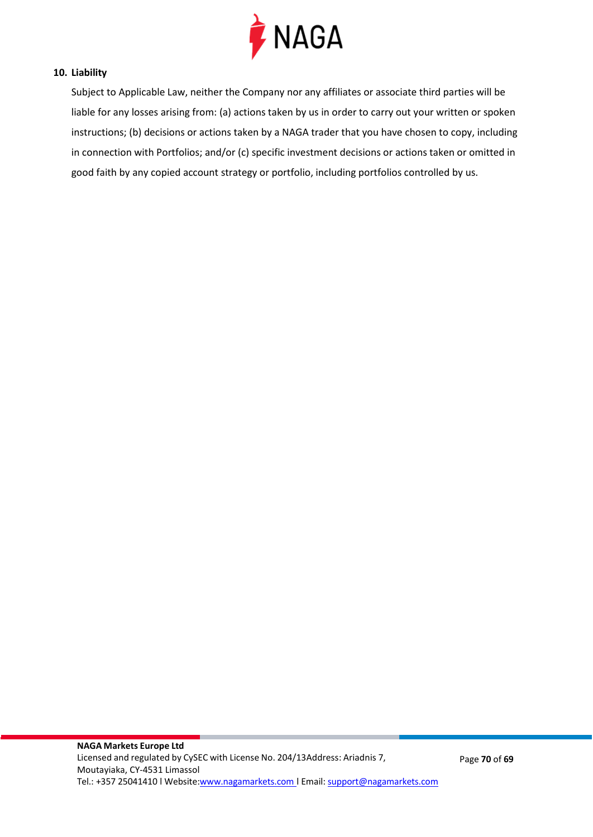

#### **10. Liability**

Subject to Applicable Law, neither the Company nor any affiliates or associate third parties will be liable for any losses arising from: (a) actions taken by us in order to carry out your written or spoken instructions; (b) decisions or actions taken by a NAGA trader that you have chosen to copy, including in connection with Portfolios; and/or (c) specific investment decisions or actions taken or omitted in good faith by any copied account strategy or portfolio, including portfolios controlled by us.